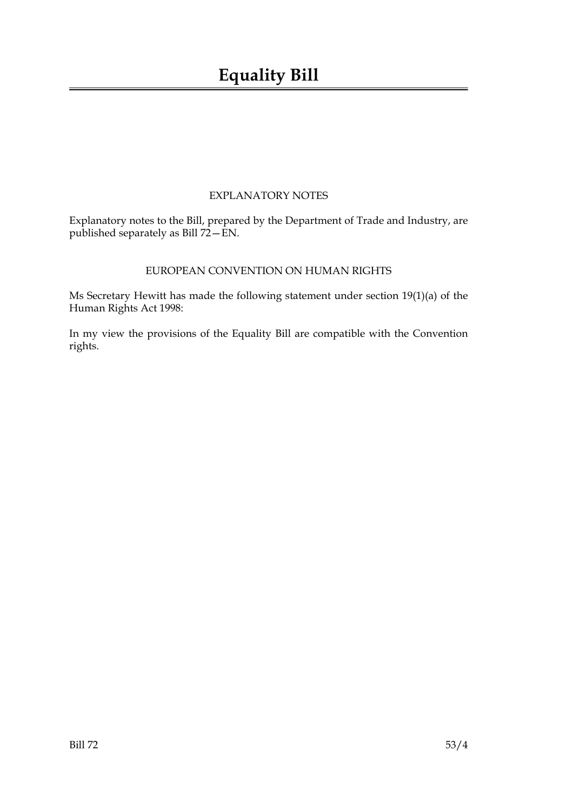# EXPLANATORY NOTES

Explanatory notes to the Bill, prepared by the Department of Trade and Industry, are published separately as Bill 72—EN.

# EUROPEAN CONVENTION ON HUMAN RIGHTS

Ms Secretary Hewitt has made the following statement under section 19(1)(a) of the Human Rights Act 1998:

In my view the provisions of the Equality Bill are compatible with the Convention rights.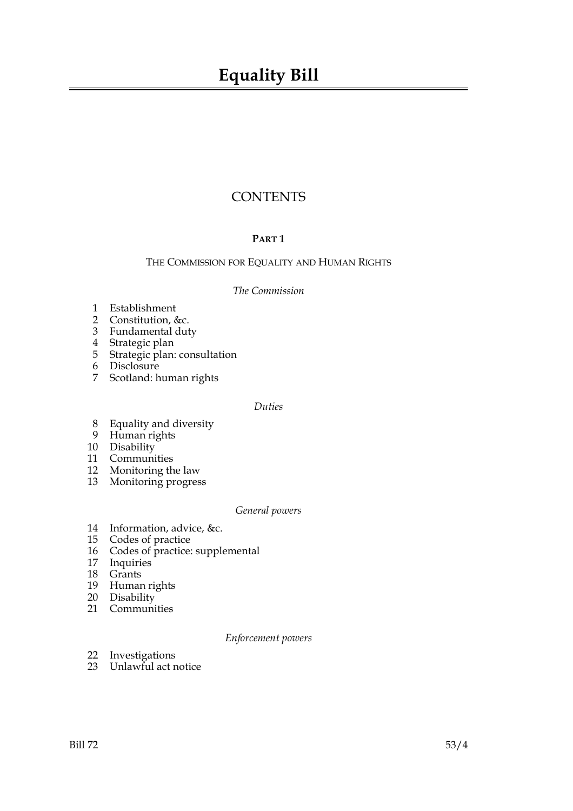# **CONTENTS**

# **PART 1**

# THE COMMISSION FOR EQUALITY AND HUMAN RIGHTS

## *The Commission*

- 1 Establishment
- 2 Constitution, &c.
- 3 Fundamental duty
- 4 Strategic plan
- 5 Strategic plan: consultation
- 6 Disclosure
- 7 Scotland: human rights

## *Duties*

- 8 Equality and diversity
- 9 Human rights
- 10 Disability
- 11 Communities
- 12 Monitoring the law
- 13 Monitoring progress

## *General powers*

- 14 Information, advice, &c.
- 15 Codes of practice
- 16 Codes of practice: supplemental
- 17 Inquiries
- 18 Grants
- 19 Human rights
- 20 Disability
- 21 Communities

## *Enforcement powers*

- 22 Investigations
- 23 Unlawful act notice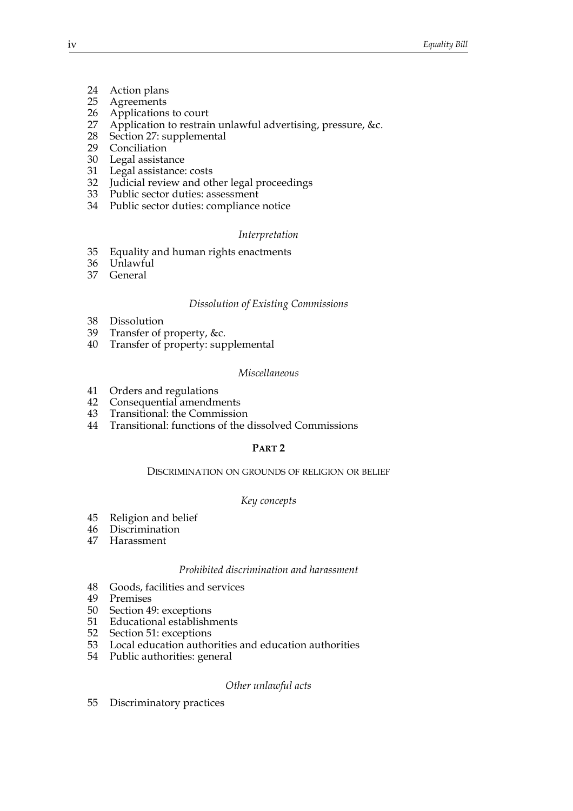- 24 Action plans<br>25 Agreements
- 25 Agreements<br>26 Applications
- 26 Applications to court<br>27 Application to restrain
- 27 Application to restrain unlawful advertising, pressure, &c.<br>28 Section 27: supplemental
- 28 Section 27: supplemental<br>29 Conciliation
- Conciliation
- 30 Legal assistance
- 31 Legal assistance: costs
- 32 Judicial review and other legal proceedings
- 33 Public sector duties: assessment
- 34 Public sector duties: compliance notice

#### *Interpretation*

- 35 Equality and human rights enactments
- 36 Unlawful<br>37 General
- **General**

#### *Dissolution of Existing Commissions*

- 38 Dissolution
- 39 Transfer of property, &c.
- 40 Transfer of property: supplemental

#### *Miscellaneous*

- 41 Orders and regulations
- 42 Consequential amendments
- 43 Transitional: the Commission
- 44 Transitional: functions of the dissolved Commissions

#### **PART 2**

#### DISCRIMINATION ON GROUNDS OF RELIGION OR BELIEF

#### *Key concepts*

- 45 Religion and belief
- 46 Discrimination
- 47 Harassment

#### *Prohibited discrimination and harassment*

- 48 Goods, facilities and services<br>49 Premises
- **Premises**
- 50 Section 49: exceptions
- 51 Educational establishments
- 52 Section 51: exceptions
- 53 Local education authorities and education authorities
- 54 Public authorities: general

#### *Other unlawful acts*

55 Discriminatory practices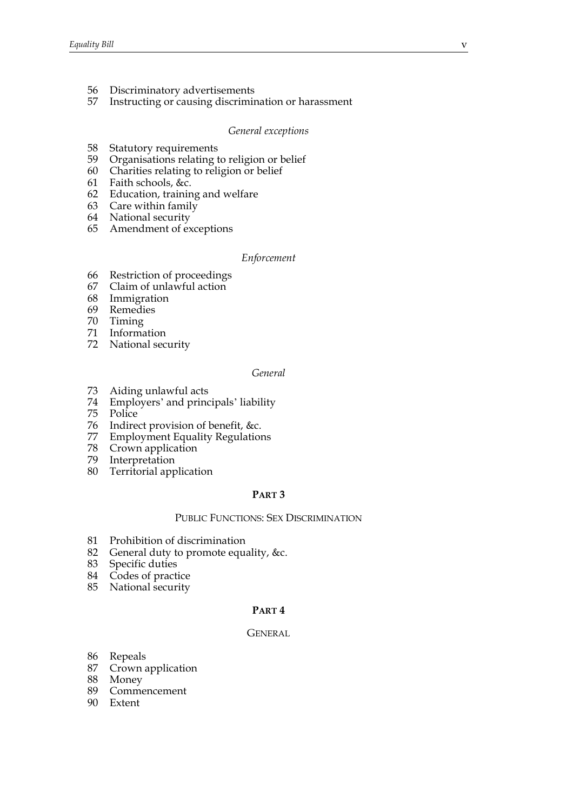- 56 Discriminatory advertisements
- 57 Instructing or causing discrimination or harassment

#### *General exceptions*

- 58 Statutory requirements
- 59 Organisations relating to religion or belief
- 60 Charities relating to religion or belief 61 Faith schools, &c.
- Faith schools, &c.
- 62 Education, training and welfare
- 63 Care within family
- 64 National security
- 65 Amendment of exceptions

#### *Enforcement*

- 66 Restriction of proceedings
- 67 Claim of unlawful action
- 68 Immigration
- 69 Remedies<br>70 Timing
- **Timing**
- 71 Information
- 72 National security

#### *General*

- 73 Aiding unlawful acts
- 74 Employers' and principals' liability
- 75 Police
- 76 Indirect provision of benefit, &c.<br>77 Employment Equality Regulation
- **Employment Equality Regulations**
- 78 Crown application
- 79 Interpretation
- 80 Territorial application

#### **PART 3**

#### PUBLIC FUNCTIONS: SEX DISCRIMINATION

- 81 Prohibition of discrimination<br>82 General duty to promote equal
- General duty to promote equality, &c.
- 83 Specific duties
- 84 Codes of practice
- 85 National security

#### **PART 4**

#### GENERAL

- 86 Repeals
- 87 Crown application<br>88 Money
- **Money**
- 89 Commencement
- 90 Extent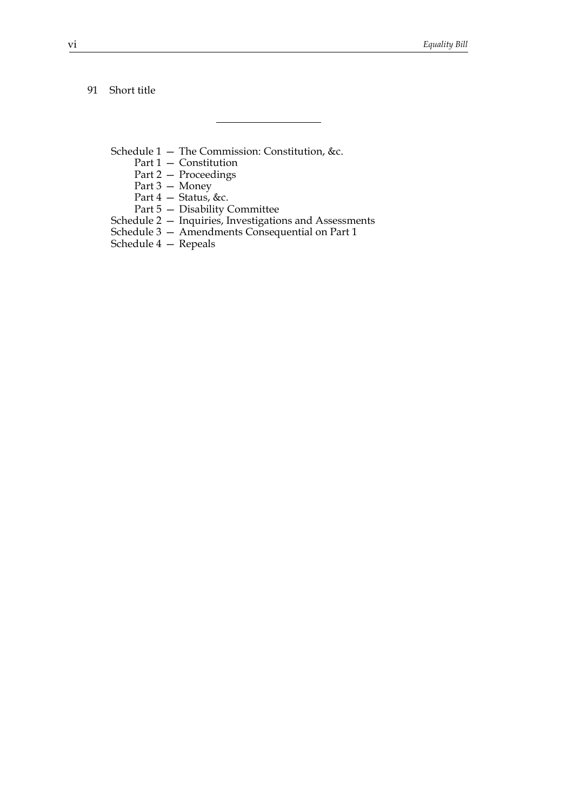91 Short title

- Schedule 1 The Commission: Constitution, &c.
	- Part 1 Constitution
	- Part 2 Proceedings
	- Part 3 Money
	- Part 4 Status, &c.
	- Part 5 Disability Committee
- Schedule 2 Inquiries, Investigations and Assessments
- Schedule 3 Amendments Consequential on Part 1
- Schedule 4 Repeals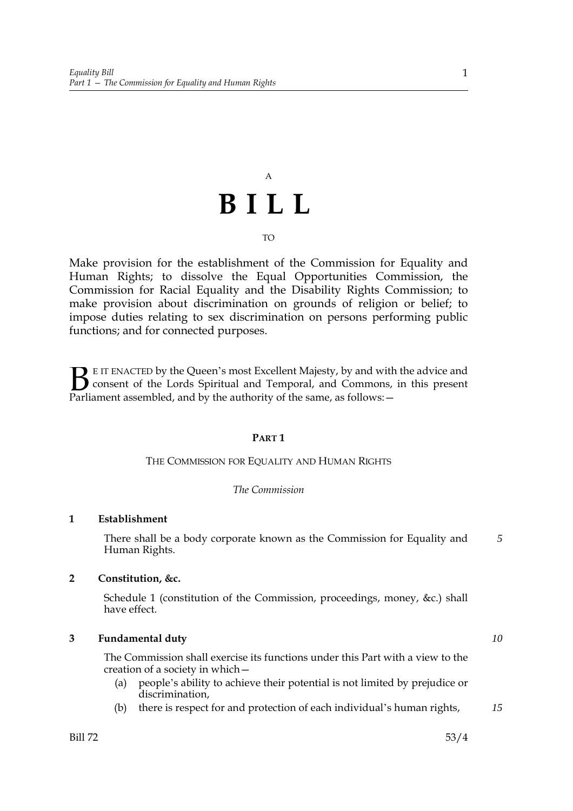# A **BILL**

#### TO

Make provision for the establishment of the Commission for Equality and Human Rights; to dissolve the Equal Opportunities Commission, the Commission for Racial Equality and the Disability Rights Commission; to make provision about discrimination on grounds of religion or belief; to impose duties relating to sex discrimination on persons performing public functions; and for connected purposes.

E IT ENACTED by the Queen's most Excellent Majesty, by and with the advice and consent of the Lords Spiritual and Temporal, and Commons, in this present Parliament assembled, and by the authority of the same, as follows: - $\mathbf{B}_{\text{rel}}$ 

#### **PART 1**

#### THE COMMISSION FOR EQUALITY AND HUMAN RIGHTS

#### *The Commission*

#### **1 Establishment**

There shall be a body corporate known as the Commission for Equality and Human Rights. *5*

#### **2 Constitution, &c.**

Schedule 1 (constitution of the Commission, proceedings, money, &c.) shall have effect.

## **3 Fundamental duty**

The Commission shall exercise its functions under this Part with a view to the creation of a society in which—

- (a) people's ability to achieve their potential is not limited by prejudice or discrimination,
- (b) there is respect for and protection of each individual's human rights,

*10*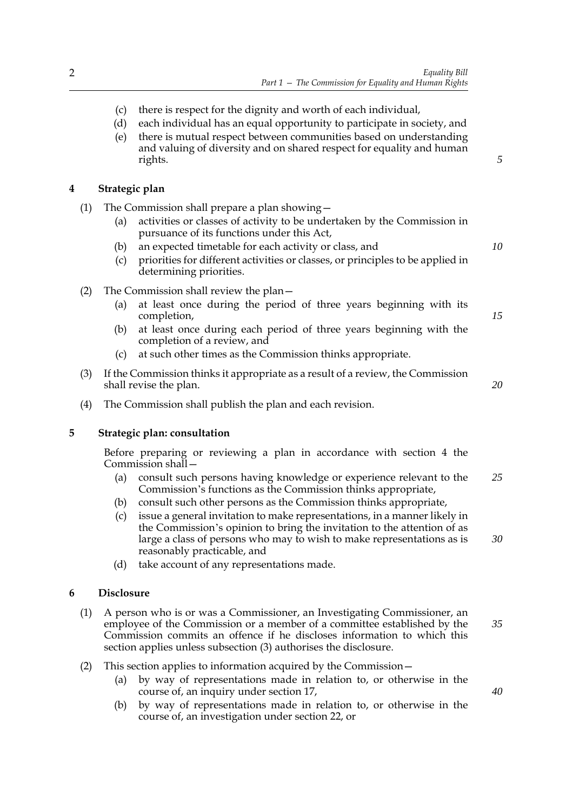- (c) there is respect for the dignity and worth of each individual,
- (d) each individual has an equal opportunity to participate in society, and
- (e) there is mutual respect between communities based on understanding and valuing of diversity and on shared respect for equality and human rights.

# **4 Strategic plan**

- (1) The Commission shall prepare a plan showing—
	- (a) activities or classes of activity to be undertaken by the Commission in pursuance of its functions under this Act,
	- (b) an expected timetable for each activity or class, and
	- (c) priorities for different activities or classes, or principles to be applied in determining priorities.
- (2) The Commission shall review the plan—
	- (a) at least once during the period of three years beginning with its completion,
	- (b) at least once during each period of three years beginning with the completion of a review, and
	- (c) at such other times as the Commission thinks appropriate.
- (3) If the Commission thinks it appropriate as a result of a review, the Commission shall revise the plan.
- (4) The Commission shall publish the plan and each revision.

## **5 Strategic plan: consultation**

Before preparing or reviewing a plan in accordance with section 4 the Commission shall—

- (a) consult such persons having knowledge or experience relevant to the Commission's functions as the Commission thinks appropriate, *25*
- (b) consult such other persons as the Commission thinks appropriate,
- (c) issue a general invitation to make representations, in a manner likely in the Commission's opinion to bring the invitation to the attention of as large a class of persons who may to wish to make representations as is reasonably practicable, and *30*
- (d) take account of any representations made.

## **6 Disclosure**

- (1) A person who is or was a Commissioner, an Investigating Commissioner, an employee of the Commission or a member of a committee established by the Commission commits an offence if he discloses information to which this section applies unless subsection (3) authorises the disclosure. *35*
- (2) This section applies to information acquired by the Commission—
	- (a) by way of representations made in relation to, or otherwise in the course of, an inquiry under section 17,
	- (b) by way of representations made in relation to, or otherwise in the course of, an investigation under section 22, or

*40*

*5*

*10*

*15*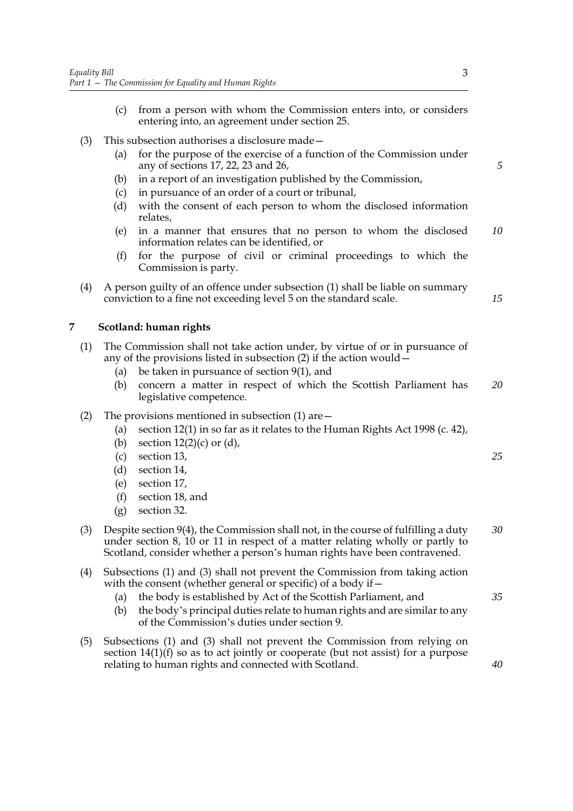- (c) from a person with whom the Commission enters into, or considers entering into, an agreement under section 25.
- (3) This subsection authorises a disclosure made—
	- (a) for the purpose of the exercise of a function of the Commission under any of sections 17, 22, 23 and 26,
	- (b) in a report of an investigation published by the Commission,
	- (c) in pursuance of an order of a court or tribunal,
	- (d) with the consent of each person to whom the disclosed information relates,
	- (e) in a manner that ensures that no person to whom the disclosed information relates can be identified, or *10*
	- (f) for the purpose of civil or criminal proceedings to which the Commission is party.
- (4) A person guilty of an offence under subsection (1) shall be liable on summary conviction to a fine not exceeding level 5 on the standard scale.

#### **7 Scotland: human rights**

- (1) The Commission shall not take action under, by virtue of or in pursuance of any of the provisions listed in subsection (2) if the action would—
	- (a) be taken in pursuance of section 9(1), and
	- (b) concern a matter in respect of which the Scottish Parliament has legislative competence. *20*
- (2) The provisions mentioned in subsection  $(1)$  are  $-$ 
	- (a) section 12(1) in so far as it relates to the Human Rights Act 1998 (c. 42),
	- (b) section  $12(2)(c)$  or  $(d)$ ,
	- (c) section 13,
	- (d) section 14,
	- (e) section 17,
	- (f) section 18, and
	- (g) section 32.
- (3) Despite section 9(4), the Commission shall not, in the course of fulfilling a duty under section 8, 10 or 11 in respect of a matter relating wholly or partly to Scotland, consider whether a person's human rights have been contravened. *30*
- (4) Subsections (1) and (3) shall not prevent the Commission from taking action with the consent (whether general or specific) of a body if  $-$ 
	- (a) the body is established by Act of the Scottish Parliament, and
	- (b) the body's principal duties relate to human rights and are similar to any of the Commission's duties under section 9.
- (5) Subsections (1) and (3) shall not prevent the Commission from relying on section  $14(1)(f)$  so as to act jointly or cooperate (but not assist) for a purpose relating to human rights and connected with Scotland.

*5*

*15*

*25*

*35*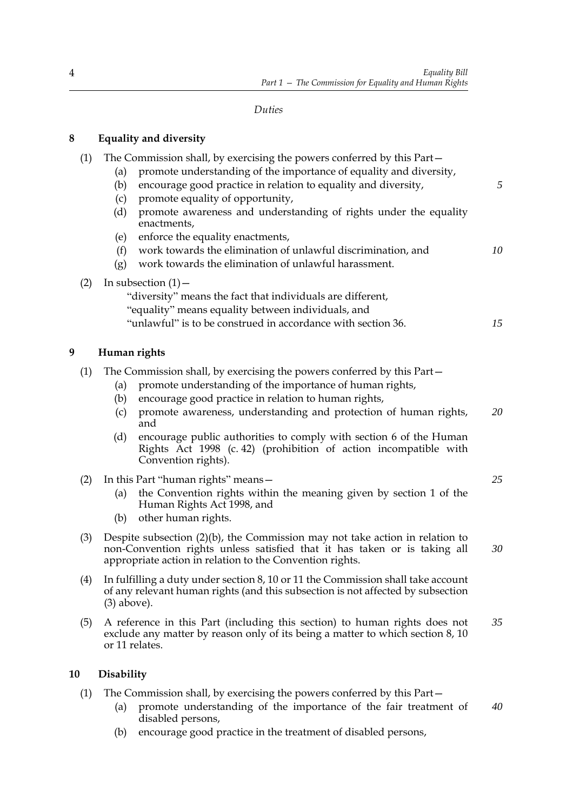## *Duties*

# **8 Equality and diversity**

| (1) | The Commission shall, by exercising the powers conferred by this Part-                                                                                                                                                   |    |  |
|-----|--------------------------------------------------------------------------------------------------------------------------------------------------------------------------------------------------------------------------|----|--|
|     | promote understanding of the importance of equality and diversity,<br>(a)<br>encourage good practice in relation to equality and diversity,<br>(b)                                                                       | 5  |  |
|     | promote equality of opportunity,<br>(c)                                                                                                                                                                                  |    |  |
|     | (d)<br>promote awareness and understanding of rights under the equality<br>enactments,                                                                                                                                   |    |  |
|     | enforce the equality enactments,<br>(e)                                                                                                                                                                                  |    |  |
|     | work towards the elimination of unlawful discrimination, and<br>(f)                                                                                                                                                      | 10 |  |
|     | work towards the elimination of unlawful harassment.<br>(g)                                                                                                                                                              |    |  |
| (2) | In subsection $(1)$ –                                                                                                                                                                                                    |    |  |
|     | "diversity" means the fact that individuals are different,                                                                                                                                                               |    |  |
|     | "equality" means equality between individuals, and                                                                                                                                                                       |    |  |
|     | "unlawful" is to be construed in accordance with section 36.                                                                                                                                                             | 15 |  |
| 9   | Human rights                                                                                                                                                                                                             |    |  |
| (1) | The Commission shall, by exercising the powers conferred by this Part—                                                                                                                                                   |    |  |
|     | promote understanding of the importance of human rights,<br>(a)                                                                                                                                                          |    |  |
|     | encourage good practice in relation to human rights,<br>(b)                                                                                                                                                              |    |  |
|     | promote awareness, understanding and protection of human rights,<br>(c)<br>and                                                                                                                                           | 20 |  |
|     | (d)<br>encourage public authorities to comply with section 6 of the Human<br>Rights Act 1998 (c. 42) (prohibition of action incompatible with<br>Convention rights).                                                     |    |  |
| (2) | In this Part "human rights" means -                                                                                                                                                                                      | 25 |  |
|     | the Convention rights within the meaning given by section 1 of the<br>(a)<br>Human Rights Act 1998, and                                                                                                                  |    |  |
|     | other human rights.<br>(b)                                                                                                                                                                                               |    |  |
| (3) | Despite subsection $(2)(b)$ , the Commission may not take action in relation to<br>non-Convention rights unless satisfied that it has taken or is taking all<br>appropriate action in relation to the Convention rights. |    |  |
| (4) | In fulfilling a duty under section 8, 10 or 11 the Commission shall take account<br>of any relevant human rights (and this subsection is not affected by subsection<br>$(3)$ above).                                     |    |  |
| (5) | A reference in this Part (including this section) to human rights does not<br>exclude any matter by reason only of its being a matter to which section 8, 10<br>or 11 relates.                                           |    |  |
| 10  | Disability                                                                                                                                                                                                               |    |  |
| (1) | The Commission shall, by exercising the powers conferred by this Part-                                                                                                                                                   |    |  |

- (a) promote understanding of the importance of the fair treatment of disabled persons, *40*
- (b) encourage good practice in the treatment of disabled persons,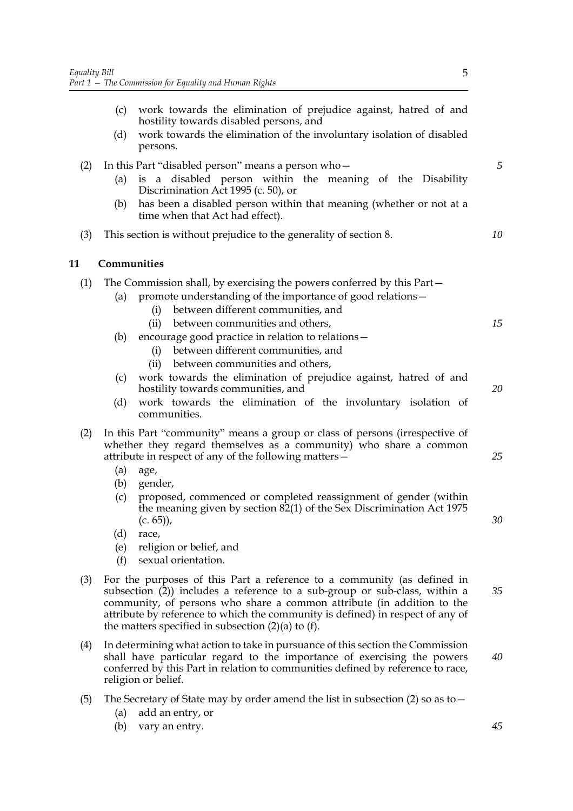- (c) work towards the elimination of prejudice against, hatred of and hostility towards disabled persons, and
- (d) work towards the elimination of the involuntary isolation of disabled persons.
- (2) In this Part "disabled person" means a person who—
	- (a) is a disabled person within the meaning of the Disability Discrimination Act 1995 (c. 50), or
	- (b) has been a disabled person within that meaning (whether or not at a time when that Act had effect).
- (3) This section is without prejudice to the generality of section 8.

# **11 Communities**

# (1) The Commission shall, by exercising the powers conferred by this Part—

- (a) promote understanding of the importance of good relations—
	- (i) between different communities, and
	- (ii) between communities and others,
- (b) encourage good practice in relation to relations—
	- (i) between different communities, and
	- (ii) between communities and others,
- (c) work towards the elimination of prejudice against, hatred of and hostility towards communities, and
- (d) work towards the elimination of the involuntary isolation of communities.
- (2) In this Part "community" means a group or class of persons (irrespective of whether they regard themselves as a community) who share a common attribute in respect of any of the following matters—
	- (a) age,
	- (b) gender,
	- (c) proposed, commenced or completed reassignment of gender (within the meaning given by section 82(1) of the Sex Discrimination Act 1975  $(c. 65)$ ),
	- (d) race,
	- (e) religion or belief, and
	- (f) sexual orientation.
- (3) For the purposes of this Part a reference to a community (as defined in subsection  $(2)$ ) includes a reference to a sub-group or sub-class, within a community, of persons who share a common attribute (in addition to the attribute by reference to which the community is defined) in respect of any of the matters specified in subsection  $(2)(a)$  to  $(f)$ . *35*
- (4) In determining what action to take in pursuance of this section the Commission shall have particular regard to the importance of exercising the powers conferred by this Part in relation to communities defined by reference to race, religion or belief.
- (5) The Secretary of State may by order amend the list in subsection (2) so as to  $-$ 
	- (a) add an entry, or
	- (b) vary an entry.

*45*

*40*

5

*10*

*5*

*20*

*15*

*25*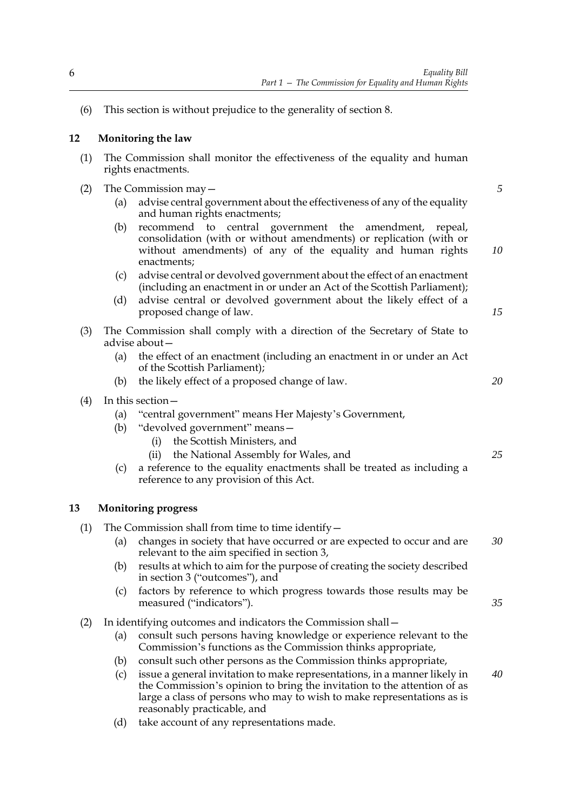(6) This section is without prejudice to the generality of section 8.

# **12 Monitoring the law**

- (1) The Commission shall monitor the effectiveness of the equality and human rights enactments.
- (2) The Commission may—
	- (a) advise central government about the effectiveness of any of the equality and human rights enactments;
	- (b) recommend to central government the amendment, repeal, consolidation (with or without amendments) or replication (with or without amendments) of any of the equality and human rights enactments;
	- (c) advise central or devolved government about the effect of an enactment (including an enactment in or under an Act of the Scottish Parliament);
	- (d) advise central or devolved government about the likely effect of a proposed change of law.
- (3) The Commission shall comply with a direction of the Secretary of State to advise about—
	- (a) the effect of an enactment (including an enactment in or under an Act of the Scottish Parliament);
	- (b) the likely effect of a proposed change of law.
- (4) In this section—
	- (a) "central government" means Her Majesty's Government,
	- (b) "devolved government" means—
		- (i) the Scottish Ministers, and
		- (ii) the National Assembly for Wales, and
	- (c) a reference to the equality enactments shall be treated as including a reference to any provision of this Act.

## **13 Monitoring progress**

- (1) The Commission shall from time to time identify—
	- (a) changes in society that have occurred or are expected to occur and are relevant to the aim specified in section 3, *30*
	- (b) results at which to aim for the purpose of creating the society described in section 3 ("outcomes"), and
	- (c) factors by reference to which progress towards those results may be measured ("indicators").
- (2) In identifying outcomes and indicators the Commission shall—
	- (a) consult such persons having knowledge or experience relevant to the Commission's functions as the Commission thinks appropriate,
	- (b) consult such other persons as the Commission thinks appropriate,
	- (c) issue a general invitation to make representations, in a manner likely in the Commission's opinion to bring the invitation to the attention of as large a class of persons who may to wish to make representations as is reasonably practicable, and *40*
	- (d) take account of any representations made.

*15*

*10*

*5*

*20*

*25*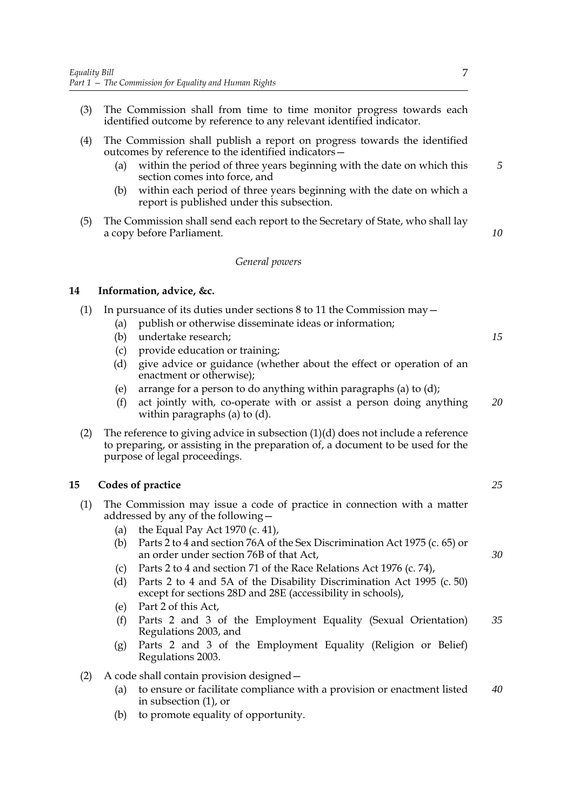- (3) The Commission shall from time to time monitor progress towards each identified outcome by reference to any relevant identified indicator.
- (4) The Commission shall publish a report on progress towards the identified outcomes by reference to the identified indicators—
	- (a) within the period of three years beginning with the date on which this section comes into force, and
	- (b) within each period of three years beginning with the date on which a report is published under this subsection.
- (5) The Commission shall send each report to the Secretary of State, who shall lay a copy before Parliament.

#### *General powers*

# **14 Information, advice, &c.**

- (1) In pursuance of its duties under sections 8 to 11 the Commission may  $-$ 
	- (a) publish or otherwise disseminate ideas or information;
	- (b) undertake research;
	- (c) provide education or training;
	- (d) give advice or guidance (whether about the effect or operation of an enactment or otherwise);
	- (e) arrange for a person to do anything within paragraphs (a) to (d);
	- (f) act jointly with, co-operate with or assist a person doing anything within paragraphs (a) to (d). *20*
- (2) The reference to giving advice in subsection (1)(d) does not include a reference to preparing, or assisting in the preparation of, a document to be used for the purpose of legal proceedings.

## **15 Codes of practice**

- (1) The Commission may issue a code of practice in connection with a matter addressed by any of the following—
	- (a) the Equal Pay Act 1970 (c. 41),
	- (b) Parts 2 to 4 and section 76A of the Sex Discrimination Act 1975 (c. 65) or an order under section 76B of that Act,
	- (c) Parts 2 to 4 and section 71 of the Race Relations Act 1976 (c. 74),
	- (d) Parts 2 to 4 and 5A of the Disability Discrimination Act 1995 (c. 50) except for sections 28D and 28E (accessibility in schools),
	- (e) Part 2 of this Act,
	- (f) Parts 2 and 3 of the Employment Equality (Sexual Orientation) Regulations 2003, and *35*
	- (g) Parts 2 and 3 of the Employment Equality (Religion or Belief) Regulations 2003.
- (2) A code shall contain provision designed—
	- (a) to ensure or facilitate compliance with a provision or enactment listed in subsection (1), or *40*
	- (b) to promote equality of opportunity.

*5*

*10*

*15*

*25*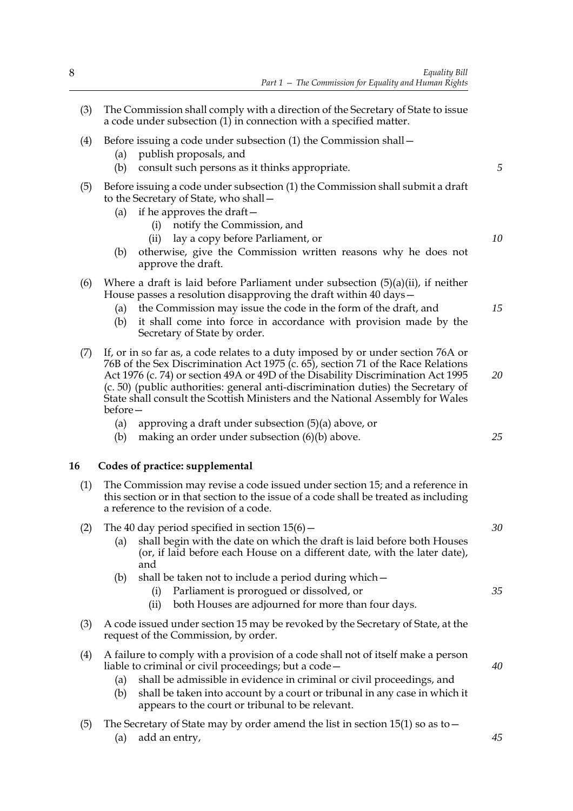- (3) The Commission shall comply with a direction of the Secretary of State to issue a code under subsection (1) in connection with a specified matter.
- (4) Before issuing a code under subsection (1) the Commission shall—
	- (a) publish proposals, and
	- (b) consult such persons as it thinks appropriate.
- (5) Before issuing a code under subsection (1) the Commission shall submit a draft to the Secretary of State, who shall—
	- (a) if he approves the draft  $-$ 
		- (i) notify the Commission, and
		- (ii) lay a copy before Parliament, or
	- (b) otherwise, give the Commission written reasons why he does not approve the draft.
- (6) Where a draft is laid before Parliament under subsection (5)(a)(ii), if neither House passes a resolution disapproving the draft within 40 days—
	- (a) the Commission may issue the code in the form of the draft, and
	- (b) it shall come into force in accordance with provision made by the Secretary of State by order.
- (7) If, or in so far as, a code relates to a duty imposed by or under section 76A or 76B of the Sex Discrimination Act 1975 (c. 65), section 71 of the Race Relations Act 1976 (c. 74) or section 49A or 49D of the Disability Discrimination Act 1995 (c. 50) (public authorities: general anti-discrimination duties) the Secretary of State shall consult the Scottish Ministers and the National Assembly for Wales before—
	- (a) approving a draft under subsection (5)(a) above, or
	- (b) making an order under subsection (6)(b) above.

#### **16 Codes of practice: supplemental**

- (1) The Commission may revise a code issued under section 15; and a reference in this section or in that section to the issue of a code shall be treated as including a reference to the revision of a code.
- (2) The 40 day period specified in section  $15(6)$ 
	- (a) shall begin with the date on which the draft is laid before both Houses (or, if laid before each House on a different date, with the later date), and
	- (b) shall be taken not to include a period during which  $-$ 
		- (i) Parliament is prorogued or dissolved, or
		- (ii) both Houses are adjourned for more than four days.
- (3) A code issued under section 15 may be revoked by the Secretary of State, at the request of the Commission, by order.
- (4) A failure to comply with a provision of a code shall not of itself make a person liable to criminal or civil proceedings; but a code—
	- (a) shall be admissible in evidence in criminal or civil proceedings, and
	- (b) shall be taken into account by a court or tribunal in any case in which it appears to the court or tribunal to be relevant.
- (5) The Secretary of State may by order amend the list in section 15(1) so as to  $-$

*15*

*10*

*5*

*20*

*25*

*30*

*35*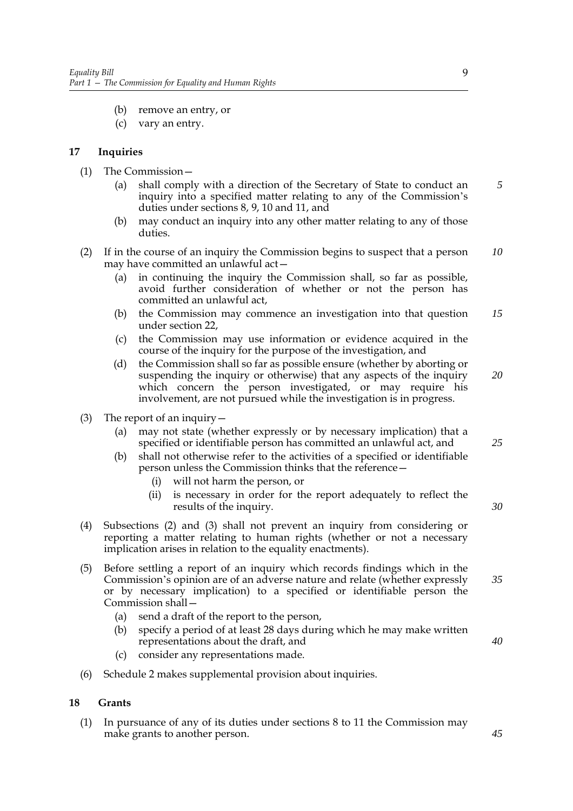- (b) remove an entry, or
- (c) vary an entry.

### **17 Inquiries**

- (1) The Commission—
	- (a) shall comply with a direction of the Secretary of State to conduct an inquiry into a specified matter relating to any of the Commission's duties under sections 8, 9, 10 and 11, and
	- (b) may conduct an inquiry into any other matter relating to any of those duties.
- (2) If in the course of an inquiry the Commission begins to suspect that a person may have committed an unlawful act— *10*
	- (a) in continuing the inquiry the Commission shall, so far as possible, avoid further consideration of whether or not the person has committed an unlawful act,
	- (b) the Commission may commence an investigation into that question under section 22, *15*
	- (c) the Commission may use information or evidence acquired in the course of the inquiry for the purpose of the investigation, and
	- (d) the Commission shall so far as possible ensure (whether by aborting or suspending the inquiry or otherwise) that any aspects of the inquiry which concern the person investigated, or may require his involvement, are not pursued while the investigation is in progress.
- (3) The report of an inquiry—
	- (a) may not state (whether expressly or by necessary implication) that a specified or identifiable person has committed an unlawful act, and
	- (b) shall not otherwise refer to the activities of a specified or identifiable person unless the Commission thinks that the reference—
		- (i) will not harm the person, or
		- (ii) is necessary in order for the report adequately to reflect the results of the inquiry.
- (4) Subsections (2) and (3) shall not prevent an inquiry from considering or reporting a matter relating to human rights (whether or not a necessary implication arises in relation to the equality enactments).
- (5) Before settling a report of an inquiry which records findings which in the Commission's opinion are of an adverse nature and relate (whether expressly or by necessary implication) to a specified or identifiable person the Commission shall— *35*
	- (a) send a draft of the report to the person,
	- (b) specify a period of at least 28 days during which he may make written representations about the draft, and
	- (c) consider any representations made.
- (6) Schedule 2 makes supplemental provision about inquiries.

#### **18 Grants**

(1) In pursuance of any of its duties under sections 8 to 11 the Commission may make grants to another person.

*25*

*20*

*5*

*30*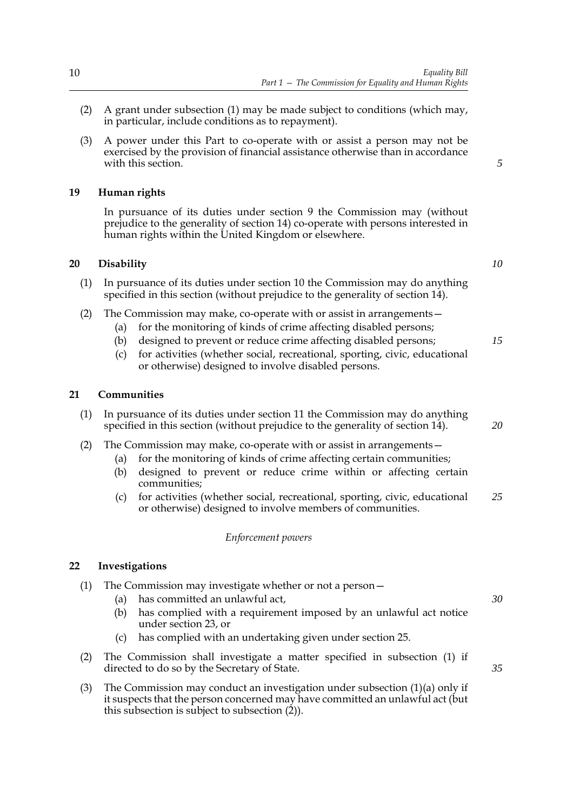- (2) A grant under subsection (1) may be made subject to conditions (which may, in particular, include conditions as to repayment).
- (3) A power under this Part to co-operate with or assist a person may not be exercised by the provision of financial assistance otherwise than in accordance with this section.

#### **19 Human rights**

In pursuance of its duties under section 9 the Commission may (without prejudice to the generality of section 14) co-operate with persons interested in human rights within the United Kingdom or elsewhere.

## **20 Disability**

- (1) In pursuance of its duties under section 10 the Commission may do anything specified in this section (without prejudice to the generality of section 14).
- (2) The Commission may make, co-operate with or assist in arrangements—
	- (a) for the monitoring of kinds of crime affecting disabled persons;
	- (b) designed to prevent or reduce crime affecting disabled persons;
	- (c) for activities (whether social, recreational, sporting, civic, educational or otherwise) designed to involve disabled persons.

#### **21 Communities**

- (1) In pursuance of its duties under section 11 the Commission may do anything specified in this section (without prejudice to the generality of section 14).
- (2) The Commission may make, co-operate with or assist in arrangements—
	- (a) for the monitoring of kinds of crime affecting certain communities;
	- (b) designed to prevent or reduce crime within or affecting certain communities;
	- (c) for activities (whether social, recreational, sporting, civic, educational or otherwise) designed to involve members of communities. *25*

#### *Enforcement powers*

#### **22 Investigations**

- (1) The Commission may investigate whether or not a person—
	- (a) has committed an unlawful act,
	- (b) has complied with a requirement imposed by an unlawful act notice under section 23, or
	- (c) has complied with an undertaking given under section 25.
- (2) The Commission shall investigate a matter specified in subsection (1) if directed to do so by the Secretary of State.
- (3) The Commission may conduct an investigation under subsection (1)(a) only if it suspects that the person concerned may have committed an unlawful act (but this subsection is subject to subsection (2)).

*10*

*15*

*5*

*20*

*30*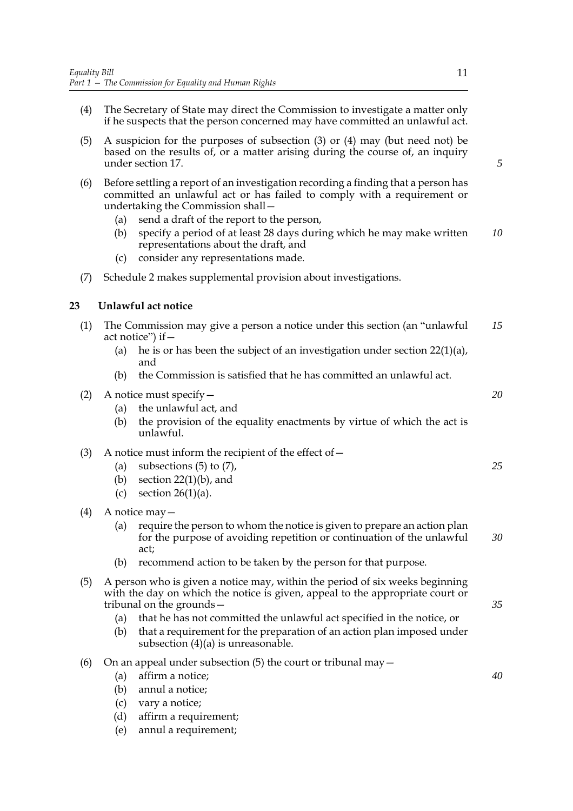- (4) The Secretary of State may direct the Commission to investigate a matter only if he suspects that the person concerned may have committed an unlawful act.
- (5) A suspicion for the purposes of subsection (3) or (4) may (but need not) be based on the results of, or a matter arising during the course of, an inquiry under section 17.
- (6) Before settling a report of an investigation recording a finding that a person has committed an unlawful act or has failed to comply with a requirement or undertaking the Commission shall—
	- (a) send a draft of the report to the person,
	- (b) specify a period of at least 28 days during which he may make written representations about the draft, and *10*
	- (c) consider any representations made.
- (7) Schedule 2 makes supplemental provision about investigations.

# **23 Unlawful act notice**

- (1) The Commission may give a person a notice under this section (an "unlawful act notice") if— *15*
	- (a) he is or has been the subject of an investigation under section  $22(1)(a)$ , and
	- (b) the Commission is satisfied that he has committed an unlawful act.
- (2) A notice must specify—
	- (a) the unlawful act, and
	- (b) the provision of the equality enactments by virtue of which the act is unlawful.

## (3) A notice must inform the recipient of the effect of  $-$

- (a) subsections  $(5)$  to  $(7)$ ,
- (b) section  $22(1)(b)$ , and
- (c) section  $26(1)(a)$ .
- (4) A notice may—
	- (a) require the person to whom the notice is given to prepare an action plan for the purpose of avoiding repetition or continuation of the unlawful act; *30*
	- (b) recommend action to be taken by the person for that purpose.
- (5) A person who is given a notice may, within the period of six weeks beginning with the day on which the notice is given, appeal to the appropriate court or tribunal on the grounds—
	- (a) that he has not committed the unlawful act specified in the notice, or
	- (b) that a requirement for the preparation of an action plan imposed under subsection  $(4)(a)$  is unreasonable.
- (6) On an appeal under subsection (5) the court or tribunal may  $-$ 
	- (a) affirm a notice;
	- (b) annul a notice;
	- (c) vary a notice;
	- (d) affirm a requirement;
	- (e) annul a requirement;

*5*

- *35*
- *40*

*25*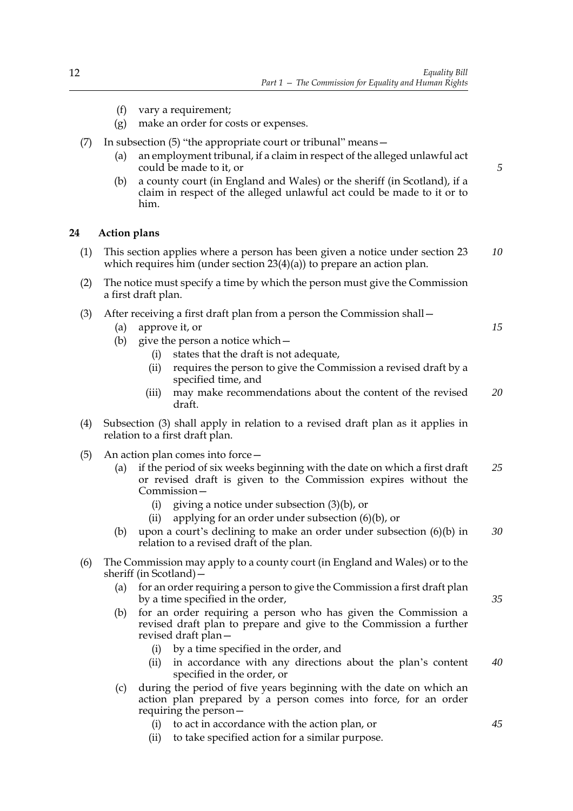- (f) vary a requirement;
- (g) make an order for costs or expenses.
- (7) In subsection (5) "the appropriate court or tribunal" means—
	- (a) an employment tribunal, if a claim in respect of the alleged unlawful act could be made to it, or
	- (b) a county court (in England and Wales) or the sheriff (in Scotland), if a claim in respect of the alleged unlawful act could be made to it or to him.

### **24 Action plans**

- (1) This section applies where a person has been given a notice under section 23 which requires him (under section 23(4)(a)) to prepare an action plan. *10*
- (2) The notice must specify a time by which the person must give the Commission a first draft plan.
- (3) After receiving a first draft plan from a person the Commission shall—
	- (a) approve it, or
	- (b) give the person a notice which  $-$ 
		- (i) states that the draft is not adequate,
		- (ii) requires the person to give the Commission a revised draft by a specified time, and
		- (iii) may make recommendations about the content of the revised draft. *20*
- (4) Subsection (3) shall apply in relation to a revised draft plan as it applies in relation to a first draft plan.
- (5) An action plan comes into force—
	- (a) if the period of six weeks beginning with the date on which a first draft or revised draft is given to the Commission expires without the Commission— *25*
		- (i) giving a notice under subsection (3)(b), or
		- (ii) applying for an order under subsection (6)(b), or
	- (b) upon a court's declining to make an order under subsection (6)(b) in relation to a revised draft of the plan. *30*
- (6) The Commission may apply to a county court (in England and Wales) or to the sheriff (in Scotland)—
	- (a) for an order requiring a person to give the Commission a first draft plan by a time specified in the order,
	- (b) for an order requiring a person who has given the Commission a revised draft plan to prepare and give to the Commission a further revised draft plan—
		- (i) by a time specified in the order, and
		- (ii) in accordance with any directions about the plan's content specified in the order, or *40*
	- (c) during the period of five years beginning with the date on which an action plan prepared by a person comes into force, for an order requiring the person—
		- (i) to act in accordance with the action plan, or
		- (ii) to take specified action for a similar purpose.

*35*

*5*

*15*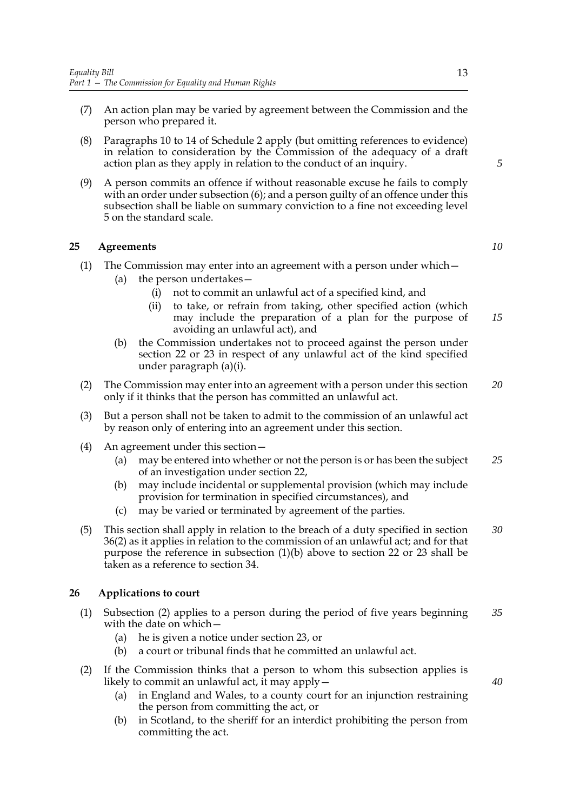- (7) An action plan may be varied by agreement between the Commission and the person who prepared it.
- (8) Paragraphs 10 to 14 of Schedule 2 apply (but omitting references to evidence) in relation to consideration by the Commission of the adequacy of a draft action plan as they apply in relation to the conduct of an inquiry.
- (9) A person commits an offence if without reasonable excuse he fails to comply with an order under subsection (6); and a person guilty of an offence under this subsection shall be liable on summary conviction to a fine not exceeding level 5 on the standard scale.

# **25 Agreements**

*10*

*5*

- (1) The Commission may enter into an agreement with a person under which—
	- (a) the person undertakes—
		- (i) not to commit an unlawful act of a specified kind, and
		- (ii) to take, or refrain from taking, other specified action (which may include the preparation of a plan for the purpose of avoiding an unlawful act), and *15*
	- (b) the Commission undertakes not to proceed against the person under section 22 or 23 in respect of any unlawful act of the kind specified under paragraph (a)(i).
- (2) The Commission may enter into an agreement with a person under this section only if it thinks that the person has committed an unlawful act. *20*
- (3) But a person shall not be taken to admit to the commission of an unlawful act by reason only of entering into an agreement under this section.
- (4) An agreement under this section—
	- (a) may be entered into whether or not the person is or has been the subject of an investigation under section 22, *25*
	- (b) may include incidental or supplemental provision (which may include provision for termination in specified circumstances), and
	- (c) may be varied or terminated by agreement of the parties.
- (5) This section shall apply in relation to the breach of a duty specified in section 36(2) as it applies in relation to the commission of an unlawful act; and for that purpose the reference in subsection (1)(b) above to section 22 or 23 shall be taken as a reference to section 34. *30*

# **26 Applications to court**

- (1) Subsection (2) applies to a person during the period of five years beginning with the date on which— *35*
	- (a) he is given a notice under section 23, or
	- (b) a court or tribunal finds that he committed an unlawful act.
- (2) If the Commission thinks that a person to whom this subsection applies is likely to commit an unlawful act, it may apply—
	- (a) in England and Wales, to a county court for an injunction restraining the person from committing the act, or
	- (b) in Scotland, to the sheriff for an interdict prohibiting the person from committing the act.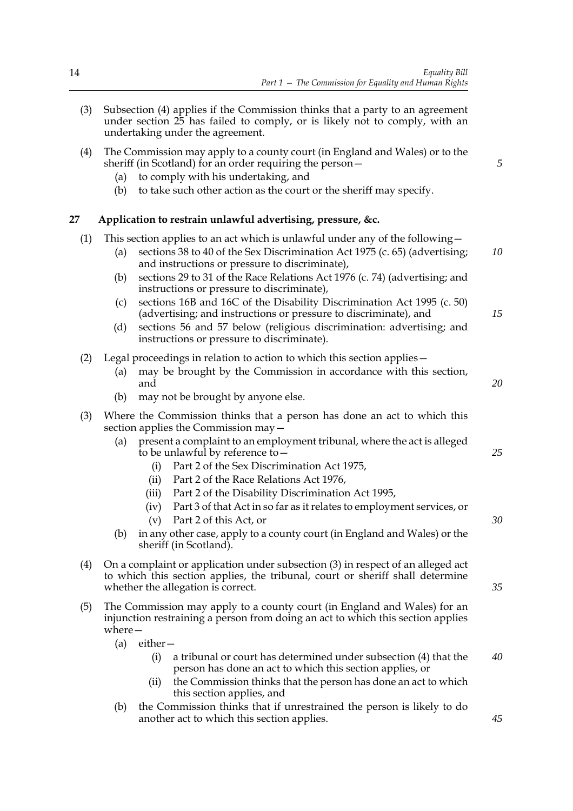| (3) | Subsection (4) applies if the Commission thinks that a party to an agreement<br>under section 25 has failed to comply, or is likely not to comply, with an<br>undertaking under the agreement.                                                                                                                                                 |    |  |
|-----|------------------------------------------------------------------------------------------------------------------------------------------------------------------------------------------------------------------------------------------------------------------------------------------------------------------------------------------------|----|--|
| (4) | The Commission may apply to a county court (in England and Wales) or to the<br>sheriff (in Scotland) for an order requiring the person -<br>to comply with his undertaking, and<br>(a)<br>to take such other action as the court or the sheriff may specify.<br>(b)                                                                            | 5  |  |
| 27  | Application to restrain unlawful advertising, pressure, &c.                                                                                                                                                                                                                                                                                    |    |  |
| (1) | This section applies to an act which is unlawful under any of the following –<br>sections 38 to 40 of the Sex Discrimination Act 1975 (c. 65) (advertising;<br>(a)<br>and instructions or pressure to discriminate),<br>sections 29 to 31 of the Race Relations Act 1976 (c. 74) (advertising; and                                             | 10 |  |
|     | (b)<br>instructions or pressure to discriminate),<br>sections 16B and 16C of the Disability Discrimination Act 1995 (c. 50)<br>(c)<br>(advertising; and instructions or pressure to discriminate), and<br>sections 56 and 57 below (religious discrimination: advertising; and<br>(d)<br>instructions or pressure to discriminate).            | 15 |  |
| (2) | Legal proceedings in relation to action to which this section applies -<br>may be brought by the Commission in accordance with this section,<br>(a)<br>and<br>may not be brought by anyone else.<br>(b)                                                                                                                                        | 20 |  |
| (3) | Where the Commission thinks that a person has done an act to which this<br>section applies the Commission may -<br>present a complaint to an employment tribunal, where the act is alleged<br>(a)<br>to be unlawful by reference to $-$<br>Part 2 of the Sex Discrimination Act 1975,<br>(i)<br>Part 2 of the Race Relations Act 1976,<br>(ii) | 25 |  |
|     | Part 2 of the Disability Discrimination Act 1995,<br>(iii)<br>Part 3 of that Act in so far as it relates to employment services, or<br>(iv)<br>Part 2 of this Act, or<br>(v)<br>in any other case, apply to a county court (in England and Wales) or the<br>(b)<br>sheriff (in Scotland).                                                      | 30 |  |
| (4) | On a complaint or application under subsection (3) in respect of an alleged act<br>to which this section applies, the tribunal, court or sheriff shall determine<br>whether the allegation is correct.                                                                                                                                         |    |  |
| (5) | The Commission may apply to a county court (in England and Wales) for an<br>injunction restraining a person from doing an act to which this section applies<br>where $-$<br>(a)<br>$either-$                                                                                                                                                   |    |  |
|     | (i)<br>a tribunal or court has determined under subsection (4) that the<br>person has done an act to which this section applies, or<br>the Commission thinks that the person has done an act to which<br>(ii)<br>this section applies, and                                                                                                     | 40 |  |

(b) the Commission thinks that if unrestrained the person is likely to do another act to which this section applies.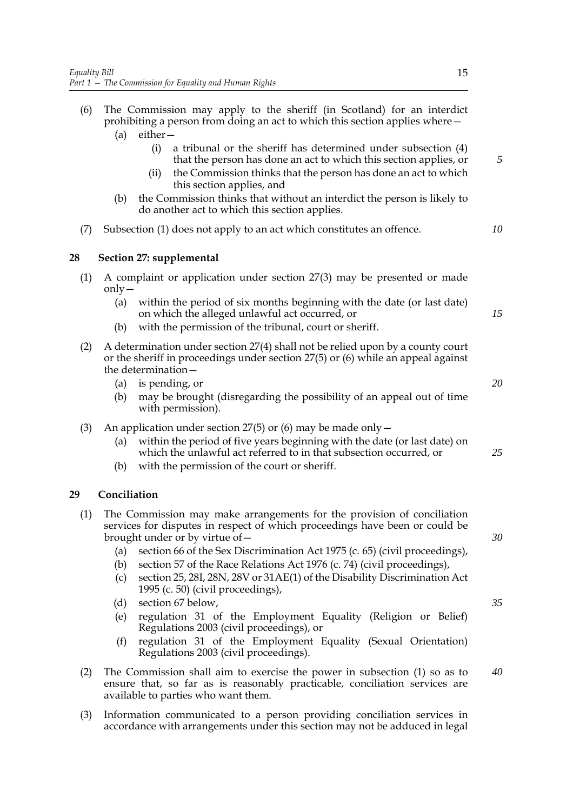- (6) The Commission may apply to the sheriff (in Scotland) for an interdict prohibiting a person from doing an act to which this section applies where— (a) either—
	- (i) a tribunal or the sheriff has determined under subsection (4) that the person has done an act to which this section applies, or
	- (ii) the Commission thinks that the person has done an act to which this section applies, and
	- (b) the Commission thinks that without an interdict the person is likely to do another act to which this section applies.
- (7) Subsection (1) does not apply to an act which constitutes an offence.

# **28 Section 27: supplemental**

- (1) A complaint or application under section 27(3) may be presented or made  $only -$ 
	- (a) within the period of six months beginning with the date (or last date) on which the alleged unlawful act occurred, or
	- (b) with the permission of the tribunal, court or sheriff.
- (2) A determination under section 27(4) shall not be relied upon by a county court or the sheriff in proceedings under section 27(5) or (6) while an appeal against the determination—
	- (a) is pending, or
	- (b) may be brought (disregarding the possibility of an appeal out of time with permission).
- (3) An application under section 27(5) or (6) may be made only  $-$ 
	- (a) within the period of five years beginning with the date (or last date) on which the unlawful act referred to in that subsection occurred, or
	- (b) with the permission of the court or sheriff.

## **29 Conciliation**

- (1) The Commission may make arrangements for the provision of conciliation services for disputes in respect of which proceedings have been or could be brought under or by virtue of—
	- (a) section 66 of the Sex Discrimination Act 1975 (c. 65) (civil proceedings),
	- (b) section 57 of the Race Relations Act 1976 (c. 74) (civil proceedings),
	- (c) section 25, 28I, 28N, 28V or 31AE(1) of the Disability Discrimination Act 1995 (c. 50) (civil proceedings),
	- (d) section 67 below,
	- (e) regulation 31 of the Employment Equality (Religion or Belief) Regulations 2003 (civil proceedings), or
	- (f) regulation 31 of the Employment Equality (Sexual Orientation) Regulations 2003 (civil proceedings).
- (2) The Commission shall aim to exercise the power in subsection (1) so as to ensure that, so far as is reasonably practicable, conciliation services are available to parties who want them.
- (3) Information communicated to a person providing conciliation services in accordance with arrangements under this section may not be adduced in legal

*5*

*10*

*15*

*20*

*25*

*35*

*30*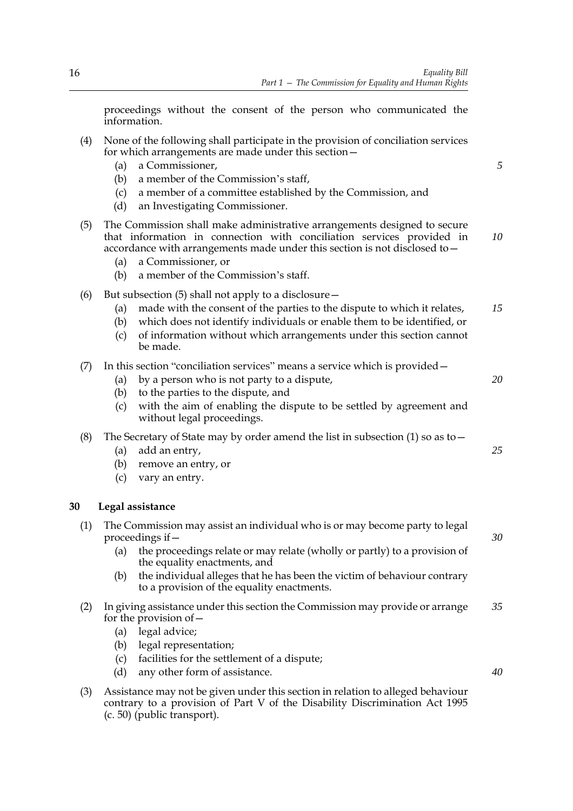proceedings without the consent of the person who communicated the information.

- (4) None of the following shall participate in the provision of conciliation services for which arrangements are made under this section—
	- (a) a Commissioner,
	- (b) a member of the Commission's staff,
	- (c) a member of a committee established by the Commission, and
	- (d) an Investigating Commissioner.
- (5) The Commission shall make administrative arrangements designed to secure that information in connection with conciliation services provided in accordance with arrangements made under this section is not disclosed to— *10*
	- (a) a Commissioner, or
	- (b) a member of the Commission's staff.
- (6) But subsection (5) shall not apply to a disclosure—
	- (a) made with the consent of the parties to the dispute to which it relates, *15*
	- (b) which does not identify individuals or enable them to be identified, or
	- (c) of information without which arrangements under this section cannot be made.

# (7) In this section "conciliation services" means a service which is provided—

- (a) by a person who is not party to a dispute,
- (b) to the parties to the dispute, and
- (c) with the aim of enabling the dispute to be settled by agreement and without legal proceedings.

#### (8) The Secretary of State may by order amend the list in subsection (1) so as to  $-$

- (a) add an entry,
- (b) remove an entry, or
- (c) vary an entry.

#### **30 Legal assistance**

| (1) The Commission may assist an individual who is or may become party to legal                  |  |
|--------------------------------------------------------------------------------------------------|--|
| proceedings if –                                                                                 |  |
| (a) the measure of the semi-tage measure of the full of the semi-tage of $\langle \cdot \rangle$ |  |

- (a) the proceedings relate or may relate (wholly or partly) to a provision of the equality enactments, and
- (b) the individual alleges that he has been the victim of behaviour contrary to a provision of the equality enactments.
- (2) In giving assistance under this section the Commission may provide or arrange for the provision of— *35*
	- (a) legal advice;
	- (b) legal representation;
	- (c) facilities for the settlement of a dispute;
	- (d) any other form of assistance.
- (3) Assistance may not be given under this section in relation to alleged behaviour contrary to a provision of Part V of the Disability Discrimination Act 1995 (c. 50) (public transport).

*25*

*40*

*20*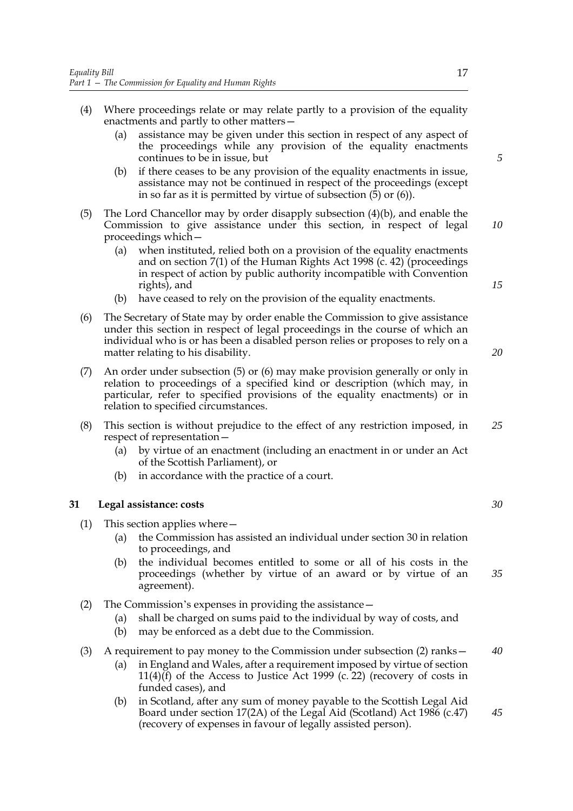- (4) Where proceedings relate or may relate partly to a provision of the equality enactments and partly to other matters—
	- (a) assistance may be given under this section in respect of any aspect of the proceedings while any provision of the equality enactments continues to be in issue, but
	- (b) if there ceases to be any provision of the equality enactments in issue, assistance may not be continued in respect of the proceedings (except in so far as it is permitted by virtue of subsection (5) or (6)).
- (5) The Lord Chancellor may by order disapply subsection (4)(b), and enable the Commission to give assistance under this section, in respect of legal proceedings which—
	- (a) when instituted, relied both on a provision of the equality enactments and on section 7(1) of the Human Rights Act 1998 (c. 42) (proceedings in respect of action by public authority incompatible with Convention rights), and
	- (b) have ceased to rely on the provision of the equality enactments.
- (6) The Secretary of State may by order enable the Commission to give assistance under this section in respect of legal proceedings in the course of which an individual who is or has been a disabled person relies or proposes to rely on a matter relating to his disability.
- (7) An order under subsection (5) or (6) may make provision generally or only in relation to proceedings of a specified kind or description (which may, in particular, refer to specified provisions of the equality enactments) or in relation to specified circumstances.
- (8) This section is without prejudice to the effect of any restriction imposed, in respect of representation— *25*
	- (a) by virtue of an enactment (including an enactment in or under an Act of the Scottish Parliament), or
	- (b) in accordance with the practice of a court.

#### **31 Legal assistance: costs**

- (1) This section applies where—
	- (a) the Commission has assisted an individual under section 30 in relation to proceedings, and
	- (b) the individual becomes entitled to some or all of his costs in the proceedings (whether by virtue of an award or by virtue of an agreement). *35*
- (2) The Commission's expenses in providing the assistance—
	- (a) shall be charged on sums paid to the individual by way of costs, and
	- (b) may be enforced as a debt due to the Commission.

#### (3) A requirement to pay money to the Commission under subsection (2) ranks— *40*

- (a) in England and Wales, after a requirement imposed by virtue of section  $11(4)(f)$  of the Access to Justice Act 1999 (c. 22) (recovery of costs in funded cases), and
- (b) in Scotland, after any sum of money payable to the Scottish Legal Aid Board under section 17(2A) of the Legal Aid (Scotland) Act 1986 (c.47) (recovery of expenses in favour of legally assisted person). *45*

*10*

*15*

*5*

*20*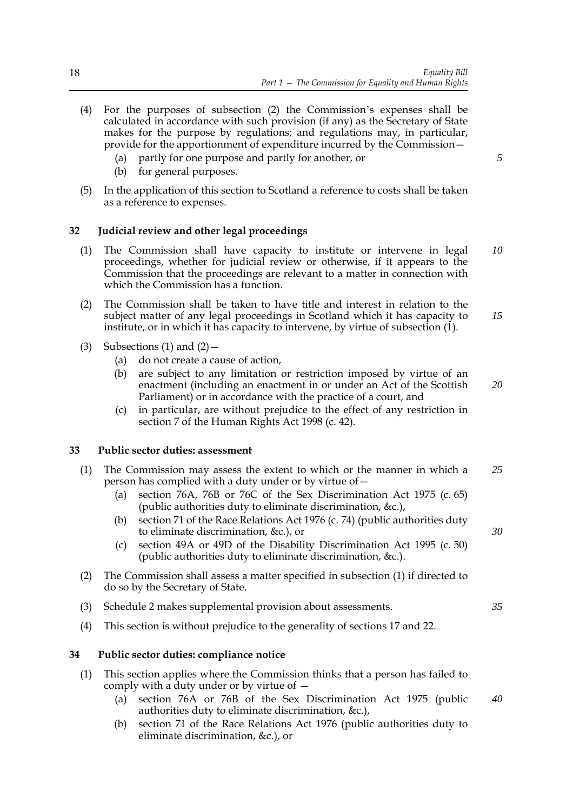- (4) For the purposes of subsection (2) the Commission's expenses shall be calculated in accordance with such provision (if any) as the Secretary of State makes for the purpose by regulations; and regulations may, in particular, provide for the apportionment of expenditure incurred by the Commission—
	- (a) partly for one purpose and partly for another, or
	- (b) for general purposes.
- (5) In the application of this section to Scotland a reference to costs shall be taken as a reference to expenses.

#### **32 Judicial review and other legal proceedings**

- (1) The Commission shall have capacity to institute or intervene in legal proceedings, whether for judicial review or otherwise, if it appears to the Commission that the proceedings are relevant to a matter in connection with which the Commission has a function. *10*
- (2) The Commission shall be taken to have title and interest in relation to the subject matter of any legal proceedings in Scotland which it has capacity to institute, or in which it has capacity to intervene, by virtue of subsection (1). *15*
- (3) Subsections (1) and  $(2)$ 
	- (a) do not create a cause of action,
	- (b) are subject to any limitation or restriction imposed by virtue of an enactment (including an enactment in or under an Act of the Scottish Parliament) or in accordance with the practice of a court, and
	- (c) in particular, are without prejudice to the effect of any restriction in section 7 of the Human Rights Act 1998 (c. 42).

#### **33 Public sector duties: assessment**

- (1) The Commission may assess the extent to which or the manner in which a person has complied with a duty under or by virtue of— *25*
	- (a) section 76A, 76B or 76C of the Sex Discrimination Act 1975 (c. 65) (public authorities duty to eliminate discrimination, &c.),
	- (b) section 71 of the Race Relations Act 1976 (c. 74) (public authorities duty to eliminate discrimination, &c.), or
	- (c) section 49A or 49D of the Disability Discrimination Act 1995 (c. 50) (public authorities duty to eliminate discrimination, &c.).
- (2) The Commission shall assess a matter specified in subsection (1) if directed to do so by the Secretary of State.
- (3) Schedule 2 makes supplemental provision about assessments.
- (4) This section is without prejudice to the generality of sections 17 and 22.

#### **34 Public sector duties: compliance notice**

- (1) This section applies where the Commission thinks that a person has failed to comply with a duty under or by virtue of  $-$ 
	- (a) section 76A or 76B of the Sex Discrimination Act 1975 (public authorities duty to eliminate discrimination, &c.), *40*
	- (b) section 71 of the Race Relations Act 1976 (public authorities duty to eliminate discrimination, &c.), or

*5*

*30*

*35*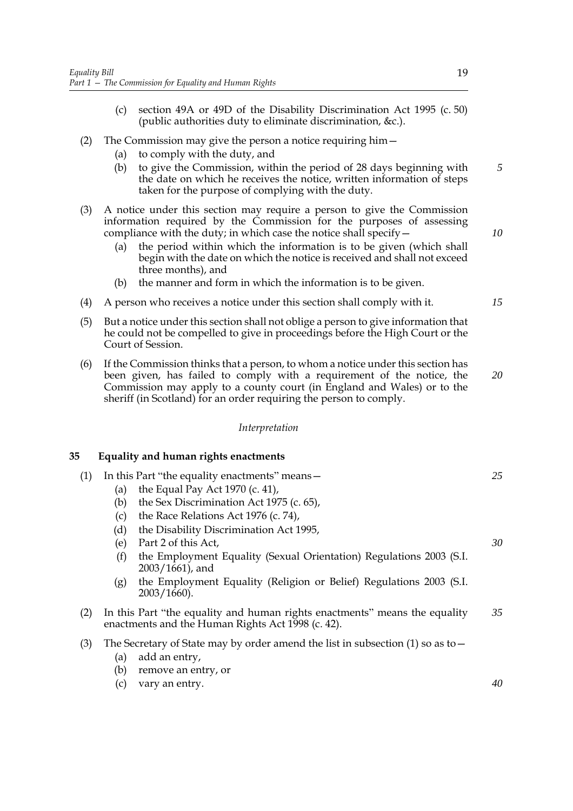- (c) section 49A or 49D of the Disability Discrimination Act 1995 (c. 50) (public authorities duty to eliminate discrimination, &c.).
- (2) The Commission may give the person a notice requiring him—
	- (a) to comply with the duty, and
	- (b) to give the Commission, within the period of 28 days beginning with the date on which he receives the notice, written information of steps taken for the purpose of complying with the duty.
- (3) A notice under this section may require a person to give the Commission information required by the Commission for the purposes of assessing compliance with the duty; in which case the notice shall specify  $-$ 
	- (a) the period within which the information is to be given (which shall begin with the date on which the notice is received and shall not exceed three months), and
	- (b) the manner and form in which the information is to be given.
- (4) A person who receives a notice under this section shall comply with it.
- (5) But a notice under this section shall not oblige a person to give information that he could not be compelled to give in proceedings before the High Court or the Court of Session.
- (6) If the Commission thinks that a person, to whom a notice under this section has been given, has failed to comply with a requirement of the notice, the Commission may apply to a county court (in England and Wales) or to the sheriff (in Scotland) for an order requiring the person to comply. *20*

#### *Interpretation*

#### **35 Equality and human rights enactments**

- (1) In this Part "the equality enactments" means—
	- (a) the Equal Pay Act 1970 (c. 41),
	- (b) the Sex Discrimination Act 1975 (c. 65),
	- (c) the Race Relations Act 1976 (c. 74),
	- (d) the Disability Discrimination Act 1995,
	- (e) Part 2 of this Act,
	- (f) the Employment Equality (Sexual Orientation) Regulations 2003 (S.I. 2003/1661), and
	- (g) the Employment Equality (Religion or Belief) Regulations 2003 (S.I. 2003/1660).
- (2) In this Part "the equality and human rights enactments" means the equality enactments and the Human Rights Act 1998 (c. 42). *35*
- (3) The Secretary of State may by order amend the list in subsection (1) so as to  $-$ 
	- (a) add an entry,
	- (b) remove an entry, or
	- (c) vary an entry.

*30*

*25*

*40*

*15*

*10*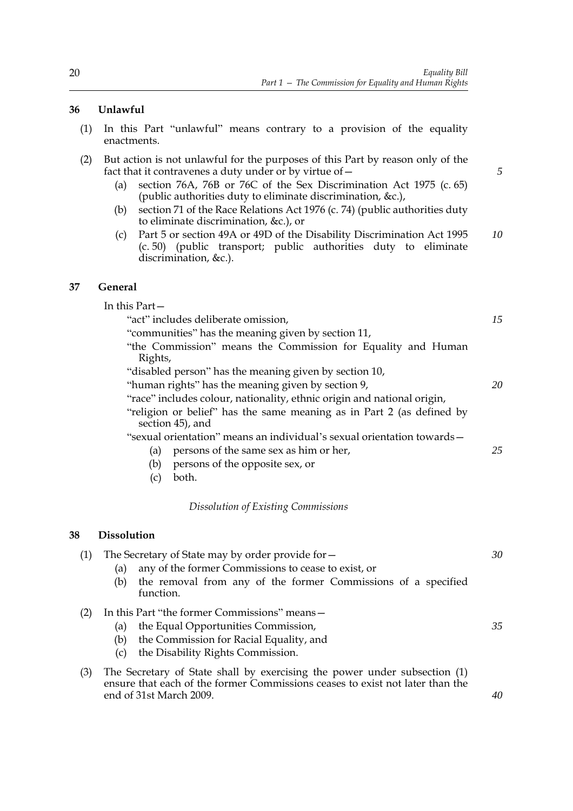## **36 Unlawful**

- (1) In this Part "unlawful" means contrary to a provision of the equality enactments.
- (2) But action is not unlawful for the purposes of this Part by reason only of the fact that it contravenes a duty under or by virtue of—
	- (a) section 76A, 76B or 76C of the Sex Discrimination Act 1975 (c. 65) (public authorities duty to eliminate discrimination, &c.),
	- (b) section 71 of the Race Relations Act 1976 (c. 74) (public authorities duty to eliminate discrimination, &c.), or
	- (c) Part 5 or section 49A or 49D of the Disability Discrimination Act 1995 (c. 50) (public transport; public authorities duty to eliminate discrimination, &c.). *10*

## **37 General**

| In this Part-                                                                             |    |
|-------------------------------------------------------------------------------------------|----|
| "act" includes deliberate omission,                                                       | 15 |
| "communities" has the meaning given by section 11,                                        |    |
| "the Commission" means the Commission for Equality and Human<br>Rights,                   |    |
| "disabled person" has the meaning given by section 10,                                    |    |
| "human rights" has the meaning given by section 9,                                        | 20 |
| "race" includes colour, nationality, ethnic origin and national origin,                   |    |
| "religion or belief" has the same meaning as in Part 2 (as defined by<br>section 45), and |    |
| "sexual orientation" means an individual's sexual orientation towards-                    |    |
| persons of the same sex as him or her,<br>(a)                                             | 25 |
| persons of the opposite sex, or<br>(b)                                                    |    |
| both.<br>(c)                                                                              |    |
| Dissolution of Existing Commissions                                                       |    |
| <b>Dissolution</b><br>38                                                                  |    |
| The Secretary of State may by order provide for -<br>(1)                                  | 30 |
| any of the former Commissions to cease to exist, or<br>(a)                                |    |

- (b) the removal from any of the former Commissions of a specified function.
- (2) In this Part "the former Commissions" means—
	- (a) the Equal Opportunities Commission,
	- (b) the Commission for Racial Equality, and
	- (c) the Disability Rights Commission.
- (3) The Secretary of State shall by exercising the power under subsection (1) ensure that each of the former Commissions ceases to exist not later than the end of 31st March 2009.

*5*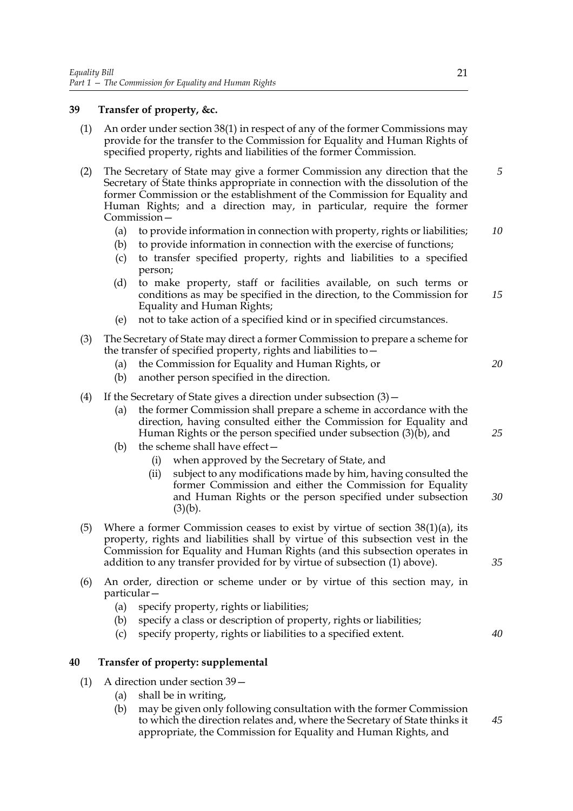## **39 Transfer of property, &c.**

- (1) An order under section 38(1) in respect of any of the former Commissions may provide for the transfer to the Commission for Equality and Human Rights of specified property, rights and liabilities of the former Commission.
- (2) The Secretary of State may give a former Commission any direction that the Secretary of State thinks appropriate in connection with the dissolution of the former Commission or the establishment of the Commission for Equality and Human Rights; and a direction may, in particular, require the former Commission— *5*
	- (a) to provide information in connection with property, rights or liabilities; *10*
	- (b) to provide information in connection with the exercise of functions;
	- (c) to transfer specified property, rights and liabilities to a specified person;
	- (d) to make property, staff or facilities available, on such terms or conditions as may be specified in the direction, to the Commission for Equality and Human Rights; *15*
	- (e) not to take action of a specified kind or in specified circumstances.
- (3) The Secretary of State may direct a former Commission to prepare a scheme for the transfer of specified property, rights and liabilities to—
	- (a) the Commission for Equality and Human Rights, or
	- (b) another person specified in the direction.
- (4) If the Secretary of State gives a direction under subsection (3)—
	- (a) the former Commission shall prepare a scheme in accordance with the direction, having consulted either the Commission for Equality and Human Rights or the person specified under subsection (3)(b), and
	- (b) the scheme shall have effect—
		- (i) when approved by the Secretary of State, and
		- (ii) subject to any modifications made by him, having consulted the former Commission and either the Commission for Equality and Human Rights or the person specified under subsection  $(3)(b).$ *30*
- (5) Where a former Commission ceases to exist by virtue of section  $38(1)(a)$ , its property, rights and liabilities shall by virtue of this subsection vest in the Commission for Equality and Human Rights (and this subsection operates in addition to any transfer provided for by virtue of subsection (1) above).
- (6) An order, direction or scheme under or by virtue of this section may, in particular—
	- (a) specify property, rights or liabilities;
	- (b) specify a class or description of property, rights or liabilities;
	- (c) specify property, rights or liabilities to a specified extent.

## **40 Transfer of property: supplemental**

- (1) A direction under section 39—
	- (a) shall be in writing,
	- (b) may be given only following consultation with the former Commission to which the direction relates and, where the Secretary of State thinks it appropriate, the Commission for Equality and Human Rights, and

*35*

*40*

*45*

*20*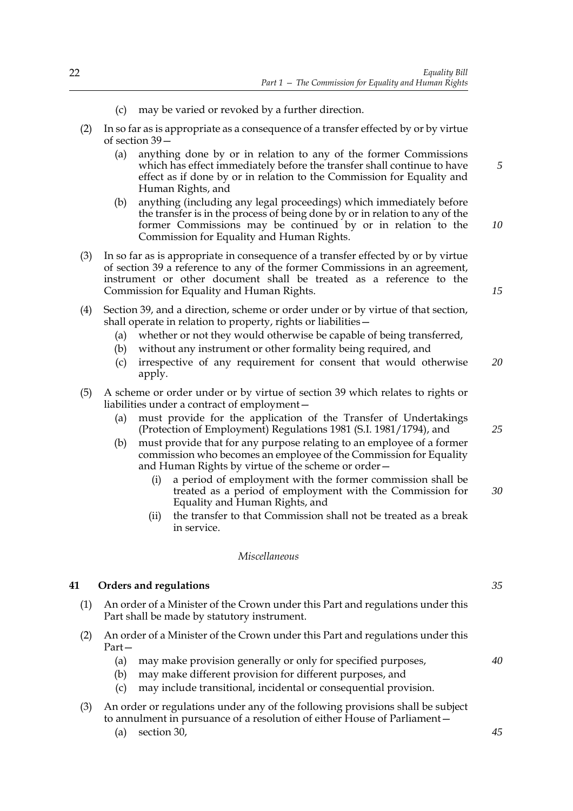- (c) may be varied or revoked by a further direction.
- (2) In so far as is appropriate as a consequence of a transfer effected by or by virtue of section 39—
	- (a) anything done by or in relation to any of the former Commissions which has effect immediately before the transfer shall continue to have effect as if done by or in relation to the Commission for Equality and Human Rights, and
	- (b) anything (including any legal proceedings) which immediately before the transfer is in the process of being done by or in relation to any of the former Commissions may be continued by or in relation to the Commission for Equality and Human Rights. *10*
- (3) In so far as is appropriate in consequence of a transfer effected by or by virtue of section 39 a reference to any of the former Commissions in an agreement, instrument or other document shall be treated as a reference to the Commission for Equality and Human Rights.
- (4) Section 39, and a direction, scheme or order under or by virtue of that section, shall operate in relation to property, rights or liabilities—
	- (a) whether or not they would otherwise be capable of being transferred,
	- (b) without any instrument or other formality being required, and
	- (c) irrespective of any requirement for consent that would otherwise apply. *20*
- (5) A scheme or order under or by virtue of section 39 which relates to rights or liabilities under a contract of employment—
	- (a) must provide for the application of the Transfer of Undertakings (Protection of Employment) Regulations 1981 (S.I. 1981/1794), and
	- (b) must provide that for any purpose relating to an employee of a former commission who becomes an employee of the Commission for Equality and Human Rights by virtue of the scheme or order—
		- (i) a period of employment with the former commission shall be treated as a period of employment with the Commission for Equality and Human Rights, and *30*
		- (ii) the transfer to that Commission shall not be treated as a break in service.

#### *Miscellaneous*

#### **41 Orders and regulations**

- (1) An order of a Minister of the Crown under this Part and regulations under this Part shall be made by statutory instrument.
- (2) An order of a Minister of the Crown under this Part and regulations under this Part—
	- (a) may make provision generally or only for specified purposes,
	- (b) may make different provision for different purposes, and
	- (c) may include transitional, incidental or consequential provision.
- (3) An order or regulations under any of the following provisions shall be subject to annulment in pursuance of a resolution of either House of Parliament—
	- (a) section 30,

*25*

*5*

*15*

*35*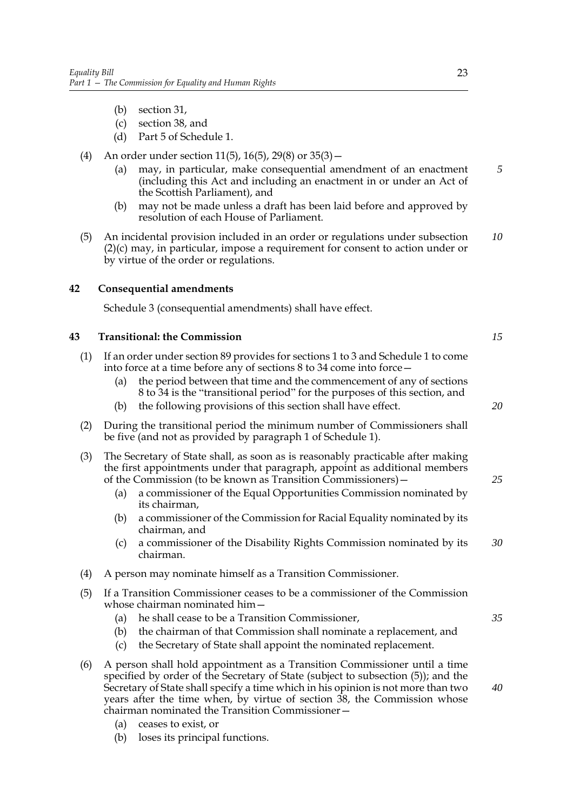- (b) section 31,
- (c) section 38, and
- (d) Part 5 of Schedule 1.
- (4) An order under section 11(5), 16(5), 29(8) or 35(3)—
	- (a) may, in particular, make consequential amendment of an enactment (including this Act and including an enactment in or under an Act of the Scottish Parliament), and
	- (b) may not be made unless a draft has been laid before and approved by resolution of each House of Parliament.
- (5) An incidental provision included in an order or regulations under subsection (2)(c) may, in particular, impose a requirement for consent to action under or by virtue of the order or regulations. *10*

# **42 Consequential amendments**

Schedule 3 (consequential amendments) shall have effect.

## **43 Transitional: the Commission**

- (1) If an order under section 89 provides for sections 1 to 3 and Schedule 1 to come into force at a time before any of sections 8 to 34 come into force—
	- (a) the period between that time and the commencement of any of sections 8 to 34 is the "transitional period" for the purposes of this section, and
	- (b) the following provisions of this section shall have effect.
- (2) During the transitional period the minimum number of Commissioners shall be five (and not as provided by paragraph 1 of Schedule 1).
- (3) The Secretary of State shall, as soon as is reasonably practicable after making the first appointments under that paragraph, appoint as additional members of the Commission (to be known as Transition Commissioners)—
	- (a) a commissioner of the Equal Opportunities Commission nominated by its chairman,
	- (b) a commissioner of the Commission for Racial Equality nominated by its chairman, and
	- (c) a commissioner of the Disability Rights Commission nominated by its chairman. *30*
- (4) A person may nominate himself as a Transition Commissioner.
- (5) If a Transition Commissioner ceases to be a commissioner of the Commission whose chairman nominated him—
	- (a) he shall cease to be a Transition Commissioner,
	- (b) the chairman of that Commission shall nominate a replacement, and
	- (c) the Secretary of State shall appoint the nominated replacement.
- (6) A person shall hold appointment as a Transition Commissioner until a time specified by order of the Secretary of State (subject to subsection (5)); and the Secretary of State shall specify a time which in his opinion is not more than two years after the time when, by virtue of section 38, the Commission whose chairman nominated the Transition Commissioner—
	- (a) ceases to exist, or
	- (b) loses its principal functions.

*5*

*25*

*15*

*20*

*35*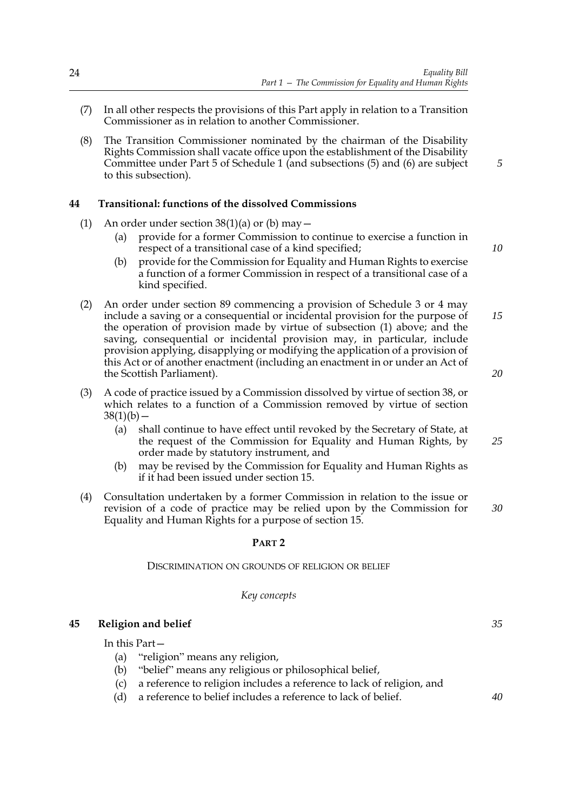- (7) In all other respects the provisions of this Part apply in relation to a Transition Commissioner as in relation to another Commissioner.
- (8) The Transition Commissioner nominated by the chairman of the Disability Rights Commission shall vacate office upon the establishment of the Disability Committee under Part 5 of Schedule 1 (and subsections (5) and (6) are subject to this subsection).

#### **44 Transitional: functions of the dissolved Commissions**

- (1) An order under section  $38(1)(a)$  or (b) may  $-$ 
	- (a) provide for a former Commission to continue to exercise a function in respect of a transitional case of a kind specified;
	- (b) provide for the Commission for Equality and Human Rights to exercise a function of a former Commission in respect of a transitional case of a kind specified.
- (2) An order under section 89 commencing a provision of Schedule 3 or 4 may include a saving or a consequential or incidental provision for the purpose of the operation of provision made by virtue of subsection (1) above; and the saving, consequential or incidental provision may, in particular, include provision applying, disapplying or modifying the application of a provision of this Act or of another enactment (including an enactment in or under an Act of the Scottish Parliament). *15 20*
- (3) A code of practice issued by a Commission dissolved by virtue of section 38, or which relates to a function of a Commission removed by virtue of section  $38(1)(b)$  —
	- (a) shall continue to have effect until revoked by the Secretary of State, at the request of the Commission for Equality and Human Rights, by order made by statutory instrument, and
	- (b) may be revised by the Commission for Equality and Human Rights as if it had been issued under section 15.
- (4) Consultation undertaken by a former Commission in relation to the issue or revision of a code of practice may be relied upon by the Commission for Equality and Human Rights for a purpose of section 15. *30*

#### **PART 2**

#### DISCRIMINATION ON GROUNDS OF RELIGION OR BELIEF

# *Key concepts*

#### **45 Religion and belief**

In this Part—

- (a) "religion" means any religion,
- (b) "belief" means any religious or philosophical belief,
- (c) a reference to religion includes a reference to lack of religion, and
- (d) a reference to belief includes a reference to lack of belief.

*10*

*5*

*25*

*35*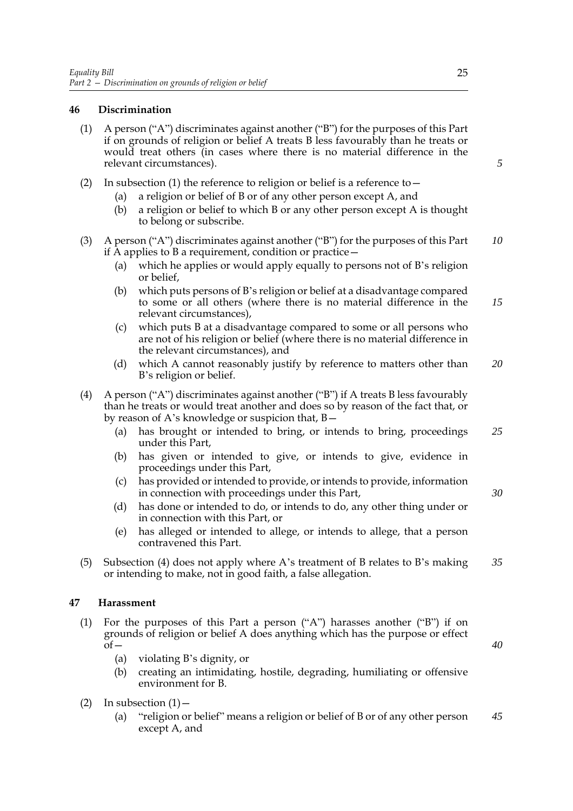## **46 Discrimination**

- (1) A person ("A") discriminates against another ("B") for the purposes of this Part if on grounds of religion or belief A treats B less favourably than he treats or would treat others (in cases where there is no material difference in the relevant circumstances).
- (2) In subsection (1) the reference to religion or belief is a reference to—
	- (a) a religion or belief of B or of any other person except A, and
	- (b) a religion or belief to which B or any other person except A is thought to belong or subscribe.
- (3) A person ("A") discriminates against another ("B") for the purposes of this Part if A applies to B a requirement, condition or practice— *10*
	- (a) which he applies or would apply equally to persons not of B's religion or belief,
	- (b) which puts persons of B's religion or belief at a disadvantage compared to some or all others (where there is no material difference in the relevant circumstances), *15*
	- (c) which puts B at a disadvantage compared to some or all persons who are not of his religion or belief (where there is no material difference in the relevant circumstances), and
	- (d) which A cannot reasonably justify by reference to matters other than B's religion or belief. *20*
- (4) A person ("A") discriminates against another ("B") if A treats B less favourably than he treats or would treat another and does so by reason of the fact that, or by reason of A's knowledge or suspicion that, B—
	- (a) has brought or intended to bring, or intends to bring, proceedings under this Part, *25*
	- (b) has given or intended to give, or intends to give, evidence in proceedings under this Part,
	- (c) has provided or intended to provide, or intends to provide, information in connection with proceedings under this Part,
	- (d) has done or intended to do, or intends to do, any other thing under or in connection with this Part, or
	- (e) has alleged or intended to allege, or intends to allege, that a person contravened this Part.
- (5) Subsection (4) does not apply where A's treatment of B relates to B's making or intending to make, not in good faith, a false allegation. *35*

# **47 Harassment**

- (1) For the purposes of this Part a person ("A") harasses another ("B") if on grounds of religion or belief A does anything which has the purpose or effect  $of$ 
	- (a) violating B's dignity, or
	- (b) creating an intimidating, hostile, degrading, humiliating or offensive environment for B.
- (2) In subsection  $(1)$ 
	- (a) "religion or belief" means a religion or belief of B or of any other person except A, and *45*

*5*

*30*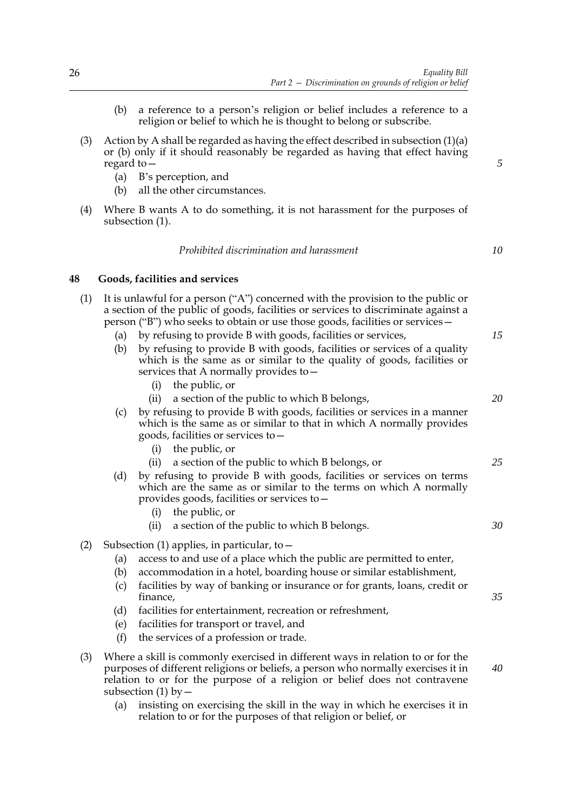- (b) a reference to a person's religion or belief includes a reference to a religion or belief to which he is thought to belong or subscribe.
- (3) Action by A shall be regarded as having the effect described in subsection  $(1)(a)$ or (b) only if it should reasonably be regarded as having that effect having regard to—
	- (a) B's perception, and
	- (b) all the other circumstances.
- (4) Where B wants A to do something, it is not harassment for the purposes of subsection (1).

| Prohibited discrimination and harassment |  |  |  |  |  |  |
|------------------------------------------|--|--|--|--|--|--|
|------------------------------------------|--|--|--|--|--|--|

*10*

*15*

*20*

*30*

*35*

*40*

*5*

#### **48 Goods, facilities and services**

- (1) It is unlawful for a person ("A") concerned with the provision to the public or a section of the public of goods, facilities or services to discriminate against a person ("B") who seeks to obtain or use those goods, facilities or services—
	- (a) by refusing to provide B with goods, facilities or services,
	- (b) by refusing to provide B with goods, facilities or services of a quality which is the same as or similar to the quality of goods, facilities or services that A normally provides to—
		- (i) the public, or
		- (ii) a section of the public to which B belongs,
	- (c) by refusing to provide B with goods, facilities or services in a manner which is the same as or similar to that in which A normally provides goods, facilities or services to—
		- (i) the public, or
		- (ii) a section of the public to which B belongs, or *25*
	- (d) by refusing to provide B with goods, facilities or services on terms which are the same as or similar to the terms on which A normally provides goods, facilities or services to—
		- (i) the public, or
		- (ii) a section of the public to which B belongs.
- (2) Subsection (1) applies, in particular, to  $-$ 
	- (a) access to and use of a place which the public are permitted to enter,
	- (b) accommodation in a hotel, boarding house or similar establishment,
	- (c) facilities by way of banking or insurance or for grants, loans, credit or finance,
	- (d) facilities for entertainment, recreation or refreshment,
	- (e) facilities for transport or travel, and
	- (f) the services of a profession or trade.
- (3) Where a skill is commonly exercised in different ways in relation to or for the purposes of different religions or beliefs, a person who normally exercises it in relation to or for the purpose of a religion or belief does not contravene subsection  $(1)$  by  $-$ 
	- (a) insisting on exercising the skill in the way in which he exercises it in relation to or for the purposes of that religion or belief, or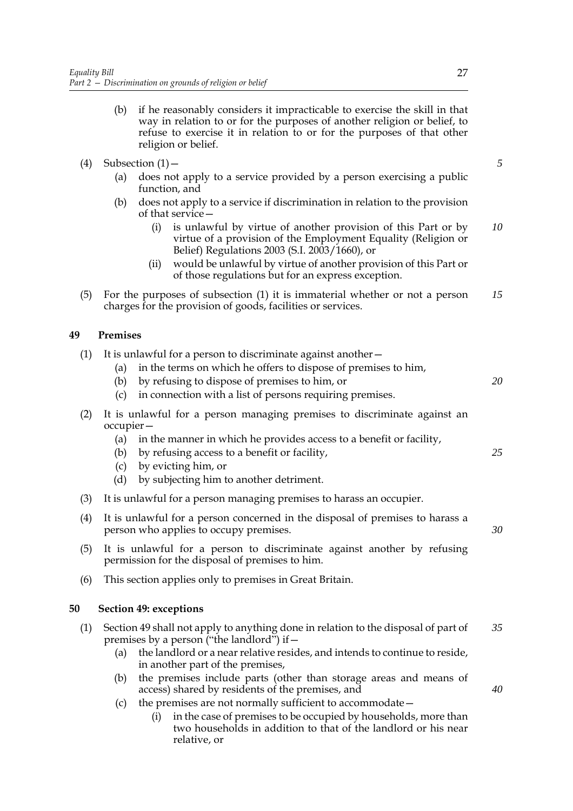- (b) if he reasonably considers it impracticable to exercise the skill in that way in relation to or for the purposes of another religion or belief, to refuse to exercise it in relation to or for the purposes of that other religion or belief.
- (4) Subsection  $(1)$ 
	- (a) does not apply to a service provided by a person exercising a public function, and
	- (b) does not apply to a service if discrimination in relation to the provision of that service—
		- (i) is unlawful by virtue of another provision of this Part or by virtue of a provision of the Employment Equality (Religion or Belief) Regulations 2003 (S.I.  $2003/1660$ ), or *10*
		- (ii) would be unlawful by virtue of another provision of this Part or of those regulations but for an express exception.
- (5) For the purposes of subsection (1) it is immaterial whether or not a person charges for the provision of goods, facilities or services. *15*

# **49 Premises**

- (1) It is unlawful for a person to discriminate against another—
	- (a) in the terms on which he offers to dispose of premises to him,
	- (b) by refusing to dispose of premises to him, or
	- (c) in connection with a list of persons requiring premises.
- (2) It is unlawful for a person managing premises to discriminate against an occupier—
	- (a) in the manner in which he provides access to a benefit or facility,
	- (b) by refusing access to a benefit or facility,
	- (c) by evicting him, or
	- (d) by subjecting him to another detriment.
- (3) It is unlawful for a person managing premises to harass an occupier.
- (4) It is unlawful for a person concerned in the disposal of premises to harass a person who applies to occupy premises.
- (5) It is unlawful for a person to discriminate against another by refusing permission for the disposal of premises to him.
- (6) This section applies only to premises in Great Britain.

## **50 Section 49: exceptions**

- (1) Section 49 shall not apply to anything done in relation to the disposal of part of premises by a person ("the landlord") if  $-$ *35*
	- (a) the landlord or a near relative resides, and intends to continue to reside, in another part of the premises,
	- (b) the premises include parts (other than storage areas and means of access) shared by residents of the premises, and
	- (c) the premises are not normally sufficient to accommodate
		- in the case of premises to be occupied by households, more than two households in addition to that of the landlord or his near relative, or

*5*

*20*

*25*

*30*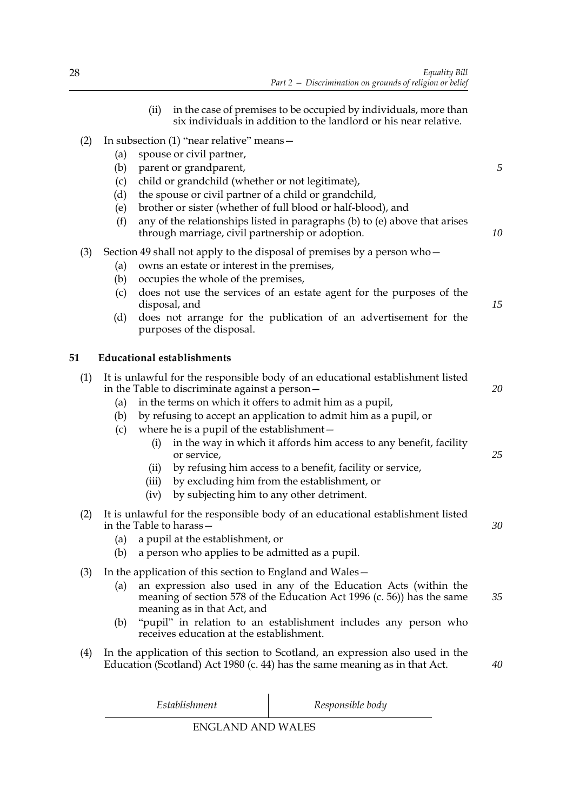| (ii) | in the case of premises to be occupied by individuals, more than  |
|------|-------------------------------------------------------------------|
|      | six individuals in addition to the landlord or his near relative. |

- (2) In subsection (1) "near relative" means—
	- (a) spouse or civil partner,
	- (b) parent or grandparent,
	- (c) child or grandchild (whether or not legitimate),
	- (d) the spouse or civil partner of a child or grandchild,
	- (e) brother or sister (whether of full blood or half-blood), and
	- (f) any of the relationships listed in paragraphs (b) to (e) above that arises through marriage, civil partnership or adoption.
- (3) Section 49 shall not apply to the disposal of premises by a person who—
	- (a) owns an estate or interest in the premises,
	- (b) occupies the whole of the premises,
	- (c) does not use the services of an estate agent for the purposes of the disposal, and
	- (d) does not arrange for the publication of an advertisement for the purposes of the disposal.

## **51 Educational establishments**

| (1) | It is unlawful for the responsible body of an educational establishment listed<br>in the Table to discriminate against a person-                                                                                | 20 |
|-----|-----------------------------------------------------------------------------------------------------------------------------------------------------------------------------------------------------------------|----|
|     | in the terms on which it offers to admit him as a pupil,<br>(a)                                                                                                                                                 |    |
|     | by refusing to accept an application to admit him as a pupil, or<br>(b)                                                                                                                                         |    |
|     | where he is a pupil of the establishment $-$<br>(c)                                                                                                                                                             |    |
|     | in the way in which it affords him access to any benefit, facility<br>(i)<br>or service,                                                                                                                        | 25 |
|     | by refusing him access to a benefit, facility or service,<br>(ii)                                                                                                                                               |    |
|     | by excluding him from the establishment, or<br>(iii)                                                                                                                                                            |    |
|     | by subjecting him to any other detriment.<br>(iv)                                                                                                                                                               |    |
| (2) | It is unlawful for the responsible body of an educational establishment listed<br>in the Table to harass -<br>a pupil at the establishment, or<br>(a)<br>a person who applies to be admitted as a pupil.<br>(b) | 30 |
| (3) | In the application of this section to England and Wales –                                                                                                                                                       |    |
|     | an expression also used in any of the Education Acts (within the<br>(a)<br>meaning of section 578 of the Education Act 1996 (c. 56)) has the same<br>meaning as in that Act, and                                | 35 |
|     | "pupil" in relation to an establishment includes any person who<br>(b)<br>receives education at the establishment.                                                                                              |    |
| (4) | In the application of this section to Scotland, an expression also used in the<br>Education (Scotland) Act 1980 (c. 44) has the same meaning as in that Act.                                                    | 40 |

*5*

*10*

*15*

*Establishment Responsible body*

ENGLAND AND WALES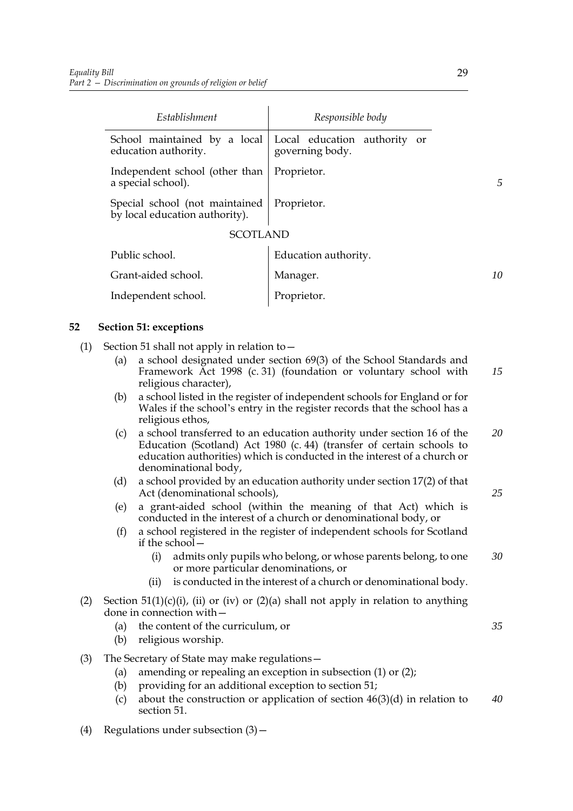| Establishment                                                    | Responsible body                                                               |  |
|------------------------------------------------------------------|--------------------------------------------------------------------------------|--|
| education authority.                                             | School maintained by a local   Local education authority or<br>governing body. |  |
| Independent school (other than<br>a special school).             | Proprietor.                                                                    |  |
| Special school (not maintained<br>by local education authority). | Proprietor.                                                                    |  |
| SCOTLAND                                                         |                                                                                |  |
| Public school.                                                   | Education authority.                                                           |  |
| Grant-aided school.                                              | Manager.                                                                       |  |
| Independent school.                                              | Proprietor.                                                                    |  |

## **52 Section 51: exceptions**

- (1) Section 51 shall not apply in relation to—
	- (a) a school designated under section 69(3) of the School Standards and Framework Act 1998 (c. 31) (foundation or voluntary school with religious character), *15*
	- (b) a school listed in the register of independent schools for England or for Wales if the school's entry in the register records that the school has a religious ethos,
	- (c) a school transferred to an education authority under section 16 of the Education (Scotland) Act 1980 (c. 44) (transfer of certain schools to education authorities) which is conducted in the interest of a church or denominational body, *20*
	- (d) a school provided by an education authority under section 17(2) of that Act (denominational schools),
	- (e) a grant-aided school (within the meaning of that Act) which is conducted in the interest of a church or denominational body, or
	- (f) a school registered in the register of independent schools for Scotland if the school—
		- (i) admits only pupils who belong, or whose parents belong, to one or more particular denominations, or *30*
		- (ii) is conducted in the interest of a church or denominational body.
- (2) Section  $51(1)(c)(i)$ , (ii) or (iv) or (2)(a) shall not apply in relation to anything done in connection with—
	- (a) the content of the curriculum, or
	- (b) religious worship.
- (3) The Secretary of State may make regulations—
	- (a) amending or repealing an exception in subsection (1) or (2);
	- (b) providing for an additional exception to section 51;
	- (c) about the construction or application of section 46(3)(d) in relation to section 51. *40*
- (4) Regulations under subsection  $(3)$  –

*25*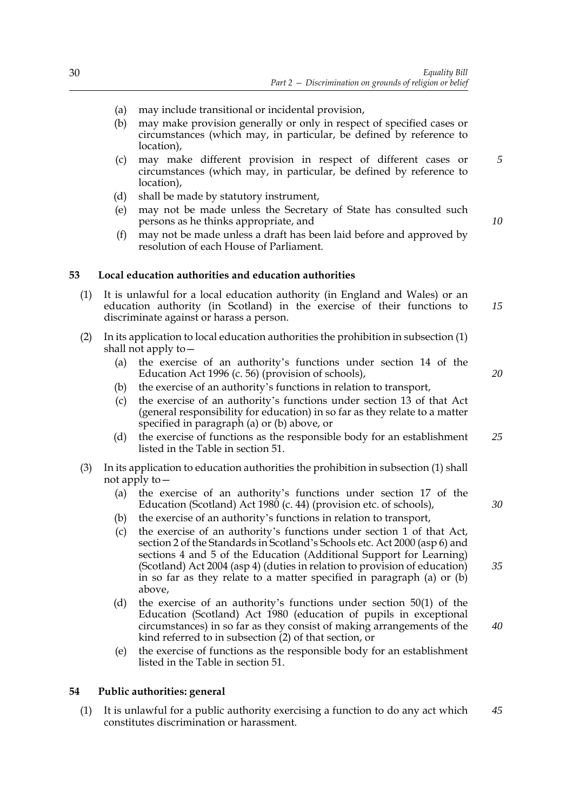- (a) may include transitional or incidental provision,
- (b) may make provision generally or only in respect of specified cases or circumstances (which may, in particular, be defined by reference to location),
- (c) may make different provision in respect of different cases or circumstances (which may, in particular, be defined by reference to location),
- (d) shall be made by statutory instrument,
- (e) may not be made unless the Secretary of State has consulted such persons as he thinks appropriate, and
- (f) may not be made unless a draft has been laid before and approved by resolution of each House of Parliament.

#### **53 Local education authorities and education authorities**

- (1) It is unlawful for a local education authority (in England and Wales) or an education authority (in Scotland) in the exercise of their functions to discriminate against or harass a person.
- (2) In its application to local education authorities the prohibition in subsection (1) shall not apply to—
	- (a) the exercise of an authority's functions under section 14 of the Education Act 1996 (c. 56) (provision of schools),
	- (b) the exercise of an authority's functions in relation to transport,
	- (c) the exercise of an authority's functions under section 13 of that Act (general responsibility for education) in so far as they relate to a matter specified in paragraph (a) or (b) above, or
	- (d) the exercise of functions as the responsible body for an establishment listed in the Table in section 51. *25*
- (3) In its application to education authorities the prohibition in subsection (1) shall not apply to  $-$ 
	- (a) the exercise of an authority's functions under section 17 of the Education (Scotland) Act 1980 (c. 44) (provision etc. of schools),
	- (b) the exercise of an authority's functions in relation to transport,
	- (c) the exercise of an authority's functions under section 1 of that Act, section 2 of the Standards in Scotland's Schools etc. Act 2000 (asp 6) and sections 4 and 5 of the Education (Additional Support for Learning) (Scotland) Act 2004 (asp 4) (duties in relation to provision of education) in so far as they relate to a matter specified in paragraph (a) or (b) above,
	- (d) the exercise of an authority's functions under section 50(1) of the Education (Scotland) Act 1980 (education of pupils in exceptional circumstances) in so far as they consist of making arrangements of the kind referred to in subsection (2) of that section, or
	- (e) the exercise of functions as the responsible body for an establishment listed in the Table in section 51.

## **54 Public authorities: general**

(1) It is unlawful for a public authority exercising a function to do any act which constitutes discrimination or harassment. *45*

*15*

*10*

*5*

*20*

*35*

*40*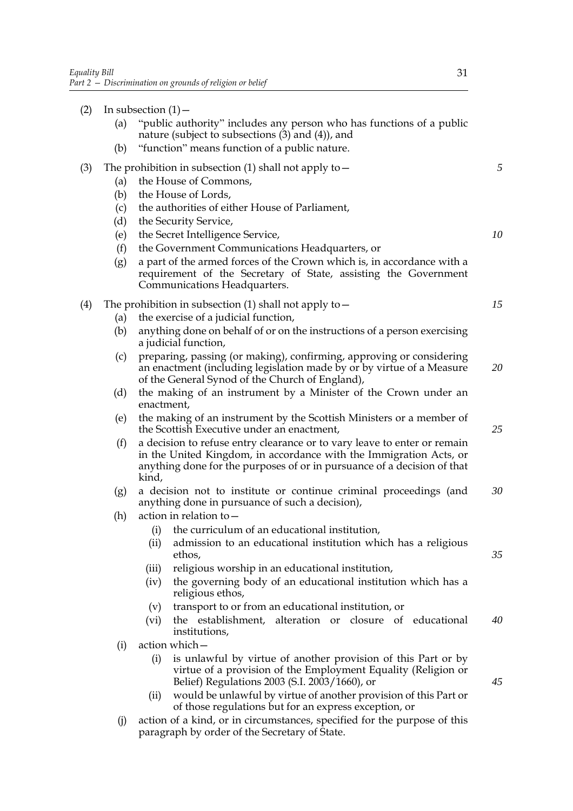| (2) |     | In subsection $(1)$ –                                                                                                                                                                                                              |    |
|-----|-----|------------------------------------------------------------------------------------------------------------------------------------------------------------------------------------------------------------------------------------|----|
|     | (a) | "public authority" includes any person who has functions of a public<br>nature (subject to subsections $(3)$ and $(4)$ ), and                                                                                                      |    |
|     | (b) | "function" means function of a public nature.                                                                                                                                                                                      |    |
| (3) |     | The prohibition in subsection $(1)$ shall not apply to $-$                                                                                                                                                                         | 5  |
|     | (a) | the House of Commons,                                                                                                                                                                                                              |    |
|     | (b) | the House of Lords,                                                                                                                                                                                                                |    |
|     | (c) | the authorities of either House of Parliament,                                                                                                                                                                                     |    |
|     | (d) | the Security Service,                                                                                                                                                                                                              |    |
|     | (e) | the Secret Intelligence Service,                                                                                                                                                                                                   | 10 |
|     | (f) | the Government Communications Headquarters, or                                                                                                                                                                                     |    |
|     | (g) | a part of the armed forces of the Crown which is, in accordance with a<br>requirement of the Secretary of State, assisting the Government<br>Communications Headquarters.                                                          |    |
| (4) |     | The prohibition in subsection $(1)$ shall not apply to $-$                                                                                                                                                                         | 15 |
|     | (a) | the exercise of a judicial function,                                                                                                                                                                                               |    |
|     | (b) | anything done on behalf of or on the instructions of a person exercising<br>a judicial function,                                                                                                                                   |    |
|     | (c) | preparing, passing (or making), confirming, approving or considering<br>an enactment (including legislation made by or by virtue of a Measure<br>of the General Synod of the Church of England),                                   | 20 |
|     | (d) | the making of an instrument by a Minister of the Crown under an<br>enactment,                                                                                                                                                      |    |
|     | (e) | the making of an instrument by the Scottish Ministers or a member of<br>the Scottish Executive under an enactment,                                                                                                                 | 25 |
|     | (f) | a decision to refuse entry clearance or to vary leave to enter or remain<br>in the United Kingdom, in accordance with the Immigration Acts, or<br>anything done for the purposes of or in pursuance of a decision of that<br>kind, |    |
|     | (g) | a decision not to institute or continue criminal proceedings (and<br>anything done in pursuance of such a decision),                                                                                                               | 30 |
|     | (h) | action in relation to -                                                                                                                                                                                                            |    |
|     |     | (i) the curriculum of an educational institution,                                                                                                                                                                                  |    |
|     |     | admission to an educational institution which has a religious<br>(ii)<br>ethos,                                                                                                                                                    | 35 |
|     |     | religious worship in an educational institution,<br>(iii)                                                                                                                                                                          |    |
|     |     | the governing body of an educational institution which has a<br>(iv)<br>religious ethos,                                                                                                                                           |    |
|     |     | transport to or from an educational institution, or<br>(v)                                                                                                                                                                         |    |
|     |     | the establishment, alteration or closure of educational<br>(vi)<br>institutions,                                                                                                                                                   | 40 |
|     | (i) | action which-                                                                                                                                                                                                                      |    |
|     |     | is unlawful by virtue of another provision of this Part or by<br>(i)<br>virtue of a provision of the Employment Equality (Religion or<br>Belief) Regulations 2003 (S.I. 2003/1660), or                                             | 45 |
|     |     | would be unlawful by virtue of another provision of this Part or<br>(ii)<br>of those regulations but for an express exception, or                                                                                                  |    |
|     | (i) | action of a kind, or in circumstances, specified for the purpose of this<br>paragraph by order of the Secretary of State.                                                                                                          |    |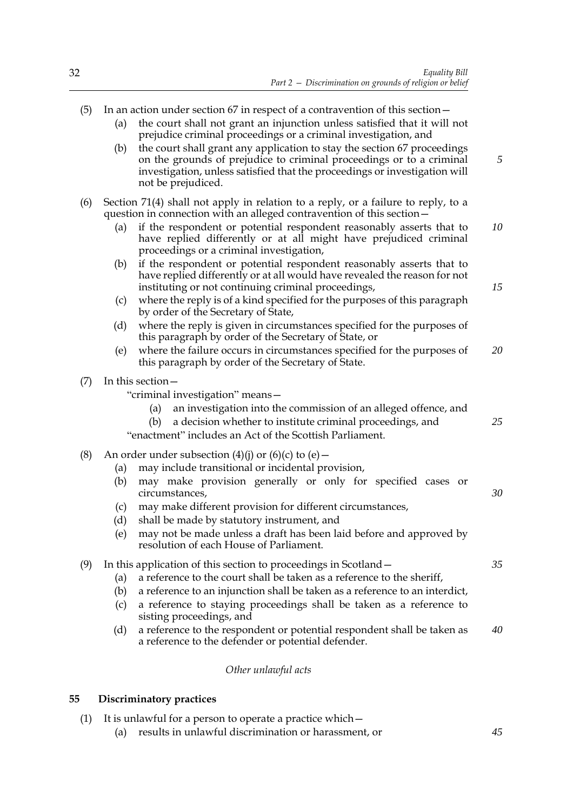| (5) |                   | In an action under section 67 in respect of a contravention of this section –                                                                                                                                                                        |                |
|-----|-------------------|------------------------------------------------------------------------------------------------------------------------------------------------------------------------------------------------------------------------------------------------------|----------------|
|     | (a)               | the court shall not grant an injunction unless satisfied that it will not<br>prejudice criminal proceedings or a criminal investigation, and                                                                                                         |                |
|     | (b)               | the court shall grant any application to stay the section 67 proceedings<br>on the grounds of prejudice to criminal proceedings or to a criminal<br>investigation, unless satisfied that the proceedings or investigation will<br>not be prejudiced. | 5 <sup>5</sup> |
| (6) |                   | Section 71(4) shall not apply in relation to a reply, or a failure to reply, to a<br>question in connection with an alleged contravention of this section -                                                                                          |                |
|     | (a)               | if the respondent or potential respondent reasonably asserts that to<br>have replied differently or at all might have prejudiced criminal<br>proceedings or a criminal investigation,                                                                | 10             |
|     | (b)               | if the respondent or potential respondent reasonably asserts that to<br>have replied differently or at all would have revealed the reason for not<br>instituting or not continuing criminal proceedings,                                             | 15             |
|     | (c)               | where the reply is of a kind specified for the purposes of this paragraph<br>by order of the Secretary of State,                                                                                                                                     |                |
|     | (d)               | where the reply is given in circumstances specified for the purposes of<br>this paragraph by order of the Secretary of State, or                                                                                                                     |                |
|     | (e)               | where the failure occurs in circumstances specified for the purposes of<br>this paragraph by order of the Secretary of State.                                                                                                                        | 20             |
| (7) | In this section - |                                                                                                                                                                                                                                                      |                |
|     |                   | "criminal investigation" means-                                                                                                                                                                                                                      |                |
|     |                   | an investigation into the commission of an alleged offence, and<br>(a)<br>a decision whether to institute criminal proceedings, and<br>(b)<br>"enactment" includes an Act of the Scottish Parliament.                                                | 25             |
| (8) |                   | An order under subsection (4)(j) or (6)(c) to (e) –                                                                                                                                                                                                  |                |
|     | (a)               | may include transitional or incidental provision,                                                                                                                                                                                                    |                |
|     | (b)               | may make provision generally or only for specified cases or<br>circumstances,                                                                                                                                                                        | 30             |
|     | (c)               | may make different provision for different circumstances,                                                                                                                                                                                            |                |
|     | (d)               | shall be made by statutory instrument, and                                                                                                                                                                                                           |                |
|     | (e)               | may not be made unless a draft has been laid before and approved by<br>resolution of each House of Parliament.                                                                                                                                       |                |
| (9) |                   | In this application of this section to proceedings in Scotland –                                                                                                                                                                                     | 35             |
|     | (a)               | a reference to the court shall be taken as a reference to the sheriff,                                                                                                                                                                               |                |
|     | (b)               | a reference to an injunction shall be taken as a reference to an interdict,                                                                                                                                                                          |                |
|     | (c)               | a reference to staying proceedings shall be taken as a reference to<br>sisting proceedings, and                                                                                                                                                      |                |
|     | (d)               | a reference to the respondent or potential respondent shall be taken as<br>a reference to the defender or potential defender.                                                                                                                        | 40             |
|     |                   | Other unlawful acts                                                                                                                                                                                                                                  |                |

# **55 Discriminatory practices**

- (1) It is unlawful for a person to operate a practice which—
	- (a) results in unlawful discrimination or harassment, or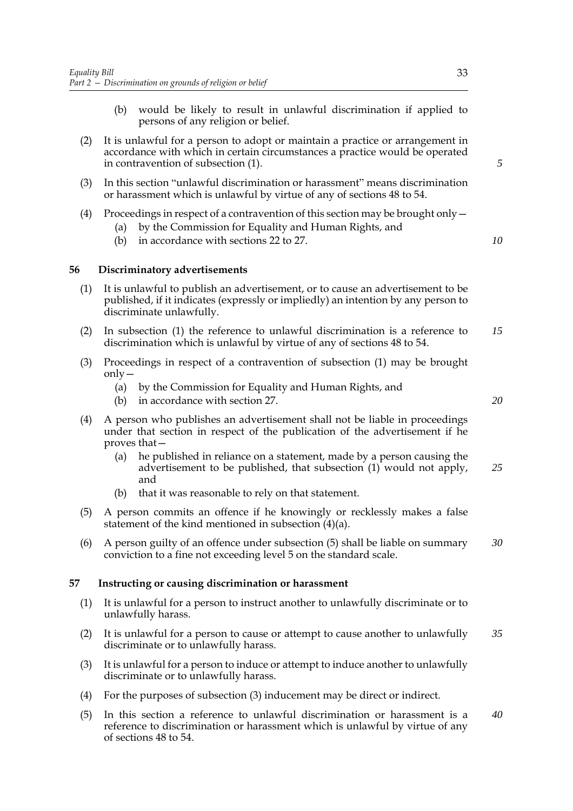- (b) would be likely to result in unlawful discrimination if applied to persons of any religion or belief.
- (2) It is unlawful for a person to adopt or maintain a practice or arrangement in accordance with which in certain circumstances a practice would be operated in contravention of subsection (1).
- (3) In this section "unlawful discrimination or harassment" means discrimination or harassment which is unlawful by virtue of any of sections 48 to 54.
- (4) Proceedings in respect of a contravention of this section may be brought only—
	- (a) by the Commission for Equality and Human Rights, and
	- (b) in accordance with sections 22 to 27.

## **56 Discriminatory advertisements**

- (1) It is unlawful to publish an advertisement, or to cause an advertisement to be published, if it indicates (expressly or impliedly) an intention by any person to discriminate unlawfully.
- (2) In subsection (1) the reference to unlawful discrimination is a reference to discrimination which is unlawful by virtue of any of sections 48 to 54. *15*
- (3) Proceedings in respect of a contravention of subsection (1) may be brought only—
	- (a) by the Commission for Equality and Human Rights, and
	- (b) in accordance with section 27.
- (4) A person who publishes an advertisement shall not be liable in proceedings under that section in respect of the publication of the advertisement if he proves that—
	- (a) he published in reliance on a statement, made by a person causing the advertisement to be published, that subsection (1) would not apply, and *25*
	- (b) that it was reasonable to rely on that statement.
- (5) A person commits an offence if he knowingly or recklessly makes a false statement of the kind mentioned in subsection (4)(a).
- (6) A person guilty of an offence under subsection (5) shall be liable on summary conviction to a fine not exceeding level 5 on the standard scale. *30*

#### **57 Instructing or causing discrimination or harassment**

- (1) It is unlawful for a person to instruct another to unlawfully discriminate or to unlawfully harass.
- (2) It is unlawful for a person to cause or attempt to cause another to unlawfully discriminate or to unlawfully harass. *35*
- (3) It is unlawful for a person to induce or attempt to induce another to unlawfully discriminate or to unlawfully harass.
- (4) For the purposes of subsection (3) inducement may be direct or indirect.
- (5) In this section a reference to unlawful discrimination or harassment is a reference to discrimination or harassment which is unlawful by virtue of any of sections 48 to 54. *40*

*5*

*10*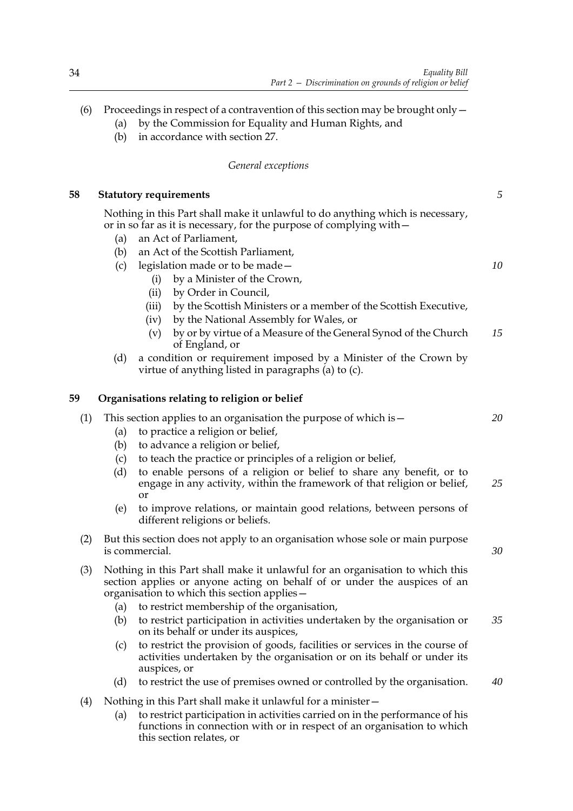- (a) by the Commission for Equality and Human Rights, and
- (b) in accordance with section 27.

### *General exceptions*

### **58 Statutory requirements**

Nothing in this Part shall make it unlawful to do anything which is necessary, or in so far as it is necessary, for the purpose of complying with—

- (a) an Act of Parliament,
- (b) an Act of the Scottish Parliament,
- (c) legislation made or to be made—
	- (i) by a Minister of the Crown,
	- (ii) by Order in Council,
	- (iii) by the Scottish Ministers or a member of the Scottish Executive,
	- (iv) by the National Assembly for Wales, or
	- (v) by or by virtue of a Measure of the General Synod of the Church of England, or *15*
- (d) a condition or requirement imposed by a Minister of the Crown by virtue of anything listed in paragraphs (a) to (c).

## **59 Organisations relating to religion or belief**

(1) This section applies to an organisation the purpose of which is—

- (a) to practice a religion or belief,
- (b) to advance a religion or belief,
- (c) to teach the practice or principles of a religion or belief,
- (d) to enable persons of a religion or belief to share any benefit, or to engage in any activity, within the framework of that religion or belief, or *25*
- (e) to improve relations, or maintain good relations, between persons of different religions or beliefs.
- (2) But this section does not apply to an organisation whose sole or main purpose is commercial.
- (3) Nothing in this Part shall make it unlawful for an organisation to which this section applies or anyone acting on behalf of or under the auspices of an organisation to which this section applies—
	- (a) to restrict membership of the organisation,
	- (b) to restrict participation in activities undertaken by the organisation or on its behalf or under its auspices, *35*
	- (c) to restrict the provision of goods, facilities or services in the course of activities undertaken by the organisation or on its behalf or under its auspices, or
	- (d) to restrict the use of premises owned or controlled by the organisation. *40*
- (4) Nothing in this Part shall make it unlawful for a minister—
	- (a) to restrict participation in activities carried on in the performance of his functions in connection with or in respect of an organisation to which this section relates, or

*5*

*10*

*20*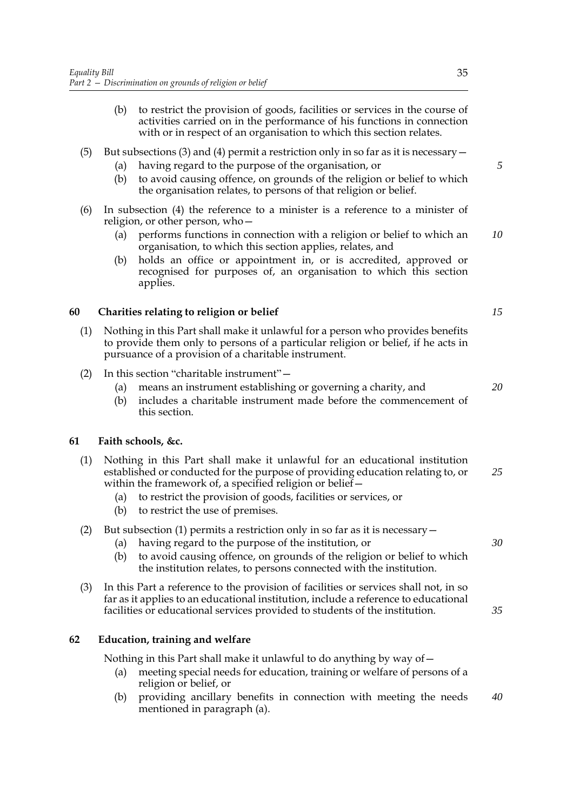- (b) to restrict the provision of goods, facilities or services in the course of activities carried on in the performance of his functions in connection with or in respect of an organisation to which this section relates.
- (5) But subsections (3) and (4) permit a restriction only in so far as it is necessary—
	- (a) having regard to the purpose of the organisation, or
	- (b) to avoid causing offence, on grounds of the religion or belief to which the organisation relates, to persons of that religion or belief.
- (6) In subsection (4) the reference to a minister is a reference to a minister of religion, or other person, who—
	- (a) performs functions in connection with a religion or belief to which an organisation, to which this section applies, relates, and *10*
	- (b) holds an office or appointment in, or is accredited, approved or recognised for purposes of, an organisation to which this section applies.

## **60 Charities relating to religion or belief**

- (1) Nothing in this Part shall make it unlawful for a person who provides benefits to provide them only to persons of a particular religion or belief, if he acts in pursuance of a provision of a charitable instrument.
- (2) In this section "charitable instrument"—
	- (a) means an instrument establishing or governing a charity, and
	- (b) includes a charitable instrument made before the commencement of this section.

## **61 Faith schools, &c.**

- (1) Nothing in this Part shall make it unlawful for an educational institution established or conducted for the purpose of providing education relating to, or within the framework of, a specified religion or belief – *25*
	- (a) to restrict the provision of goods, facilities or services, or
	- (b) to restrict the use of premises.

# (2) But subsection (1) permits a restriction only in so far as it is necessary  $-$

- (a) having regard to the purpose of the institution, or
- (b) to avoid causing offence, on grounds of the religion or belief to which the institution relates, to persons connected with the institution.
- (3) In this Part a reference to the provision of facilities or services shall not, in so far as it applies to an educational institution, include a reference to educational facilities or educational services provided to students of the institution.

# **62 Education, training and welfare**

Nothing in this Part shall make it unlawful to do anything by way of  $-$ 

- (a) meeting special needs for education, training or welfare of persons of a religion or belief, or
- (b) providing ancillary benefits in connection with meeting the needs mentioned in paragraph (a). *40*

*5*

*15*

*20*

*30*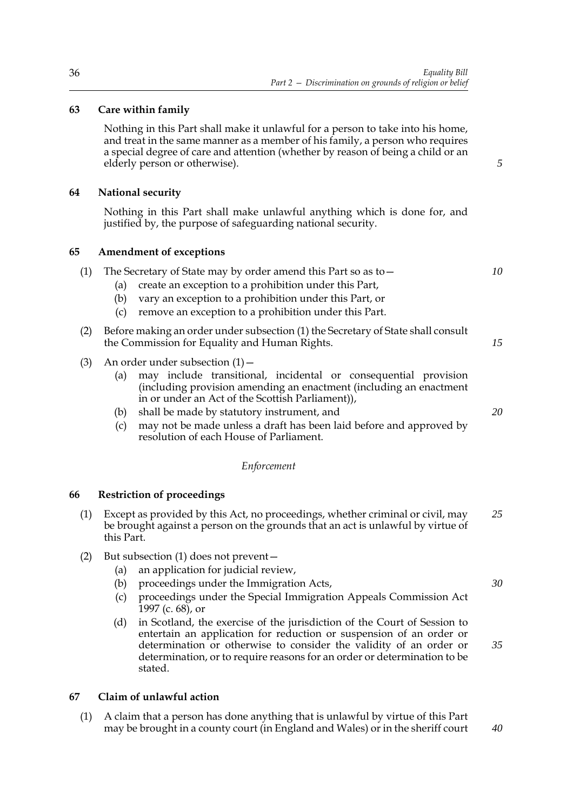## **63 Care within family**

Nothing in this Part shall make it unlawful for a person to take into his home, and treat in the same manner as a member of his family, a person who requires a special degree of care and attention (whether by reason of being a child or an elderly person or otherwise).

**64 National security**

Nothing in this Part shall make unlawful anything which is done for, and justified by, the purpose of safeguarding national security.

## **65 Amendment of exceptions**

- (1) The Secretary of State may by order amend this Part so as to—
	- (a) create an exception to a prohibition under this Part,
	- (b) vary an exception to a prohibition under this Part, or
	- (c) remove an exception to a prohibition under this Part.
- (2) Before making an order under subsection (1) the Secretary of State shall consult the Commission for Equality and Human Rights.
- (3) An order under subsection  $(1)$  -
	- (a) may include transitional, incidental or consequential provision (including provision amending an enactment (including an enactment in or under an Act of the Scottish Parliament)),
	- (b) shall be made by statutory instrument, and
	- (c) may not be made unless a draft has been laid before and approved by resolution of each House of Parliament.

## *Enforcement*

## **66 Restriction of proceedings**

- (1) Except as provided by this Act, no proceedings, whether criminal or civil, may be brought against a person on the grounds that an act is unlawful by virtue of this Part. *25*
- (2) But subsection (1) does not prevent—
	- (a) an application for judicial review,
	- (b) proceedings under the Immigration Acts,
	- (c) proceedings under the Special Immigration Appeals Commission Act  $1997$  (c. 68), or
	- (d) in Scotland, the exercise of the jurisdiction of the Court of Session to entertain an application for reduction or suspension of an order or determination or otherwise to consider the validity of an order or determination, or to require reasons for an order or determination to be stated.

## **67 Claim of unlawful action**

(1) A claim that a person has done anything that is unlawful by virtue of this Part may be brought in a county court (in England and Wales) or in the sheriff court *15*

*10*

*5*

*20*

*30*

*35*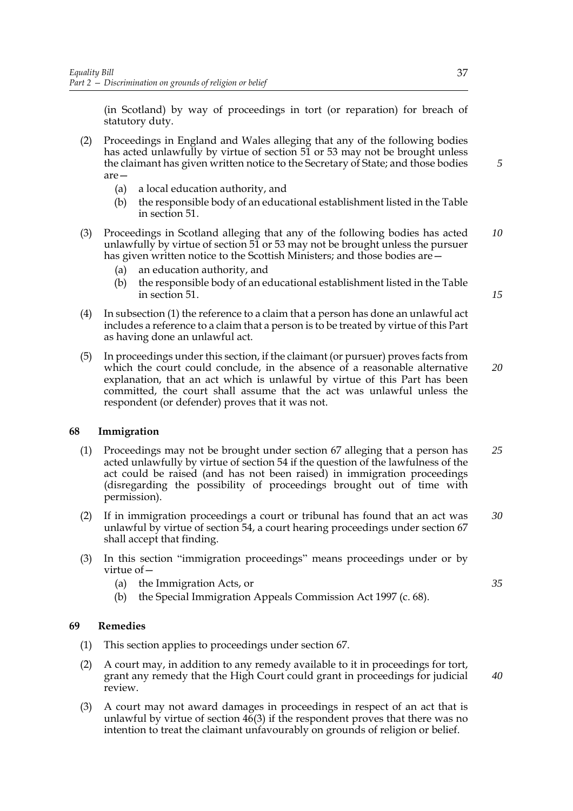(in Scotland) by way of proceedings in tort (or reparation) for breach of statutory duty.

- (2) Proceedings in England and Wales alleging that any of the following bodies has acted unlawfully by virtue of section 51 or 53 may not be brought unless the claimant has given written notice to the Secretary of State; and those bodies are—
	- (a) a local education authority, and
	- (b) the responsible body of an educational establishment listed in the Table in section 51.
- (3) Proceedings in Scotland alleging that any of the following bodies has acted unlawfully by virtue of section 51 or 53 may not be brought unless the pursuer has given written notice to the Scottish Ministers; and those bodies are— *10*
	- (a) an education authority, and
	- (b) the responsible body of an educational establishment listed in the Table in section 51.
- (4) In subsection (1) the reference to a claim that a person has done an unlawful act includes a reference to a claim that a person is to be treated by virtue of this Part as having done an unlawful act.
- (5) In proceedings under this section, if the claimant (or pursuer) proves facts from which the court could conclude, in the absence of a reasonable alternative explanation, that an act which is unlawful by virtue of this Part has been committed, the court shall assume that the act was unlawful unless the respondent (or defender) proves that it was not. *20*

#### **68 Immigration**

- (1) Proceedings may not be brought under section 67 alleging that a person has acted unlawfully by virtue of section 54 if the question of the lawfulness of the act could be raised (and has not been raised) in immigration proceedings (disregarding the possibility of proceedings brought out of time with permission). *25*
- (2) If in immigration proceedings a court or tribunal has found that an act was unlawful by virtue of section 54, a court hearing proceedings under section 67 shall accept that finding. *30*
- (3) In this section "immigration proceedings" means proceedings under or by virtue of—
	- (a) the Immigration Acts, or
	- (b) the Special Immigration Appeals Commission Act 1997 (c. 68).

### **69 Remedies**

- (1) This section applies to proceedings under section 67.
- (2) A court may, in addition to any remedy available to it in proceedings for tort, grant any remedy that the High Court could grant in proceedings for judicial review.
- (3) A court may not award damages in proceedings in respect of an act that is unlawful by virtue of section 46(3) if the respondent proves that there was no intention to treat the claimant unfavourably on grounds of religion or belief.

*5*

*15*

*35*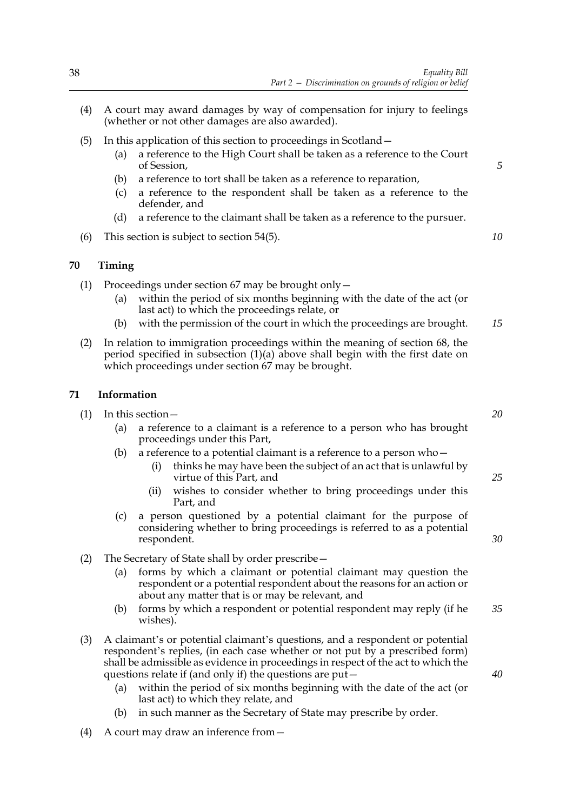- (4) A court may award damages by way of compensation for injury to feelings (whether or not other damages are also awarded).
- (5) In this application of this section to proceedings in Scotland—
	- (a) a reference to the High Court shall be taken as a reference to the Court of Session,
	- (b) a reference to tort shall be taken as a reference to reparation,
	- (c) a reference to the respondent shall be taken as a reference to the defender, and
	- (d) a reference to the claimant shall be taken as a reference to the pursuer.
- (6) This section is subject to section 54(5).

## **70 Timing**

- (1) Proceedings under section 67 may be brought only—
	- (a) within the period of six months beginning with the date of the act (or last act) to which the proceedings relate, or
	- (b) with the permission of the court in which the proceedings are brought. *15*
- (2) In relation to immigration proceedings within the meaning of section 68, the period specified in subsection (1)(a) above shall begin with the first date on which proceedings under section 67 may be brought.

## **71 Information**

#### (1) In this section—

- (a) a reference to a claimant is a reference to a person who has brought proceedings under this Part,
- (b) a reference to a potential claimant is a reference to a person who  $-$ 
	- (i) thinks he may have been the subject of an act that is unlawful by virtue of this Part, and
	- (ii) wishes to consider whether to bring proceedings under this Part, and
- (c) a person questioned by a potential claimant for the purpose of considering whether to bring proceedings is referred to as a potential respondent.
- (2) The Secretary of State shall by order prescribe—
	- (a) forms by which a claimant or potential claimant may question the respondent or a potential respondent about the reasons for an action or about any matter that is or may be relevant, and
	- (b) forms by which a respondent or potential respondent may reply (if he wishes). *35*
- (3) A claimant's or potential claimant's questions, and a respondent or potential respondent's replies, (in each case whether or not put by a prescribed form) shall be admissible as evidence in proceedings in respect of the act to which the questions relate if (and only if) the questions are put—
	- (a) within the period of six months beginning with the date of the act (or last act) to which they relate, and
	- (b) in such manner as the Secretary of State may prescribe by order.
- (4) A court may draw an inference from—

*20*

*25*

*5*

*10*

*30*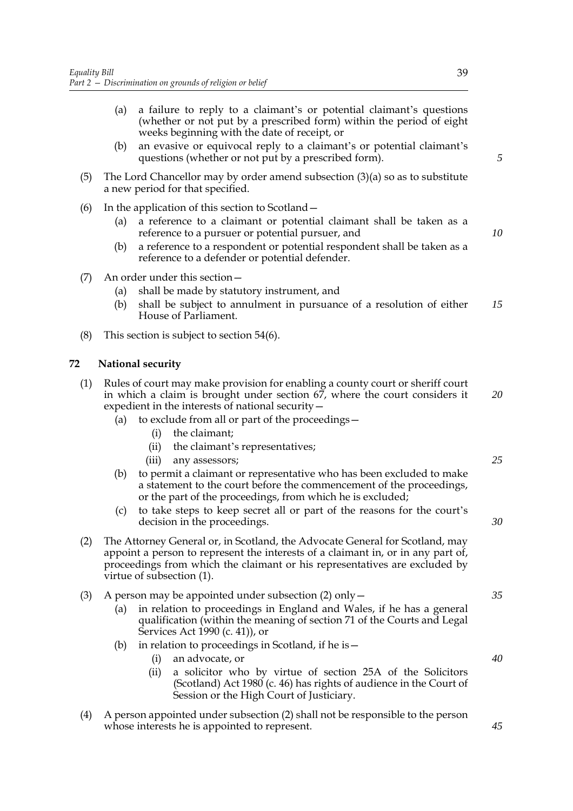- (a) a failure to reply to a claimant's or potential claimant's questions (whether or not put by a prescribed form) within the period of eight weeks beginning with the date of receipt, or
- (b) an evasive or equivocal reply to a claimant's or potential claimant's questions (whether or not put by a prescribed form).
- (5) The Lord Chancellor may by order amend subsection  $(3)(a)$  so as to substitute a new period for that specified.
- (6) In the application of this section to Scotland—
	- (a) a reference to a claimant or potential claimant shall be taken as a reference to a pursuer or potential pursuer, and
	- (b) a reference to a respondent or potential respondent shall be taken as a reference to a defender or potential defender.
- (7) An order under this section—
	- (a) shall be made by statutory instrument, and
	- (b) shall be subject to annulment in pursuance of a resolution of either House of Parliament. *15*
- (8) This section is subject to section 54(6).

## **72 National security**

- (1) Rules of court may make provision for enabling a county court or sheriff court in which a claim is brought under section 67, where the court considers it expedient in the interests of national security— *20*
	- (a) to exclude from all or part of the proceedings—
		- (i) the claimant;
		- (ii) the claimant's representatives;
		- (iii) any assessors;
	- (b) to permit a claimant or representative who has been excluded to make a statement to the court before the commencement of the proceedings, or the part of the proceedings, from which he is excluded;
	- (c) to take steps to keep secret all or part of the reasons for the court's decision in the proceedings.
- (2) The Attorney General or, in Scotland, the Advocate General for Scotland, may appoint a person to represent the interests of a claimant in, or in any part of, proceedings from which the claimant or his representatives are excluded by virtue of subsection (1).
- (3) A person may be appointed under subsection (2) only  $-$ 
	- (a) in relation to proceedings in England and Wales, if he has a general qualification (within the meaning of section 71 of the Courts and Legal Services Act 1990 (c. 41)), or
	- (b) in relation to proceedings in Scotland, if he is  $-$ 
		- (i) an advocate, or
		- (ii) a solicitor who by virtue of section 25A of the Solicitors (Scotland) Act 1980 (c. 46) has rights of audience in the Court of Session or the High Court of Justiciary.
- (4) A person appointed under subsection (2) shall not be responsible to the person whose interests he is appointed to represent.

*5*

*10*

*35*

*25*

*30*

*40*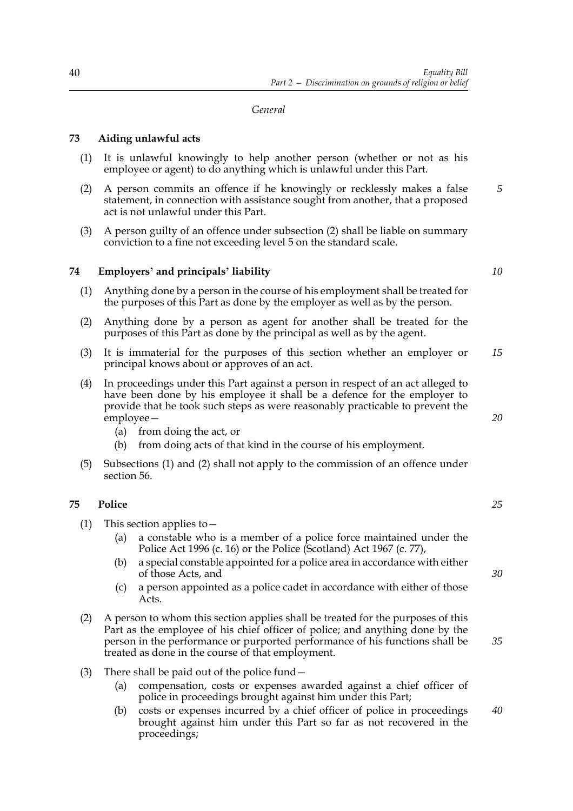#### *General*

## **73 Aiding unlawful acts**

- (1) It is unlawful knowingly to help another person (whether or not as his employee or agent) to do anything which is unlawful under this Part.
- (2) A person commits an offence if he knowingly or recklessly makes a false statement, in connection with assistance sought from another, that a proposed act is not unlawful under this Part.
- (3) A person guilty of an offence under subsection (2) shall be liable on summary conviction to a fine not exceeding level 5 on the standard scale.

### **74 Employers' and principals' liability**

- (1) Anything done by a person in the course of his employment shall be treated for the purposes of this Part as done by the employer as well as by the person.
- (2) Anything done by a person as agent for another shall be treated for the purposes of this Part as done by the principal as well as by the agent.
- (3) It is immaterial for the purposes of this section whether an employer or principal knows about or approves of an act. *15*
- (4) In proceedings under this Part against a person in respect of an act alleged to have been done by his employee it shall be a defence for the employer to provide that he took such steps as were reasonably practicable to prevent the employee—
	- (a) from doing the act, or
	- (b) from doing acts of that kind in the course of his employment.
- (5) Subsections (1) and (2) shall not apply to the commission of an offence under section 56.

## **75 Police**

- (1) This section applies to—
	- (a) a constable who is a member of a police force maintained under the Police Act 1996 (c. 16) or the Police (Scotland) Act 1967 (c. 77),
	- (b) a special constable appointed for a police area in accordance with either of those Acts, and
	- (c) a person appointed as a police cadet in accordance with either of those Acts.
- (2) A person to whom this section applies shall be treated for the purposes of this Part as the employee of his chief officer of police; and anything done by the person in the performance or purported performance of his functions shall be treated as done in the course of that employment.
- (3) There shall be paid out of the police fund—
	- (a) compensation, costs or expenses awarded against a chief officer of police in proceedings brought against him under this Part;
	- (b) costs or expenses incurred by a chief officer of police in proceedings brought against him under this Part so far as not recovered in the proceedings; *40*

*10*

*5*

*20*

*25*

*30*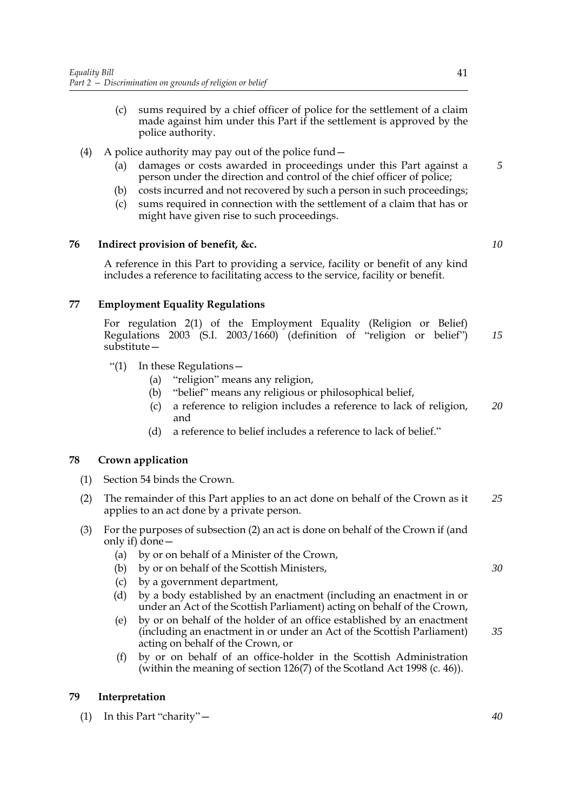- (c) sums required by a chief officer of police for the settlement of a claim made against him under this Part if the settlement is approved by the police authority.
- (4) A police authority may pay out of the police fund—
	- (a) damages or costs awarded in proceedings under this Part against a person under the direction and control of the chief officer of police;
	- (b) costs incurred and not recovered by such a person in such proceedings;
	- (c) sums required in connection with the settlement of a claim that has or might have given rise to such proceedings.

## **76 Indirect provision of benefit, &c.**

A reference in this Part to providing a service, facility or benefit of any kind includes a reference to facilitating access to the service, facility or benefit.

## **77 Employment Equality Regulations**

For regulation 2(1) of the Employment Equality (Religion or Belief) Regulations 2003 (S.I. 2003/1660) (definition of "religion or belief") substitute— *15*

- "(1) In these Regulations—
	- (a) "religion" means any religion,
	- (b) "belief" means any religious or philosophical belief,
	- (c) a reference to religion includes a reference to lack of religion, and *20*
	- (d) a reference to belief includes a reference to lack of belief."

## **78 Crown application**

- (1) Section 54 binds the Crown.
- (2) The remainder of this Part applies to an act done on behalf of the Crown as it applies to an act done by a private person. *25*
- (3) For the purposes of subsection (2) an act is done on behalf of the Crown if (and only if) done—
	- (a) by or on behalf of a Minister of the Crown,
	- (b) by or on behalf of the Scottish Ministers,
	- (c) by a government department,
	- (d) by a body established by an enactment (including an enactment in or under an Act of the Scottish Parliament) acting on behalf of the Crown,
	- (e) by or on behalf of the holder of an office established by an enactment (including an enactment in or under an Act of the Scottish Parliament) acting on behalf of the Crown, or *35*
	- (f) by or on behalf of an office-holder in the Scottish Administration (within the meaning of section 126(7) of the Scotland Act 1998 (c. 46)).

## **79 Interpretation**

(1) In this Part "charity"—

*40*

*30*

*5*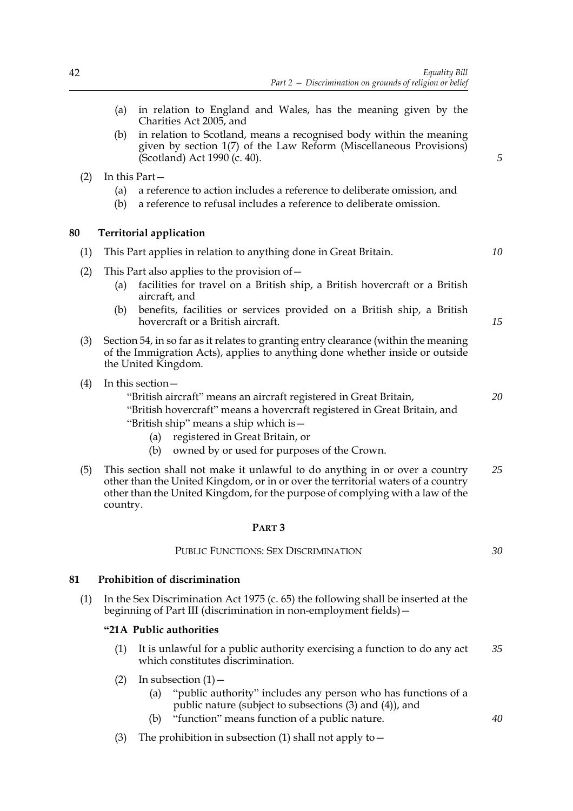|     | (a)                                                                                                                                                                                        | in relation to England and Wales, has the meaning given by the<br>Charities Act 2005, and                                                                                                                                                                                                                    |    |
|-----|--------------------------------------------------------------------------------------------------------------------------------------------------------------------------------------------|--------------------------------------------------------------------------------------------------------------------------------------------------------------------------------------------------------------------------------------------------------------------------------------------------------------|----|
|     | (b)                                                                                                                                                                                        | in relation to Scotland, means a recognised body within the meaning<br>given by section $1(7)$ of the Law Reform (Miscellaneous Provisions)<br>(Scotland) Act 1990 (c. 40).                                                                                                                                  | 5  |
| (2) |                                                                                                                                                                                            | In this Part-                                                                                                                                                                                                                                                                                                |    |
|     | (a)                                                                                                                                                                                        | a reference to action includes a reference to deliberate omission, and                                                                                                                                                                                                                                       |    |
|     | (b)                                                                                                                                                                                        | a reference to refusal includes a reference to deliberate omission.                                                                                                                                                                                                                                          |    |
| 80  |                                                                                                                                                                                            | <b>Territorial application</b>                                                                                                                                                                                                                                                                               |    |
| (1) |                                                                                                                                                                                            | This Part applies in relation to anything done in Great Britain.                                                                                                                                                                                                                                             | 10 |
| (2) | (a)<br>(b)                                                                                                                                                                                 | This Part also applies to the provision of $-$<br>facilities for travel on a British ship, a British hovercraft or a British<br>aircraft, and<br>benefits, facilities or services provided on a British ship, a British<br>hovercraft or a British aircraft.                                                 | 15 |
| (3) | Section 54, in so far as it relates to granting entry clearance (within the meaning<br>of the Immigration Acts), applies to anything done whether inside or outside<br>the United Kingdom. |                                                                                                                                                                                                                                                                                                              |    |
| (4) |                                                                                                                                                                                            | In this section -<br>"British aircraft" means an aircraft registered in Great Britain,<br>"British hovercraft" means a hovercraft registered in Great Britain, and<br>"British ship" means a ship which is -<br>registered in Great Britain, or<br>(a)<br>owned by or used for purposes of the Crown.<br>(b) | 20 |
| (5) |                                                                                                                                                                                            | This section shall not make it unlawful to do anything in or over a country                                                                                                                                                                                                                                  | 25 |

other than the United Kingdom, or in or over the territorial waters of a country other than the United Kingdom, for the purpose of complying with a law of the country.

## **PART 3**

#### PUBLIC FUNCTIONS: SEX DISCRIMINATION

#### *30*

*40*

## **81 Prohibition of discrimination**

(1) In the Sex Discrimination Act 1975 (c. 65) the following shall be inserted at the beginning of Part III (discrimination in non-employment fields)—

# **"21A Public authorities**

- (1) It is unlawful for a public authority exercising a function to do any act which constitutes discrimination. *35*
- (2) In subsection  $(1)$ 
	- (a) "public authority" includes any person who has functions of a public nature (subject to subsections (3) and (4)), and
	- (b) "function" means function of a public nature.
- (3) The prohibition in subsection (1) shall not apply to  $-$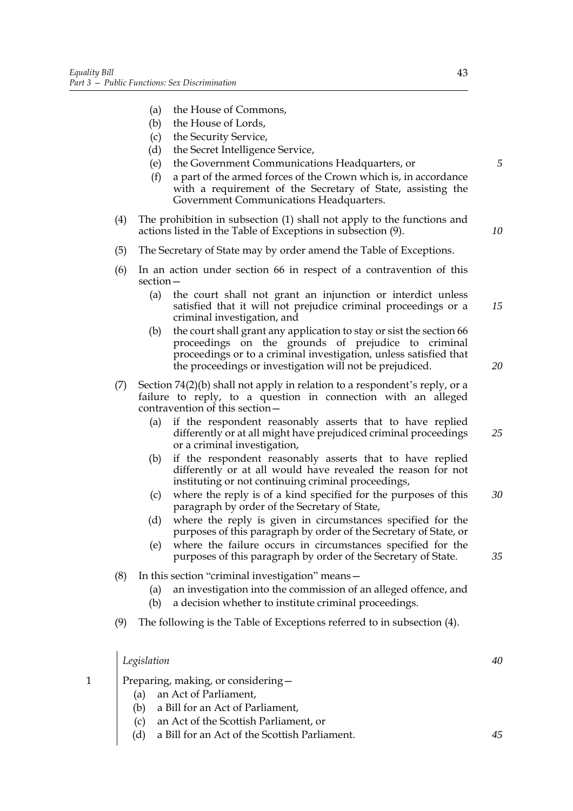- (a) the House of Commons,
- (b) the House of Lords,
- (c) the Security Service,
- (d) the Secret Intelligence Service,
- (e) the Government Communications Headquarters, or
- (f) a part of the armed forces of the Crown which is, in accordance with a requirement of the Secretary of State, assisting the Government Communications Headquarters.
- (4) The prohibition in subsection (1) shall not apply to the functions and actions listed in the Table of Exceptions in subsection (9).
- (5) The Secretary of State may by order amend the Table of Exceptions.
- (6) In an action under section 66 in respect of a contravention of this section—
	- (a) the court shall not grant an injunction or interdict unless satisfied that it will not prejudice criminal proceedings or a criminal investigation, and
	- (b) the court shall grant any application to stay or sist the section 66 proceedings on the grounds of prejudice to criminal proceedings or to a criminal investigation, unless satisfied that the proceedings or investigation will not be prejudiced.
- (7) Section  $74(2)(b)$  shall not apply in relation to a respondent's reply, or a failure to reply, to a question in connection with an alleged contravention of this section—
	- (a) if the respondent reasonably asserts that to have replied differently or at all might have prejudiced criminal proceedings or a criminal investigation,
	- (b) if the respondent reasonably asserts that to have replied differently or at all would have revealed the reason for not instituting or not continuing criminal proceedings,
	- (c) where the reply is of a kind specified for the purposes of this paragraph by order of the Secretary of State, *30*
	- (d) where the reply is given in circumstances specified for the purposes of this paragraph by order of the Secretary of State, or
	- (e) where the failure occurs in circumstances specified for the purposes of this paragraph by order of the Secretary of State.
- (8) In this section "criminal investigation" means—
	- (a) an investigation into the commission of an alleged offence, and
	- (b) a decision whether to institute criminal proceedings.
- (9) The following is the Table of Exceptions referred to in subsection (4).

# *Legislation*

- 1 Preparing, making, or considering-
	- (a) an Act of Parliament,
	- (b) a Bill for an Act of Parliament,
	- (c) an Act of the Scottish Parliament, or
	- (d) a Bill for an Act of the Scottish Parliament.

*5*

*10*

*15*

*20*

*25*

*35*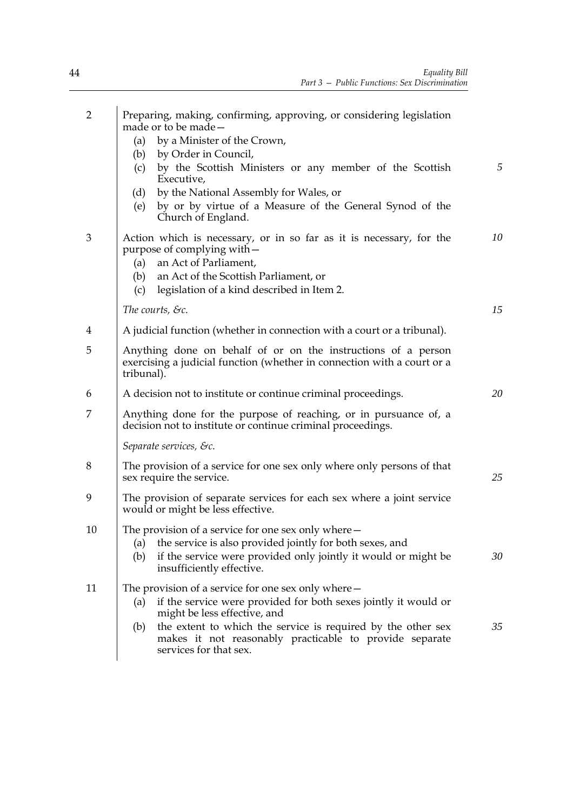| 2  | Preparing, making, confirming, approving, or considering legislation<br>made or to be made -                                                                                                                                            |    |
|----|-----------------------------------------------------------------------------------------------------------------------------------------------------------------------------------------------------------------------------------------|----|
|    | by a Minister of the Crown,<br>(a)                                                                                                                                                                                                      |    |
|    | by Order in Council,<br>(b)                                                                                                                                                                                                             |    |
|    | by the Scottish Ministers or any member of the Scottish<br>(c)<br>Executive,                                                                                                                                                            | 5  |
|    | by the National Assembly for Wales, or<br>(d)                                                                                                                                                                                           |    |
|    | by or by virtue of a Measure of the General Synod of the<br>(e)<br>Church of England.                                                                                                                                                   |    |
| 3  | Action which is necessary, or in so far as it is necessary, for the<br>purpose of complying with -<br>an Act of Parliament,<br>(a)<br>an Act of the Scottish Parliament, or<br>(b)<br>legislation of a kind described in Item 2.<br>(c) | 10 |
|    | The courts, &c.                                                                                                                                                                                                                         | 15 |
| 4  | A judicial function (whether in connection with a court or a tribunal).                                                                                                                                                                 |    |
| 5  | Anything done on behalf of or on the instructions of a person<br>exercising a judicial function (whether in connection with a court or a<br>tribunal).                                                                                  |    |
| 6  | A decision not to institute or continue criminal proceedings.                                                                                                                                                                           | 20 |
| 7  | Anything done for the purpose of reaching, or in pursuance of, a<br>decision not to institute or continue criminal proceedings.                                                                                                         |    |
|    | Separate services, &c.                                                                                                                                                                                                                  |    |
| 8  | The provision of a service for one sex only where only persons of that<br>sex require the service.                                                                                                                                      | 25 |
| 9  | The provision of separate services for each sex where a joint service<br>would or might be less effective.                                                                                                                              |    |
| 10 | The provision of a service for one sex only where –<br>the service is also provided jointly for both sexes, and<br>(a)<br>if the service were provided only jointly it would or might be<br>(b)<br>insufficiently effective.            | 30 |
| 11 | The provision of a service for one sex only where –<br>if the service were provided for both sexes jointly it would or<br>(a)<br>might be less effective, and                                                                           |    |
|    | the extent to which the service is required by the other sex<br>(b)<br>makes it not reasonably practicable to provide separate<br>services for that sex.                                                                                | 35 |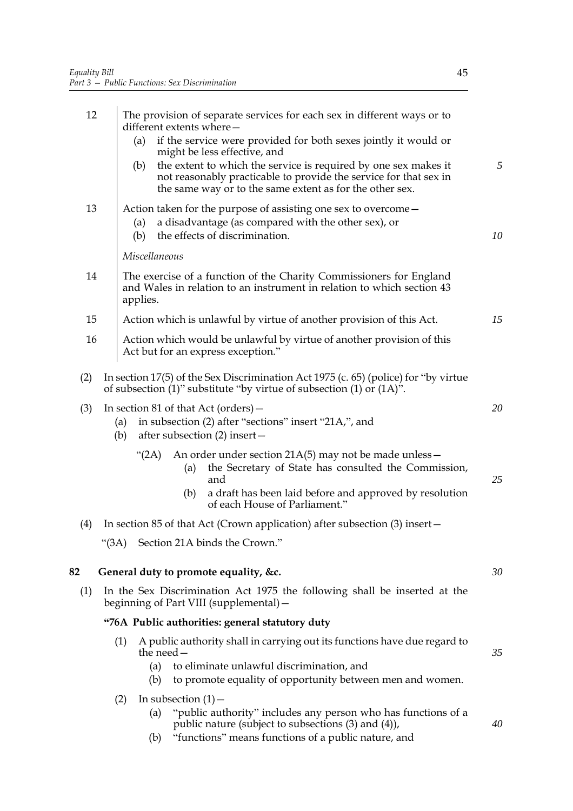|     | 12<br>The provision of separate services for each sex in different ways or to<br>different extents where-            |                                                                                                                                                                                                         |    |  |
|-----|----------------------------------------------------------------------------------------------------------------------|---------------------------------------------------------------------------------------------------------------------------------------------------------------------------------------------------------|----|--|
|     |                                                                                                                      | if the service were provided for both sexes jointly it would or<br>(a)<br>might be less effective, and                                                                                                  |    |  |
|     |                                                                                                                      | the extent to which the service is required by one sex makes it<br>(b)<br>not reasonably practicable to provide the service for that sex in<br>the same way or to the same extent as for the other sex. | 5  |  |
| 13  |                                                                                                                      | Action taken for the purpose of assisting one sex to overcome -<br>a disadvantage (as compared with the other sex), or<br>(a)<br>the effects of discrimination.<br>(b)                                  | 10 |  |
|     |                                                                                                                      | Miscellaneous                                                                                                                                                                                           |    |  |
| 14  |                                                                                                                      | The exercise of a function of the Charity Commissioners for England<br>and Wales in relation to an instrument in relation to which section 43<br>applies.                                               |    |  |
| 15  |                                                                                                                      | Action which is unlawful by virtue of another provision of this Act.                                                                                                                                    | 15 |  |
| 16  |                                                                                                                      | Action which would be unlawful by virtue of another provision of this<br>Act but for an express exception."                                                                                             |    |  |
| (2) |                                                                                                                      | In section $17(5)$ of the Sex Discrimination Act 1975 (c. 65) (police) for "by virtue<br>of subsection $(1)$ " substitute "by virtue of subsection $(1)$ or $(1A)$ ".                                   |    |  |
| (3) |                                                                                                                      | In section 81 of that Act (orders) $-$<br>in subsection (2) after "sections" insert "21A,", and<br>(a)<br>after subsection (2) insert-<br>(b)                                                           | 20 |  |
|     |                                                                                                                      | An order under section $21A(5)$ may not be made unless $-$<br>" $(2A)$<br>the Secretary of State has consulted the Commission,<br>(a)<br>and                                                            | 25 |  |
|     |                                                                                                                      | a draft has been laid before and approved by resolution<br>(b)<br>of each House of Parliament."                                                                                                         |    |  |
| (4) |                                                                                                                      | In section 85 of that Act (Crown application) after subsection (3) insert –                                                                                                                             |    |  |
|     | " $(3A)$                                                                                                             | Section 21A binds the Crown."                                                                                                                                                                           |    |  |
| 82  |                                                                                                                      | General duty to promote equality, &c.                                                                                                                                                                   | 30 |  |
| (1) | In the Sex Discrimination Act 1975 the following shall be inserted at the<br>beginning of Part VIII (supplemental) - |                                                                                                                                                                                                         |    |  |
|     |                                                                                                                      | "76A Public authorities: general statutory duty                                                                                                                                                         |    |  |
|     |                                                                                                                      | A public authority shall in carrying out its functions have due regard to<br>(1)<br>the need -                                                                                                          | 35 |  |
|     |                                                                                                                      | to eliminate unlawful discrimination, and<br>(a)<br>to promote equality of opportunity between men and women.<br>(b)                                                                                    |    |  |
|     |                                                                                                                      | (2)<br>In subsection $(1)$ –<br>"public authority" includes any person who has functions of a<br>(a)<br>public nature (subject to subsections $(3)$ and $(4)$ ),                                        | 40 |  |
|     |                                                                                                                      |                                                                                                                                                                                                         |    |  |

(b) "functions" means functions of a public nature, and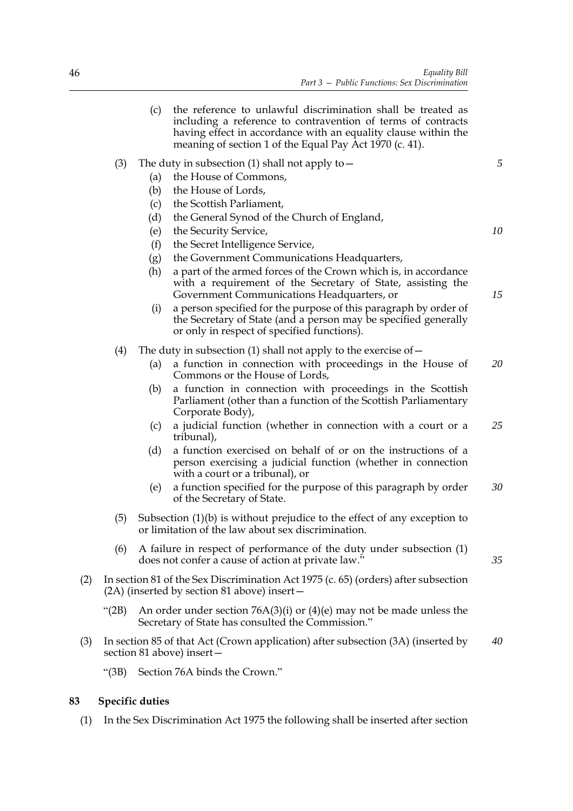- (c) the reference to unlawful discrimination shall be treated as including a reference to contravention of terms of contracts having effect in accordance with an equality clause within the meaning of section 1 of the Equal Pay Act 1970 (c. 41). (3) The duty in subsection (1) shall not apply to  $-$ (a) the House of Commons, (b) the House of Lords, (c) the Scottish Parliament, (d) the General Synod of the Church of England, (e) the Security Service, (f) the Secret Intelligence Service, (g) the Government Communications Headquarters, (h) a part of the armed forces of the Crown which is, in accordance with a requirement of the Secretary of State, assisting the Government Communications Headquarters, or (i) a person specified for the purpose of this paragraph by order of the Secretary of State (and a person may be specified generally or only in respect of specified functions). (4) The duty in subsection (1) shall not apply to the exercise of  $-$ (a) a function in connection with proceedings in the House of Commons or the House of Lords, (b) a function in connection with proceedings in the Scottish Parliament (other than a function of the Scottish Parliamentary Corporate Body), (c) a judicial function (whether in connection with a court or a tribunal), (d) a function exercised on behalf of or on the instructions of a person exercising a judicial function (whether in connection with a court or a tribunal), or (e) a function specified for the purpose of this paragraph by order of the Secretary of State. (5) Subsection (1)(b) is without prejudice to the effect of any exception to or limitation of the law about sex discrimination. (6) A failure in respect of performance of the duty under subsection (1) does not confer a cause of action at private law." (2) In section 81 of the Sex Discrimination Act 1975 (c. 65) (orders) after subsection (2A) (inserted by section 81 above) insert— "(2B) An order under section  $76A(3)(i)$  or  $(4)(e)$  may not be made unless the Secretary of State has consulted the Commission." (3) In section 85 of that Act (Crown application) after subsection (3A) (inserted by section 81 above) insert— *5 10 15 20 25 30 35 40*
	- "(3B) Section 76A binds the Crown."

## **83 Specific duties**

(1) In the Sex Discrimination Act 1975 the following shall be inserted after section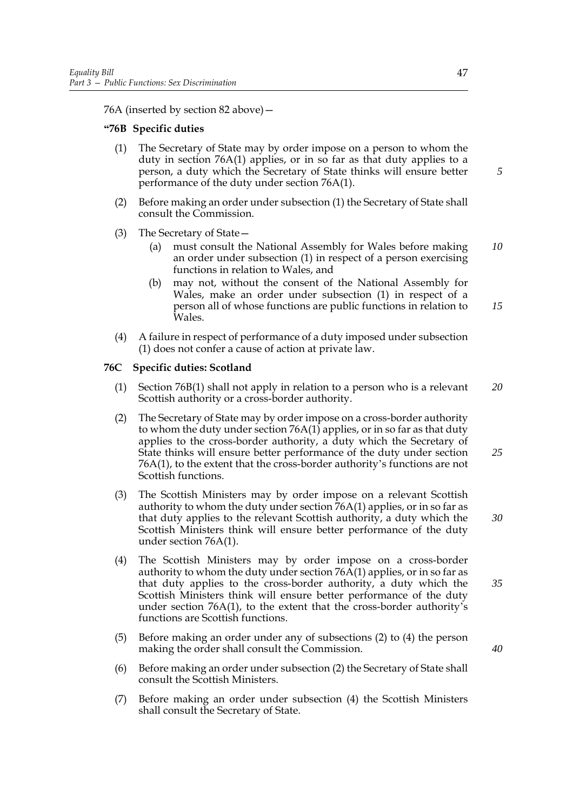76A (inserted by section 82 above)—

## **"76B Specific duties**

- (1) The Secretary of State may by order impose on a person to whom the duty in section 76A(1) applies, or in so far as that duty applies to a person, a duty which the Secretary of State thinks will ensure better performance of the duty under section 76A(1).
- (2) Before making an order under subsection (1) the Secretary of State shall consult the Commission.
- (3) The Secretary of State—
	- (a) must consult the National Assembly for Wales before making an order under subsection (1) in respect of a person exercising functions in relation to Wales, and *10*
	- (b) may not, without the consent of the National Assembly for Wales, make an order under subsection (1) in respect of a person all of whose functions are public functions in relation to Wales. *15*
- (4) A failure in respect of performance of a duty imposed under subsection (1) does not confer a cause of action at private law.

#### **76C Specific duties: Scotland**

- (1) Section 76B(1) shall not apply in relation to a person who is a relevant Scottish authority or a cross-border authority. *20*
- (2) The Secretary of State may by order impose on a cross-border authority to whom the duty under section 76A(1) applies, or in so far as that duty applies to the cross-border authority, a duty which the Secretary of State thinks will ensure better performance of the duty under section 76A(1), to the extent that the cross-border authority's functions are not Scottish functions. *25*
- (3) The Scottish Ministers may by order impose on a relevant Scottish authority to whom the duty under section 76A(1) applies, or in so far as that duty applies to the relevant Scottish authority, a duty which the Scottish Ministers think will ensure better performance of the duty under section 76A(1).
- (4) The Scottish Ministers may by order impose on a cross-border authority to whom the duty under section 76A(1) applies, or in so far as that duty applies to the cross-border authority, a duty which the Scottish Ministers think will ensure better performance of the duty under section 76A(1), to the extent that the cross-border authority's functions are Scottish functions.
- (5) Before making an order under any of subsections (2) to (4) the person making the order shall consult the Commission.
- (6) Before making an order under subsection (2) the Secretary of State shall consult the Scottish Ministers.
- (7) Before making an order under subsection (4) the Scottish Ministers shall consult the Secretary of State.

47

*5*

*30*

*35*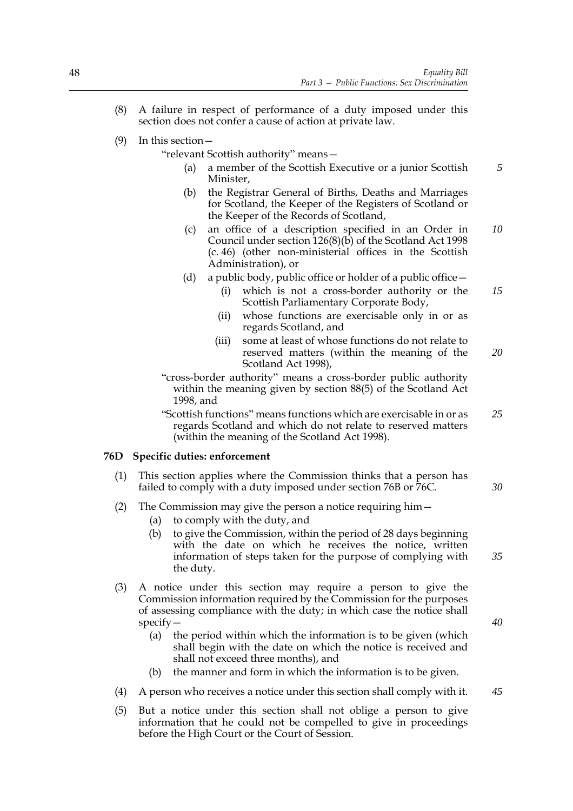- (8) A failure in respect of performance of a duty imposed under this section does not confer a cause of action at private law.
- (9) In this section—

"relevant Scottish authority" means—

- (a) a member of the Scottish Executive or a junior Scottish Minister, *5*
- (b) the Registrar General of Births, Deaths and Marriages for Scotland, the Keeper of the Registers of Scotland or the Keeper of the Records of Scotland,
- (c) an office of a description specified in an Order in Council under section 126(8)(b) of the Scotland Act 1998 (c. 46) (other non-ministerial offices in the Scottish Administration), or *10*
- (d) a public body, public office or holder of a public office—
	- (i) which is not a cross-border authority or the Scottish Parliamentary Corporate Body, *15*
	- (ii) whose functions are exercisable only in or as regards Scotland, and
	- (iii) some at least of whose functions do not relate to reserved matters (within the meaning of the Scotland Act 1998), *20*
- "cross-border authority" means a cross-border public authority within the meaning given by section 88(5) of the Scotland Act 1998, and

"Scottish functions" means functions which are exercisable in or as regards Scotland and which do not relate to reserved matters (within the meaning of the Scotland Act 1998). *25*

#### **76D Specific duties: enforcement**

- (1) This section applies where the Commission thinks that a person has failed to comply with a duty imposed under section 76B or  $76C$ .
- (2) The Commission may give the person a notice requiring him—
	- (a) to comply with the duty, and
	- (b) to give the Commission, within the period of 28 days beginning with the date on which he receives the notice, written information of steps taken for the purpose of complying with the duty.
- (3) A notice under this section may require a person to give the Commission information required by the Commission for the purposes of assessing compliance with the duty; in which case the notice shall specify—
	- (a) the period within which the information is to be given (which shall begin with the date on which the notice is received and shall not exceed three months), and
	- (b) the manner and form in which the information is to be given.
- (4) A person who receives a notice under this section shall comply with it. *45*
- (5) But a notice under this section shall not oblige a person to give information that he could not be compelled to give in proceedings before the High Court or the Court of Session.

*40*

*30*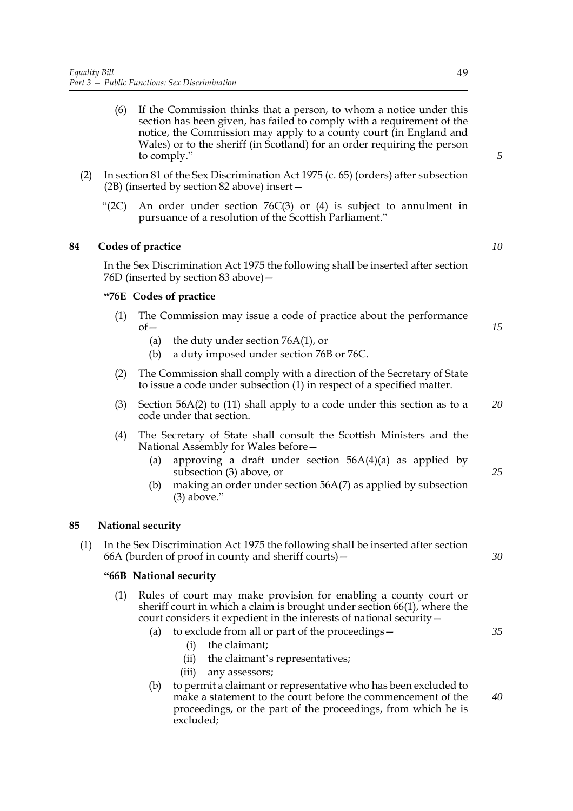- (6) If the Commission thinks that a person, to whom a notice under this section has been given, has failed to comply with a requirement of the notice, the Commission may apply to a county court (in England and Wales) or to the sheriff (in Scotland) for an order requiring the person to comply."
- (2) In section 81 of the Sex Discrimination Act 1975 (c. 65) (orders) after subsection (2B) (inserted by section 82 above) insert—
	- "(2C) An order under section 76C(3) or (4) is subject to annulment in pursuance of a resolution of the Scottish Parliament."

## **84 Codes of practice**

In the Sex Discrimination Act 1975 the following shall be inserted after section 76D (inserted by section 83 above)—

#### **"76E Codes of practice**

- (1) The Commission may issue a code of practice about the performance  $of$ 
	- (a) the duty under section 76A(1), or
	- (b) a duty imposed under section 76B or 76C.
- (2) The Commission shall comply with a direction of the Secretary of State to issue a code under subsection (1) in respect of a specified matter.
- (3) Section 56A(2) to (11) shall apply to a code under this section as to a code under that section. *20*
- (4) The Secretary of State shall consult the Scottish Ministers and the National Assembly for Wales before—
	- (a) approving a draft under section 56A(4)(a) as applied by subsection (3) above, or
	- (b) making an order under section 56A(7) as applied by subsection (3) above."

## **85 National security**

(1) In the Sex Discrimination Act 1975 the following shall be inserted after section 66A (burden of proof in county and sheriff courts)—

### **"66B National security**

- (1) Rules of court may make provision for enabling a county court or sheriff court in which a claim is brought under section 66(1), where the court considers it expedient in the interests of national security—
	- (a) to exclude from all or part of the proceedings—
		- (i) the claimant;
		- (ii) the claimant's representatives;
		- (iii) any assessors;
	- (b) to permit a claimant or representative who has been excluded to make a statement to the court before the commencement of the proceedings, or the part of the proceedings, from which he is excluded; *40*

*5*

*10*

*15*

*25*

*35*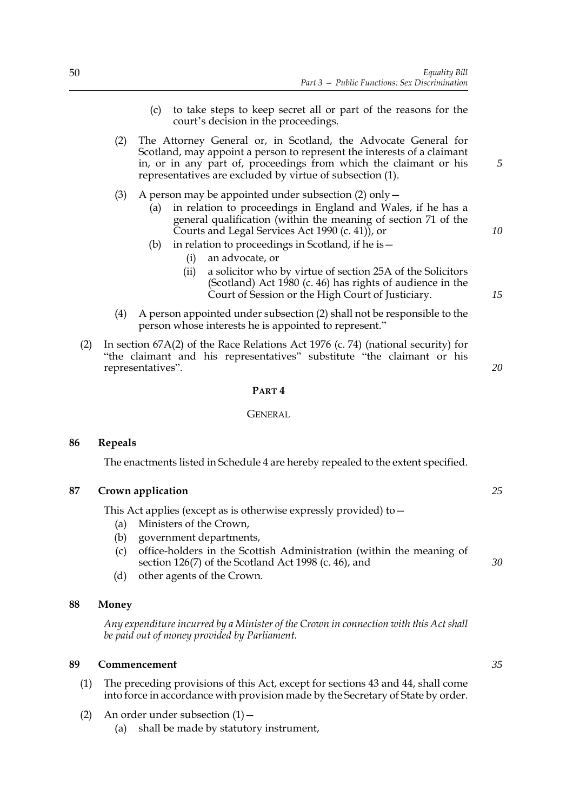- (c) to take steps to keep secret all or part of the reasons for the court's decision in the proceedings.
- (2) The Attorney General or, in Scotland, the Advocate General for Scotland, may appoint a person to represent the interests of a claimant in, or in any part of, proceedings from which the claimant or his representatives are excluded by virtue of subsection (1).
- (3) A person may be appointed under subsection (2) only  $-$ 
	- (a) in relation to proceedings in England and Wales, if he has a general qualification (within the meaning of section 71 of the Courts and Legal Services Act 1990 (c. 41)), or
	- (b) in relation to proceedings in Scotland, if he is—
		- (i) an advocate, or
		- (ii) a solicitor who by virtue of section 25A of the Solicitors (Scotland) Act 1980 (c. 46) has rights of audience in the Court of Session or the High Court of Justiciary.
- (4) A person appointed under subsection (2) shall not be responsible to the person whose interests he is appointed to represent."
- (2) In section 67A(2) of the Race Relations Act 1976 (c. 74) (national security) for "the claimant and his representatives" substitute "the claimant or his representatives".

#### **PART 4**

#### **GENERAL**

#### **86 Repeals**

The enactments listed in Schedule 4 are hereby repealed to the extent specified.

## **87 Crown application**

This Act applies (except as is otherwise expressly provided) to—

- (a) Ministers of the Crown,
- (b) government departments,
- (c) office-holders in the Scottish Administration (within the meaning of section 126(7) of the Scotland Act 1998 (c. 46), and
- (d) other agents of the Crown.

## **88 Money**

*Any expenditure incurred by a Minister of the Crown in connection with this Act shall be paid out of money provided by Parliament.*

## **89 Commencement**

- (1) The preceding provisions of this Act, except for sections 43 and 44, shall come into force in accordance with provision made by the Secretary of State by order.
- (2) An order under subsection  $(1)$  -
	- (a) shall be made by statutory instrument,

*35*

*15*

*5*

*10*

*25*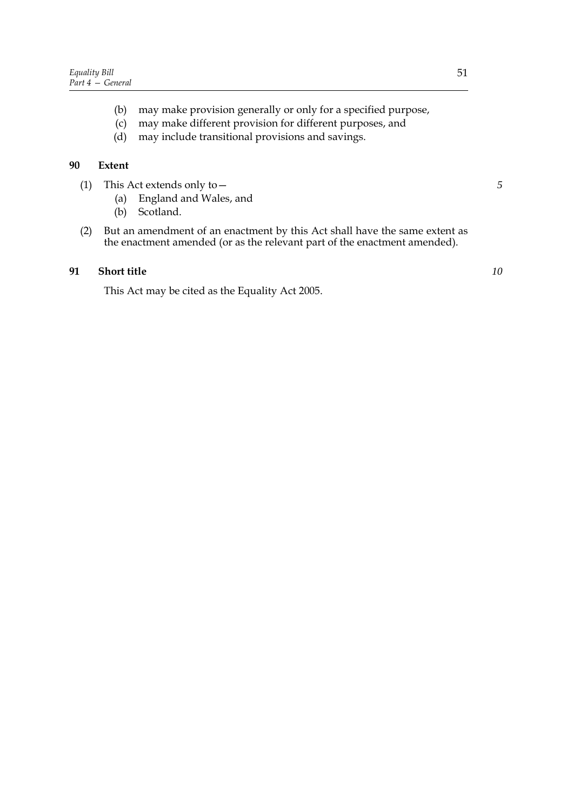- (b) may make provision generally or only for a specified purpose,
- (c) may make different provision for different purposes, and
- (d) may include transitional provisions and savings.

# **90 Extent**

- (1) This Act extends only to—
	- (a) England and Wales, and
	- (b) Scotland.
- (2) But an amendment of an enactment by this Act shall have the same extent as the enactment amended (or as the relevant part of the enactment amended).

## **91 Short title**

This Act may be cited as the Equality Act 2005.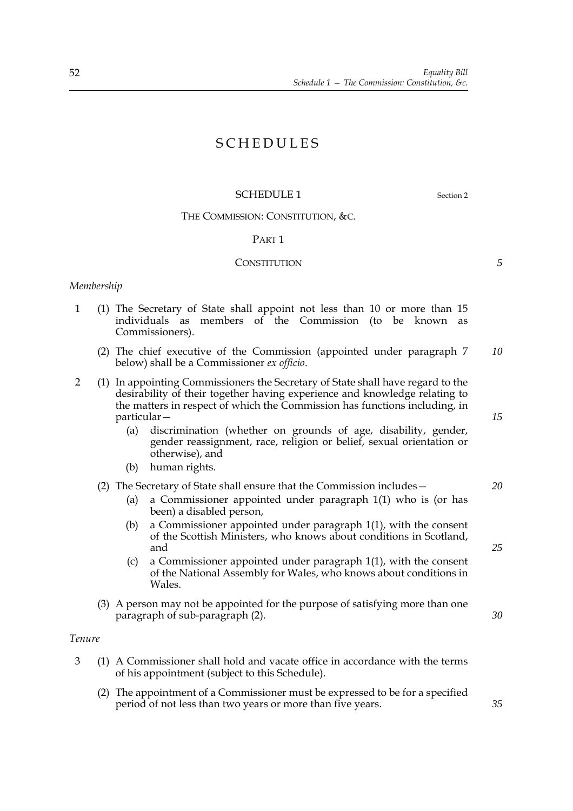# SCHEDULES

## SCHEDULE 1 Section 2

# THE COMMISSION: CONSTITUTION, &C.

#### PART 1

#### **CONSTITUTION**

#### *Membership*

- 1 (1) The Secretary of State shall appoint not less than 10 or more than 15 individuals as members of the Commission (to be known as Commissioners).
	- (2) The chief executive of the Commission (appointed under paragraph 7 below) shall be a Commissioner *ex officio*. *10*
- 2 (1) In appointing Commissioners the Secretary of State shall have regard to the desirability of their together having experience and knowledge relating to the matters in respect of which the Commission has functions including, in particular—
	- (a) discrimination (whether on grounds of age, disability, gender, gender reassignment, race, religion or belief, sexual orientation or otherwise), and
	- (b) human rights.

## (2) The Secretary of State shall ensure that the Commission includes—

- (a) a Commissioner appointed under paragraph 1(1) who is (or has been) a disabled person,
- (b) a Commissioner appointed under paragraph 1(1), with the consent of the Scottish Ministers, who knows about conditions in Scotland, and
- (c) a Commissioner appointed under paragraph 1(1), with the consent of the National Assembly for Wales, who knows about conditions in Wales.
- (3) A person may not be appointed for the purpose of satisfying more than one paragraph of sub-paragraph (2).

### *Tenure*

- 3 (1) A Commissioner shall hold and vacate office in accordance with the terms of his appointment (subject to this Schedule).
	- (2) The appointment of a Commissioner must be expressed to be for a specified period of not less than two years or more than five years.

*15*

*5*

*20*

*30*

*25*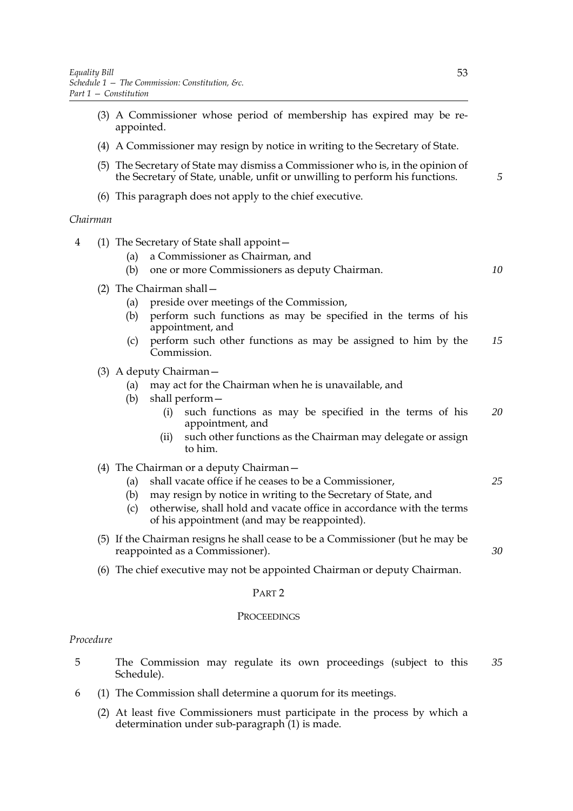- (3) A Commissioner whose period of membership has expired may be reappointed.
- (4) A Commissioner may resign by notice in writing to the Secretary of State.
- (5) The Secretary of State may dismiss a Commissioner who is, in the opinion of the Secretary of State, unable, unfit or unwilling to perform his functions.
- (6) This paragraph does not apply to the chief executive.

## *Chairman*

- 4 (1) The Secretary of State shall appoint—
	- (a) a Commissioner as Chairman, and
	- (b) one or more Commissioners as deputy Chairman. *10*
	- (2) The Chairman shall—
		- (a) preside over meetings of the Commission,
		- (b) perform such functions as may be specified in the terms of his appointment, and
		- (c) perform such other functions as may be assigned to him by the Commission. *15*
	- (3) A deputy Chairman—
		- (a) may act for the Chairman when he is unavailable, and
		- (b) shall perform—
			- (i) such functions as may be specified in the terms of his appointment, and *20*
			- (ii) such other functions as the Chairman may delegate or assign to him.

## (4) The Chairman or a deputy Chairman—

- (a) shall vacate office if he ceases to be a Commissioner, *25*
- (b) may resign by notice in writing to the Secretary of State, and
- (c) otherwise, shall hold and vacate office in accordance with the terms of his appointment (and may be reappointed).
- (5) If the Chairman resigns he shall cease to be a Commissioner (but he may be reappointed as a Commissioner).
- (6) The chief executive may not be appointed Chairman or deputy Chairman.

### PART 2

#### **PROCEEDINGS**

### *Procedure*

- 5 The Commission may regulate its own proceedings (subject to this Schedule). *35*
- 6 (1) The Commission shall determine a quorum for its meetings.
	- (2) At least five Commissioners must participate in the process by which a determination under sub-paragraph (1) is made.

*5*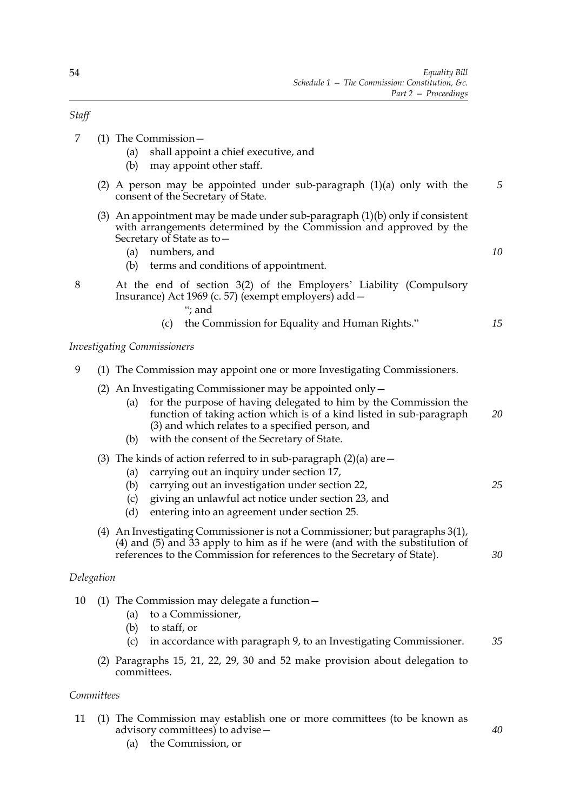7 (1) The Commission— (a) shall appoint a chief executive, and (b) may appoint other staff. (2) A person may be appointed under sub-paragraph (1)(a) only with the consent of the Secretary of State. (3) An appointment may be made under sub-paragraph  $(1)(b)$  only if consistent with arrangements determined by the Commission and approved by the Secretary of State as to— (a) numbers, and (b) terms and conditions of appointment. 8 At the end of section 3(2) of the Employers' Liability (Compulsory Insurance) Act 1969 (c. 57) (exempt employers) add— "; and (c) the Commission for Equality and Human Rights." *Investigating Commissioners* 9 (1) The Commission may appoint one or more Investigating Commissioners. (2) An Investigating Commissioner may be appointed only— (a) for the purpose of having delegated to him by the Commission the function of taking action which is of a kind listed in sub-paragraph (3) and which relates to a specified person, and (b) with the consent of the Secretary of State. (3) The kinds of action referred to in sub-paragraph  $(2)(a)$  are  $-$ (a) carrying out an inquiry under section 17, (b) carrying out an investigation under section 22, (c) giving an unlawful act notice under section 23, and (d) entering into an agreement under section 25. (4) An Investigating Commissioner is not a Commissioner; but paragraphs 3(1), (4) and (5) and 33 apply to him as if he were (and with the substitution of references to the Commission for references to the Secretary of State). *Delegation* 10 (1) The Commission may delegate a function— (a) to a Commissioner, (b) to staff, or (c) in accordance with paragraph 9, to an Investigating Commissioner. *5 10 15 20 25 30 35*

## (2) Paragraphs 15, 21, 22, 29, 30 and 52 make provision about delegation to committees.

# *Committees*

11 (1) The Commission may establish one or more committees (to be known as advisory committees) to advise—

*Staff*

54

(a) the Commission, or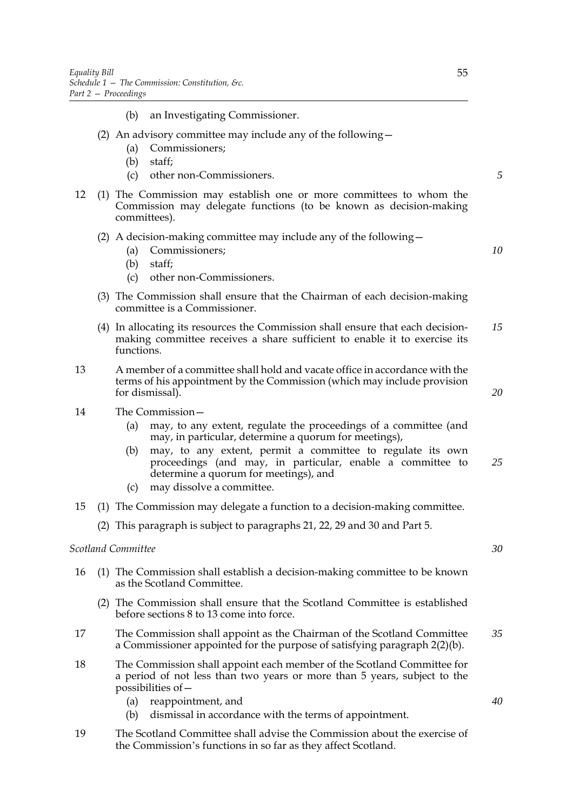- (b) an Investigating Commissioner.
- (2) An advisory committee may include any of the following—
	- (a) Commissioners;
	- (b) staff;
	- (c) other non-Commissioners.
- 12 (1) The Commission may establish one or more committees to whom the Commission may delegate functions (to be known as decision-making committees).
	- (2) A decision-making committee may include any of the following—
		- (a) Commissioners;
		- (b) staff;
		- (c) other non-Commissioners.
	- (3) The Commission shall ensure that the Chairman of each decision-making committee is a Commissioner.
	- (4) In allocating its resources the Commission shall ensure that each decisionmaking committee receives a share sufficient to enable it to exercise its functions. *15*
- 13 A member of a committee shall hold and vacate office in accordance with the terms of his appointment by the Commission (which may include provision for dismissal).
- 14 The Commission—
	- (a) may, to any extent, regulate the proceedings of a committee (and may, in particular, determine a quorum for meetings),
	- (b) may, to any extent, permit a committee to regulate its own proceedings (and may, in particular, enable a committee to determine a quorum for meetings), and *25*
	- (c) may dissolve a committee.
- 15 (1) The Commission may delegate a function to a decision-making committee.
	- (2) This paragraph is subject to paragraphs 21, 22, 29 and 30 and Part 5.

*Scotland Committee*

- 16 (1) The Commission shall establish a decision-making committee to be known as the Scotland Committee.
	- (2) The Commission shall ensure that the Scotland Committee is established before sections 8 to 13 come into force.
- 17 The Commission shall appoint as the Chairman of the Scotland Committee a Commissioner appointed for the purpose of satisfying paragraph 2(2)(b). *35*
- 18 The Commission shall appoint each member of the Scotland Committee for a period of not less than two years or more than 5 years, subject to the possibilities of—
	- (a) reappointment, and
	- (b) dismissal in accordance with the terms of appointment.
- 19 The Scotland Committee shall advise the Commission about the exercise of the Commission's functions in so far as they affect Scotland.

*5*

*10*

*20*

*30*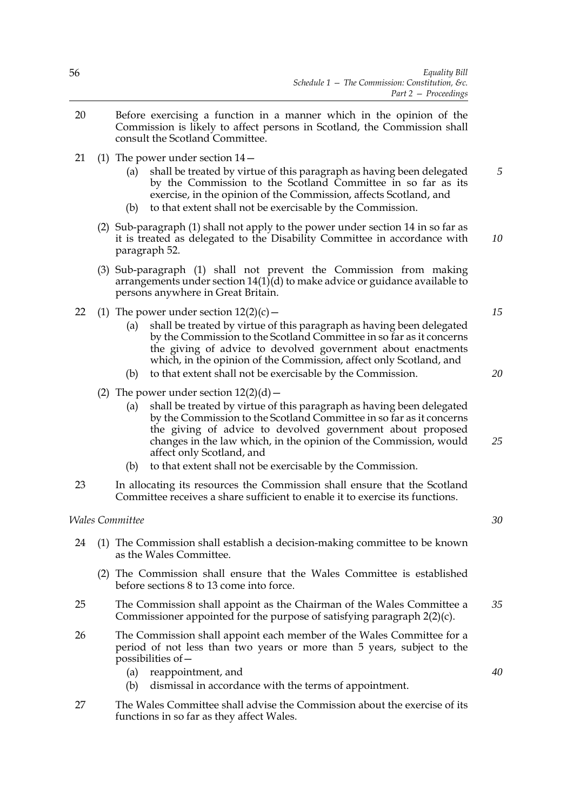- 20 Before exercising a function in a manner which in the opinion of the Commission is likely to affect persons in Scotland, the Commission shall consult the Scotland Committee.
- 21 (1) The power under section 14—
	- (a) shall be treated by virtue of this paragraph as having been delegated by the Commission to the Scotland Committee in so far as its exercise, in the opinion of the Commission, affects Scotland, and *5*
	- (b) to that extent shall not be exercisable by the Commission.
	- (2) Sub-paragraph (1) shall not apply to the power under section 14 in so far as it is treated as delegated to the Disability Committee in accordance with paragraph 52.
	- (3) Sub-paragraph (1) shall not prevent the Commission from making arrangements under section  $14(1)(d)$  to make advice or guidance available to persons anywhere in Great Britain.
- 22 (1) The power under section  $12(2)(c)$ 
	- (a) shall be treated by virtue of this paragraph as having been delegated by the Commission to the Scotland Committee in so far as it concerns the giving of advice to devolved government about enactments which, in the opinion of the Commission, affect only Scotland, and
	- (b) to that extent shall not be exercisable by the Commission.
	- (2) The power under section  $12(2)(d)$ 
		- (a) shall be treated by virtue of this paragraph as having been delegated by the Commission to the Scotland Committee in so far as it concerns the giving of advice to devolved government about proposed changes in the law which, in the opinion of the Commission, would affect only Scotland, and *25*
		- (b) to that extent shall not be exercisable by the Commission.
- 23 In allocating its resources the Commission shall ensure that the Scotland Committee receives a share sufficient to enable it to exercise its functions.

## *Wales Committee*

- 24 (1) The Commission shall establish a decision-making committee to be known as the Wales Committee.
	- (2) The Commission shall ensure that the Wales Committee is established before sections 8 to 13 come into force.
- 25 The Commission shall appoint as the Chairman of the Wales Committee a Commissioner appointed for the purpose of satisfying paragraph 2(2)(c). *35*
- 26 The Commission shall appoint each member of the Wales Committee for a period of not less than two years or more than 5 years, subject to the possibilities of—
	- (a) reappointment, and
	- (b) dismissal in accordance with the terms of appointment.
- 27 The Wales Committee shall advise the Commission about the exercise of its functions in so far as they affect Wales.

*30*

*40*

*15*

*10*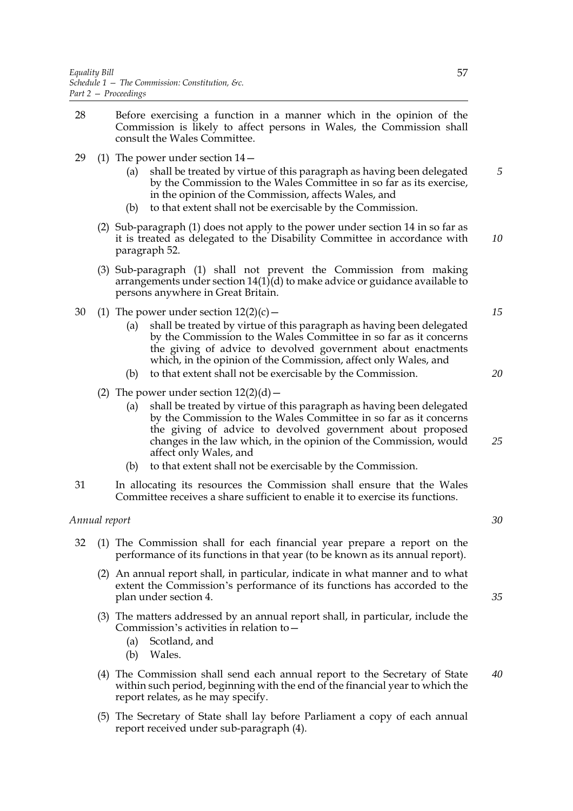- 28 Before exercising a function in a manner which in the opinion of the Commission is likely to affect persons in Wales, the Commission shall consult the Wales Committee.
- 29 (1) The power under section 14—
	- (a) shall be treated by virtue of this paragraph as having been delegated by the Commission to the Wales Committee in so far as its exercise, in the opinion of the Commission, affects Wales, and
	- (b) to that extent shall not be exercisable by the Commission.
	- (2) Sub-paragraph (1) does not apply to the power under section 14 in so far as it is treated as delegated to the Disability Committee in accordance with paragraph 52.
	- (3) Sub-paragraph (1) shall not prevent the Commission from making arrangements under section  $14(1)(d)$  to make advice or guidance available to persons anywhere in Great Britain.
- 30 (1) The power under section  $12(2)(c)$ 
	- (a) shall be treated by virtue of this paragraph as having been delegated by the Commission to the Wales Committee in so far as it concerns the giving of advice to devolved government about enactments which, in the opinion of the Commission, affect only Wales, and
	- (b) to that extent shall not be exercisable by the Commission.
	- (2) The power under section  $12(2)(d)$ 
		- (a) shall be treated by virtue of this paragraph as having been delegated by the Commission to the Wales Committee in so far as it concerns the giving of advice to devolved government about proposed changes in the law which, in the opinion of the Commission, would affect only Wales, and
		- (b) to that extent shall not be exercisable by the Commission.
- 31 In allocating its resources the Commission shall ensure that the Wales Committee receives a share sufficient to enable it to exercise its functions.

### *Annual report*

- 32 (1) The Commission shall for each financial year prepare a report on the performance of its functions in that year (to be known as its annual report).
	- (2) An annual report shall, in particular, indicate in what manner and to what extent the Commission's performance of its functions has accorded to the plan under section 4.
	- (3) The matters addressed by an annual report shall, in particular, include the Commission's activities in relation to—
		- (a) Scotland, and
		- (b) Wales.
	- (4) The Commission shall send each annual report to the Secretary of State within such period, beginning with the end of the financial year to which the report relates, as he may specify.
	- (5) The Secretary of State shall lay before Parliament a copy of each annual report received under sub-paragraph (4).

*30*

*35*

*40*

*15*

*20*

*25*

*5*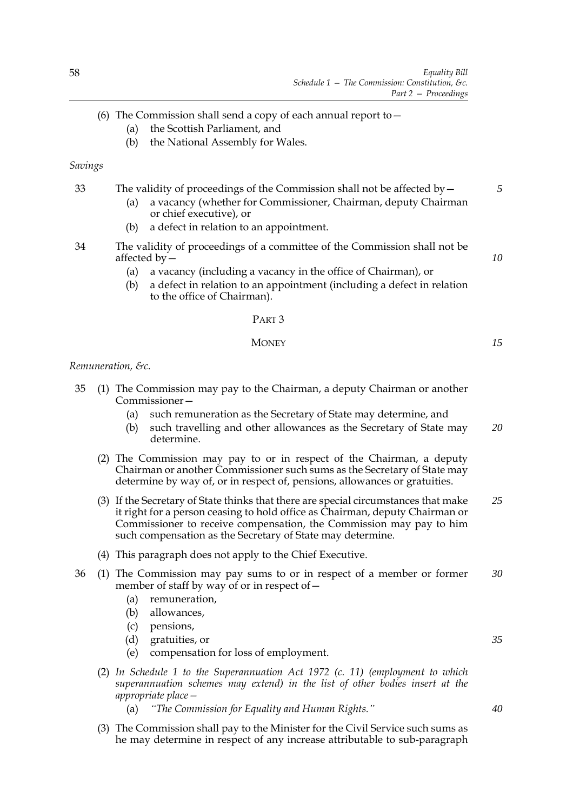- (6) The Commission shall send a copy of each annual report to—
	- (a) the Scottish Parliament, and
	- (b) the National Assembly for Wales.

## *Savings*

33 The validity of proceedings of the Commission shall not be affected by— *5*

- (a) a vacancy (whether for Commissioner, Chairman, deputy Chairman or chief executive), or
- (b) a defect in relation to an appointment.
- 34 The validity of proceedings of a committee of the Commission shall not be affected by—
	- (a) a vacancy (including a vacancy in the office of Chairman), or
	- (b) a defect in relation to an appointment (including a defect in relation to the office of Chairman).

#### PART 3

#### **MONEY**

*Remuneration, &c.*

- 35 (1) The Commission may pay to the Chairman, a deputy Chairman or another Commissioner—
	- (a) such remuneration as the Secretary of State may determine, and
	- (b) such travelling and other allowances as the Secretary of State may determine. *20*
	- (2) The Commission may pay to or in respect of the Chairman, a deputy Chairman or another Commissioner such sums as the Secretary of State may determine by way of, or in respect of, pensions, allowances or gratuities.
	- (3) If the Secretary of State thinks that there are special circumstances that make it right for a person ceasing to hold office as Chairman, deputy Chairman or Commissioner to receive compensation, the Commission may pay to him such compensation as the Secretary of State may determine. *25*
	- (4) This paragraph does not apply to the Chief Executive.
- 36 (1) The Commission may pay sums to or in respect of a member or former member of staff by way of or in respect of  $-$ *30*
	- (a) remuneration,
	- (b) allowances,
	- (c) pensions,
	- (d) gratuities, or
	- (e) compensation for loss of employment.
	- (2) *In Schedule 1 to the Superannuation Act 1972 (c. 11) (employment to which superannuation schemes may extend) in the list of other bodies insert at the appropriate place—*
		- (a) *"The Commission for Equality and Human Rights."*
	- (3) The Commission shall pay to the Minister for the Civil Service such sums as he may determine in respect of any increase attributable to sub-paragraph

*15*

*35*

*40*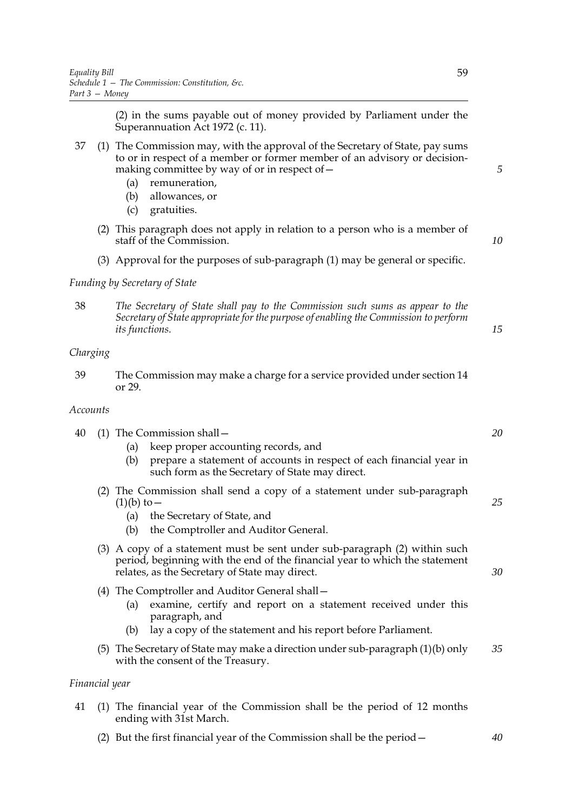(2) in the sums payable out of money provided by Parliament under the Superannuation Act 1972 (c. 11).

- 37 (1) The Commission may, with the approval of the Secretary of State, pay sums to or in respect of a member or former member of an advisory or decisionmaking committee by way of or in respect of—
	- (a) remuneration,
	- (b) allowances, or
	- (c) gratuities.
	- (2) This paragraph does not apply in relation to a person who is a member of staff of the Commission.
	- (3) Approval for the purposes of sub-paragraph (1) may be general or specific.

## *Funding by Secretary of State*

38 *The Secretary of State shall pay to the Commission such sums as appear to the Secretary of State appropriate for the purpose of enabling the Commission to perform its functions.*

## *Charging*

39 The Commission may make a charge for a service provided under section 14 or 29.

#### *Accounts*

| 40             |     | $(1)$ The Commission shall $-$                                                                                                                                                                                     | 20 |
|----------------|-----|--------------------------------------------------------------------------------------------------------------------------------------------------------------------------------------------------------------------|----|
|                |     | keep proper accounting records, and<br>(a)<br>prepare a statement of accounts in respect of each financial year in<br>(b)<br>such form as the Secretary of State may direct.                                       |    |
|                |     | (2) The Commission shall send a copy of a statement under sub-paragraph<br>$(1)(b)$ to –<br>the Secretary of State, and<br>(a)<br>the Comptroller and Auditor General.<br>(b)                                      | 25 |
|                |     | (3) A copy of a statement must be sent under sub-paragraph (2) within such<br>period, beginning with the end of the financial year to which the statement<br>relates, as the Secretary of State may direct.        | 30 |
|                |     | (4) The Comptroller and Auditor General shall –<br>examine, certify and report on a statement received under this<br>(a)<br>paragraph, and<br>lay a copy of the statement and his report before Parliament.<br>(b) |    |
|                |     | (5) The Secretary of State may make a direction under sub-paragraph (1)(b) only<br>with the consent of the Treasury.                                                                                               | 35 |
| Financial year |     |                                                                                                                                                                                                                    |    |
| 41             | (1) | The financial year of the Commission shall be the period of 12 months<br>ending with 31st March.                                                                                                                   |    |
|                |     |                                                                                                                                                                                                                    |    |

(2) But the first financial year of the Commission shall be the period—

*5*

*10*

*15*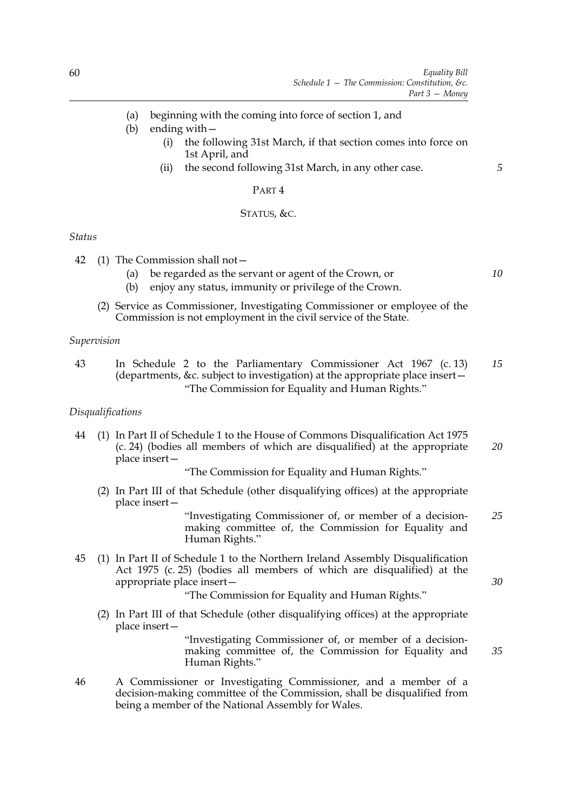- (a) beginning with the coming into force of section 1, and
- (b) ending with—
	- (i) the following 31st March, if that section comes into force on 1st April, and
	- (ii) the second following 31st March, in any other case.

#### PART 4

### STATUS, &C.

### *Status*

42 (1) The Commission shall not—

- (a) be regarded as the servant or agent of the Crown, or
- (b) enjoy any status, immunity or privilege of the Crown.
- (2) Service as Commissioner, Investigating Commissioner or employee of the Commission is not employment in the civil service of the State.

#### *Supervision*

43 In Schedule 2 to the Parliamentary Commissioner Act 1967 (c. 13) (departments, &c. subject to investigation) at the appropriate place insert— "The Commission for Equality and Human Rights." *15*

## *Disqualifications*

44 (1) In Part II of Schedule 1 to the House of Commons Disqualification Act 1975 (c. 24) (bodies all members of which are disqualified) at the appropriate place insert— *20*

"The Commission for Equality and Human Rights."

(2) In Part III of that Schedule (other disqualifying offices) at the appropriate place insert—

> "Investigating Commissioner of, or member of a decisionmaking committee of, the Commission for Equality and Human Rights." *25*

45 (1) In Part II of Schedule 1 to the Northern Ireland Assembly Disqualification Act 1975 (c. 25) (bodies all members of which are disqualified) at the appropriate place insert—

"The Commission for Equality and Human Rights."

(2) In Part III of that Schedule (other disqualifying offices) at the appropriate place insert—

> "Investigating Commissioner of, or member of a decisionmaking committee of, the Commission for Equality and Human Rights."

46 A Commissioner or Investigating Commissioner, and a member of a decision-making committee of the Commission, shall be disqualified from being a member of the National Assembly for Wales.

*10*

*30*

*35*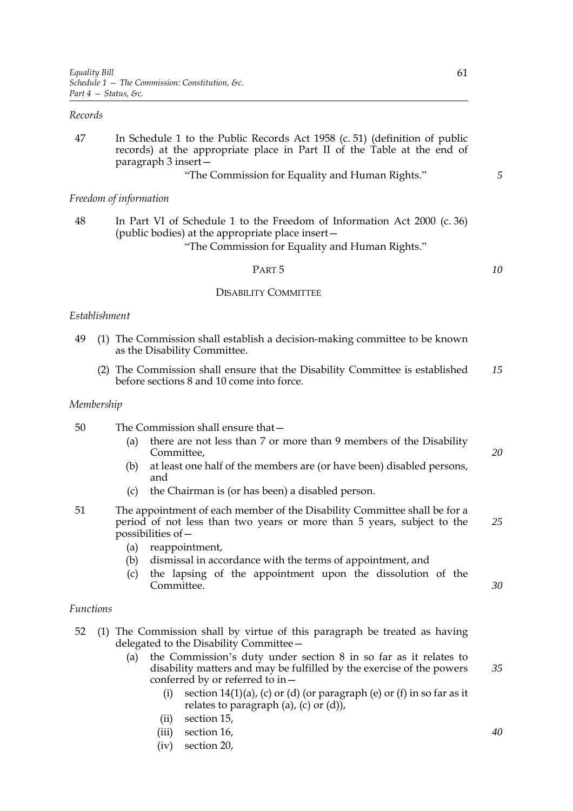#### *Records*

47 In Schedule 1 to the Public Records Act 1958 (c. 51) (definition of public records) at the appropriate place in Part II of the Table at the end of paragraph 3 insert—

### "The Commission for Equality and Human Rights."

# *Freedom of information*

48 In Part VI of Schedule 1 to the Freedom of Information Act 2000 (c. 36) (public bodies) at the appropriate place insert—

"The Commission for Equality and Human Rights."

## PART 5

## DISABILITY COMMITTEE

#### *Establishment*

- 49 (1) The Commission shall establish a decision-making committee to be known as the Disability Committee.
	- (2) The Commission shall ensure that the Disability Committee is established before sections 8 and 10 come into force. *15*

### *Membership*

50 The Commission shall ensure that—

- (a) there are not less than 7 or more than 9 members of the Disability Committee,
- (b) at least one half of the members are (or have been) disabled persons, and
- (c) the Chairman is (or has been) a disabled person.
- 51 The appointment of each member of the Disability Committee shall be for a period of not less than two years or more than 5 years, subject to the possibilities of— *25*
	- (a) reappointment,
	- (b) dismissal in accordance with the terms of appointment, and
	- (c) the lapsing of the appointment upon the dissolution of the Committee.

#### *Functions*

- 52 (1) The Commission shall by virtue of this paragraph be treated as having delegated to the Disability Committee—
	- (a) the Commission's duty under section 8 in so far as it relates to disability matters and may be fulfilled by the exercise of the powers conferred by or referred to in— *35*
		- (i) section  $14(1)(a)$ , (c) or (d) (or paragraph (e) or (f) in so far as it relates to paragraph (a), (c) or  $(d)$ ),
		- (ii) section 15,
		- (iii) section 16,
		- (iv) section 20,

61

*5*

*10*

*20*

*30*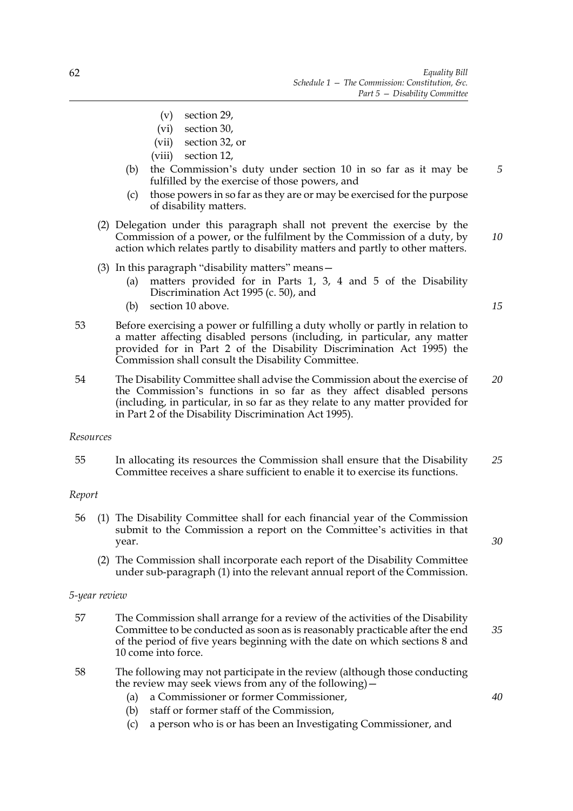- (v) section 29,
- (vi) section 30,
- (vii) section 32, or
- (viii) section 12,
- (b) the Commission's duty under section 10 in so far as it may be fulfilled by the exercise of those powers, and *5*
- (c) those powers in so far as they are or may be exercised for the purpose of disability matters.
- (2) Delegation under this paragraph shall not prevent the exercise by the Commission of a power, or the fulfilment by the Commission of a duty, by action which relates partly to disability matters and partly to other matters.
- (3) In this paragraph "disability matters" means—
	- (a) matters provided for in Parts 1, 3, 4 and 5 of the Disability Discrimination Act 1995 (c. 50), and
	- (b) section 10 above.
- 53 Before exercising a power or fulfilling a duty wholly or partly in relation to a matter affecting disabled persons (including, in particular, any matter provided for in Part 2 of the Disability Discrimination Act 1995) the Commission shall consult the Disability Committee.
- 54 The Disability Committee shall advise the Commission about the exercise of the Commission's functions in so far as they affect disabled persons (including, in particular, in so far as they relate to any matter provided for in Part 2 of the Disability Discrimination Act 1995). *20*

#### *Resources*

55 In allocating its resources the Commission shall ensure that the Disability Committee receives a share sufficient to enable it to exercise its functions. *25*

### *Report*

- 56 (1) The Disability Committee shall for each financial year of the Commission submit to the Commission a report on the Committee's activities in that year.
	- (2) The Commission shall incorporate each report of the Disability Committee under sub-paragraph (1) into the relevant annual report of the Commission.

#### *5-year review*

- 57 The Commission shall arrange for a review of the activities of the Disability Committee to be conducted as soon as is reasonably practicable after the end of the period of five years beginning with the date on which sections 8 and 10 come into force. *35*
- 58 The following may not participate in the review (although those conducting the review may seek views from any of the following)—
	- (a) a Commissioner or former Commissioner,
	- (b) staff or former staff of the Commission,
	- (c) a person who is or has been an Investigating Commissioner, and

*40*

*30*

*10*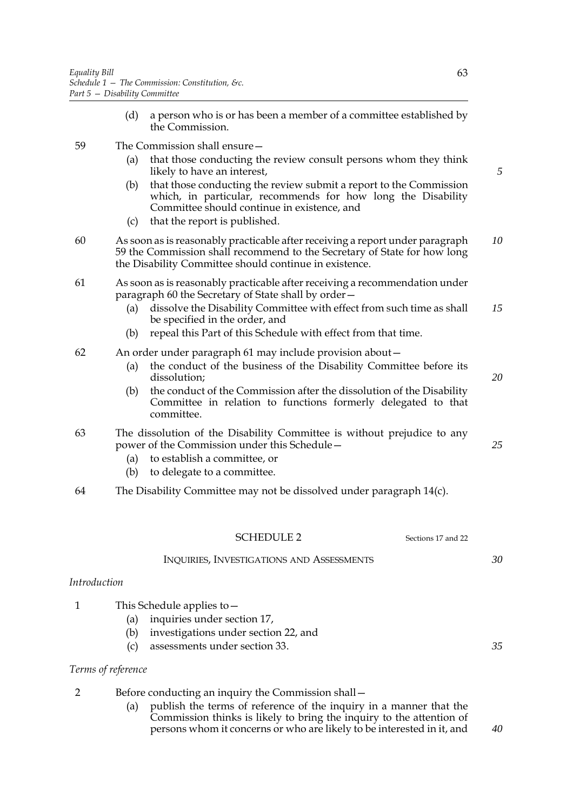- (d) a person who is or has been a member of a committee established by the Commission.
- 59 The Commission shall ensure—
	- (a) that those conducting the review consult persons whom they think likely to have an interest,
	- (b) that those conducting the review submit a report to the Commission which, in particular, recommends for how long the Disability Committee should continue in existence, and
	- (c) that the report is published.
- 60 As soon as is reasonably practicable after receiving a report under paragraph 59 the Commission shall recommend to the Secretary of State for how long the Disability Committee should continue in existence. *10*
- 61 As soon as is reasonably practicable after receiving a recommendation under paragraph 60 the Secretary of State shall by order—
	- (a) dissolve the Disability Committee with effect from such time as shall be specified in the order, and *15*
	- (b) repeal this Part of this Schedule with effect from that time.
- 62 An order under paragraph 61 may include provision about—
	- (a) the conduct of the business of the Disability Committee before its dissolution;
	- (b) the conduct of the Commission after the dissolution of the Disability Committee in relation to functions formerly delegated to that committee.
- 63 The dissolution of the Disability Committee is without prejudice to any power of the Commission under this Schedule—
	- (a) to establish a committee, or
	- (b) to delegate to a committee.
- 64 The Disability Committee may not be dissolved under paragraph  $14(c)$ .

| <b>SCHEDULE 2</b> | Sections 17 and 22 |
|-------------------|--------------------|
|                   |                    |

#### INQUIRIES, INVESTIGATIONS AND ASSESSMENTS

#### *Introduction*

- 1 This Schedule applies to—
	- (a) inquiries under section 17,
	- (b) investigations under section 22, and
	- (c) assessments under section 33.

#### *Terms of reference*

- 2 Before conducting an inquiry the Commission shall—
	- (a) publish the terms of reference of the inquiry in a manner that the Commission thinks is likely to bring the inquiry to the attention of persons whom it concerns or who are likely to be interested in it, and *40*

*5*

*20*

*25*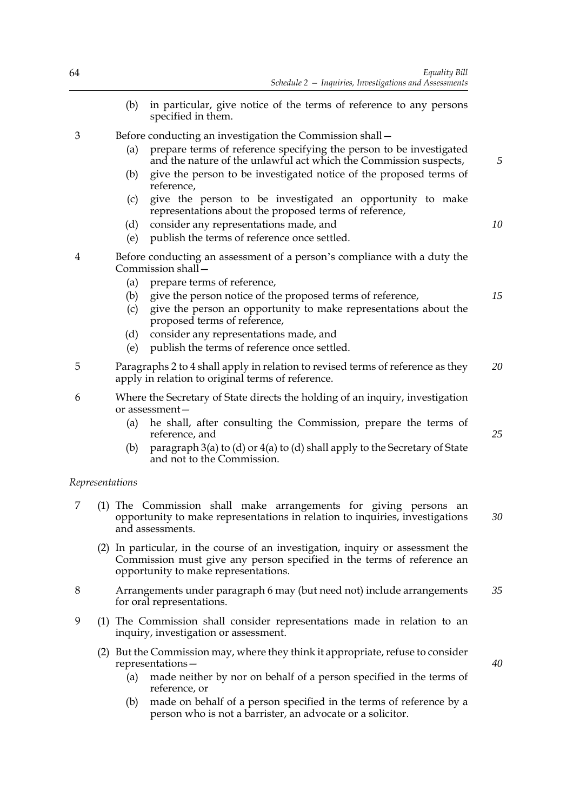- (b) in particular, give notice of the terms of reference to any persons specified in them.
- 3 Before conducting an investigation the Commission shall—
	- (a) prepare terms of reference specifying the person to be investigated and the nature of the unlawful act which the Commission suspects,
	- (b) give the person to be investigated notice of the proposed terms of reference,
	- (c) give the person to be investigated an opportunity to make representations about the proposed terms of reference,
	- (d) consider any representations made, and
	- (e) publish the terms of reference once settled.
- 4 Before conducting an assessment of a person's compliance with a duty the Commission shall—
	- (a) prepare terms of reference,
	- (b) give the person notice of the proposed terms of reference,
	- (c) give the person an opportunity to make representations about the proposed terms of reference,
	- (d) consider any representations made, and
	- (e) publish the terms of reference once settled.
- 5 Paragraphs 2 to 4 shall apply in relation to revised terms of reference as they apply in relation to original terms of reference. *20*
- 6 Where the Secretary of State directs the holding of an inquiry, investigation or assessment—
	- (a) he shall, after consulting the Commission, prepare the terms of reference, and
	- (b) paragraph 3(a) to (d) or 4(a) to (d) shall apply to the Secretary of State and not to the Commission.

#### *Representations*

- 7 (1) The Commission shall make arrangements for giving persons an opportunity to make representations in relation to inquiries, investigations and assessments. *30*
	- (2) In particular, in the course of an investigation, inquiry or assessment the Commission must give any person specified in the terms of reference an opportunity to make representations.
- 8 Arrangements under paragraph 6 may (but need not) include arrangements for oral representations. *35*
- 9 (1) The Commission shall consider representations made in relation to an inquiry, investigation or assessment.
	- (2) But the Commission may, where they think it appropriate, refuse to consider representations—
		- (a) made neither by nor on behalf of a person specified in the terms of reference, or
		- (b) made on behalf of a person specified in the terms of reference by a person who is not a barrister, an advocate or a solicitor.

*25*

*5*

*10*

*15*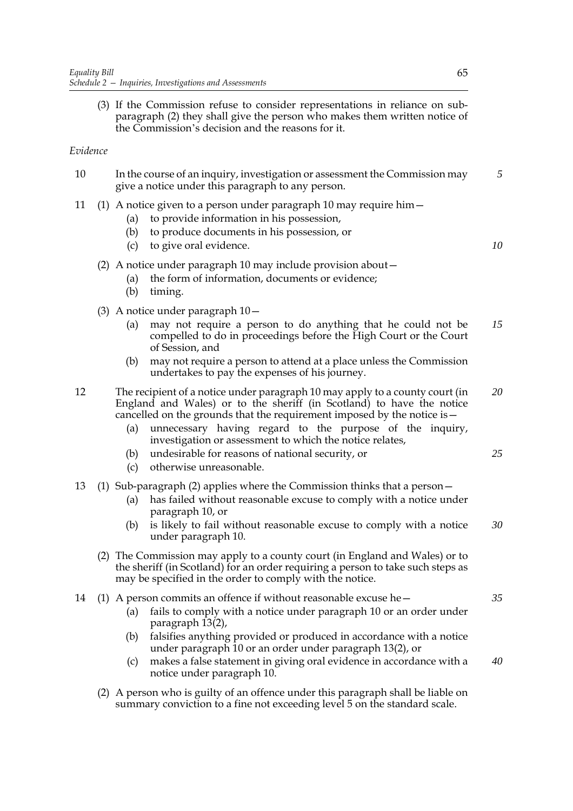(3) If the Commission refuse to consider representations in reliance on subparagraph (2) they shall give the person who makes them written notice of the Commission's decision and the reasons for it.

## *Evidence*

- 10 In the course of an inquiry, investigation or assessment the Commission may give a notice under this paragraph to any person. *5*
- 11 (1) A notice given to a person under paragraph 10 may require him—
	- (a) to provide information in his possession,
	- (b) to produce documents in his possession, or
	- (c) to give oral evidence.

## (2) A notice under paragraph 10 may include provision about—

- (a) the form of information, documents or evidence;
- (b) timing.
- (3) A notice under paragraph 10—
	- (a) may not require a person to do anything that he could not be compelled to do in proceedings before the High Court or the Court of Session, and *15*
	- (b) may not require a person to attend at a place unless the Commission undertakes to pay the expenses of his journey.
- 12 The recipient of a notice under paragraph 10 may apply to a county court (in England and Wales) or to the sheriff (in Scotland) to have the notice cancelled on the grounds that the requirement imposed by the notice is— *20*
	- (a) unnecessary having regard to the purpose of the inquiry, investigation or assessment to which the notice relates,
	- (b) undesirable for reasons of national security, or
	- (c) otherwise unreasonable.

# 13 (1) Sub-paragraph (2) applies where the Commission thinks that a person—

- (a) has failed without reasonable excuse to comply with a notice under paragraph 10, or
- (b) is likely to fail without reasonable excuse to comply with a notice under paragraph 10. *30*
- (2) The Commission may apply to a county court (in England and Wales) or to the sheriff (in Scotland) for an order requiring a person to take such steps as may be specified in the order to comply with the notice.

# 14 (1) A person commits an offence if without reasonable excuse he—

- (a) fails to comply with a notice under paragraph 10 or an order under paragraph 13(2),
- (b) falsifies anything provided or produced in accordance with a notice under paragraph 10 or an order under paragraph 13(2), or
- (c) makes a false statement in giving oral evidence in accordance with a notice under paragraph 10. *40*
- (2) A person who is guilty of an offence under this paragraph shall be liable on summary conviction to a fine not exceeding level 5 on the standard scale.

*10*

*25*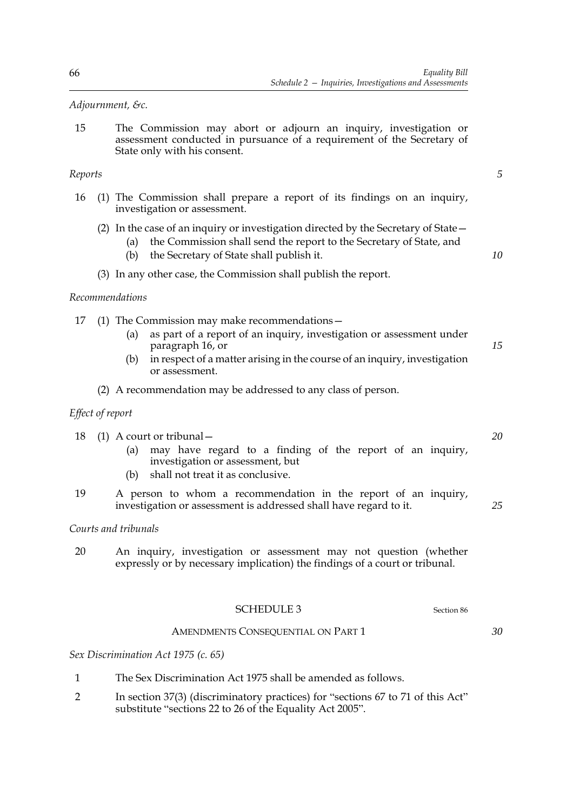*Adjournment, &c.*

15 The Commission may abort or adjourn an inquiry, investigation or assessment conducted in pursuance of a requirement of the Secretary of State only with his consent.

## *Reports*

*5*

*10*

*15*

- 16 (1) The Commission shall prepare a report of its findings on an inquiry, investigation or assessment.
	- (2) In the case of an inquiry or investigation directed by the Secretary of State—
		- (a) the Commission shall send the report to the Secretary of State, and
		- (b) the Secretary of State shall publish it.
	- (3) In any other case, the Commission shall publish the report.

## *Recommendations*

- 17 (1) The Commission may make recommendations—
	- (a) as part of a report of an inquiry, investigation or assessment under paragraph 16, or
	- (b) in respect of a matter arising in the course of an inquiry, investigation or assessment.

## (2) A recommendation may be addressed to any class of person.

## *Effect of report*

- 18 (1) A court or tribunal— (a) may have regard to a finding of the report of an inquiry, investigation or assessment, but (b) shall not treat it as conclusive.
- 19 A person to whom a recommendation in the report of an inquiry, investigation or assessment is addressed shall have regard to it.

# *Courts and tribunals*

20 An inquiry, investigation or assessment may not question (whether expressly or by necessary implication) the findings of a court or tribunal.

## SCHEDULE 3 Section 86

#### AMENDMENTS CONSEQUENTIAL ON PART 1

*Sex Discrimination Act 1975 (c. 65)*

- 1 The Sex Discrimination Act 1975 shall be amended as follows.
- 2 In section 37(3) (discriminatory practices) for "sections 67 to 71 of this Act" substitute "sections 22 to 26 of the Equality Act 2005".

*20*

*25*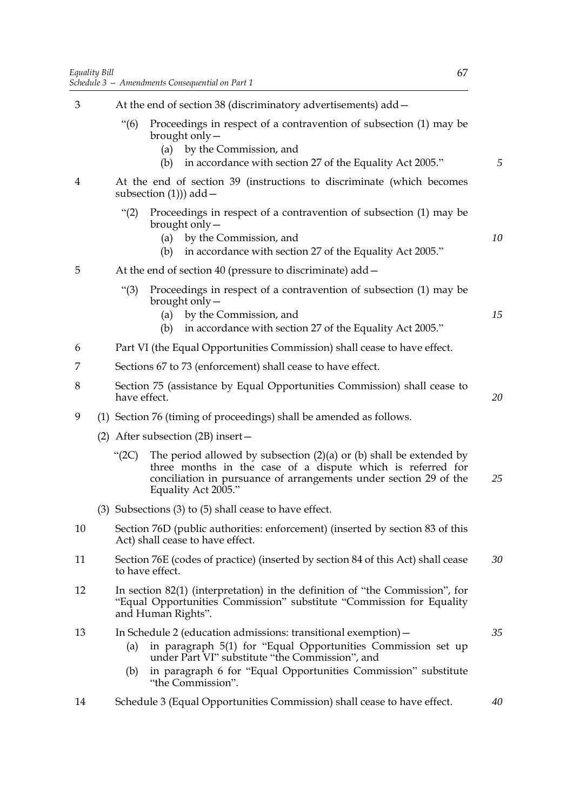- 3 At the end of section 38 (discriminatory advertisements) add—
	- "(6) Proceedings in respect of a contravention of subsection (1) may be brought only—
		- (a) by the Commission, and
		- (b) in accordance with section 27 of the Equality Act 2005."
- 4 At the end of section 39 (instructions to discriminate (which becomes subsection  $(1)$ ) add  $-$ 
	- "(2) Proceedings in respect of a contravention of subsection (1) may be brought only—
		- (a) by the Commission, and
		- (b) in accordance with section 27 of the Equality Act 2005."
- 5 At the end of section 40 (pressure to discriminate) add—
	- "(3) Proceedings in respect of a contravention of subsection (1) may be brought only—
		- (a) by the Commission, and
		- (b) in accordance with section 27 of the Equality Act 2005."
- 6 Part VI (the Equal Opportunities Commission) shall cease to have effect.
- 7 Sections 67 to 73 (enforcement) shall cease to have effect.
- 8 Section 75 (assistance by Equal Opportunities Commission) shall cease to have effect.
- 9 (1) Section 76 (timing of proceedings) shall be amended as follows.
	- (2) After subsection (2B) insert—
		- "(2C) The period allowed by subsection  $(2)(a)$  or  $(b)$  shall be extended by three months in the case of a dispute which is referred for conciliation in pursuance of arrangements under section 29 of the Equality Act 2005." *25*
	- (3) Subsections (3) to (5) shall cease to have effect.
- 10 Section 76D (public authorities: enforcement) (inserted by section 83 of this Act) shall cease to have effect.
- 11 Section 76E (codes of practice) (inserted by section 84 of this Act) shall cease to have effect. *30*
- 12 In section 82(1) (interpretation) in the definition of "the Commission", for "Equal Opportunities Commission" substitute "Commission for Equality and Human Rights".

#### 13 In Schedule 2 (education admissions: transitional exemption)—

- (a) in paragraph 5(1) for "Equal Opportunities Commission set up under Part VI" substitute "the Commission", and
- (b) in paragraph 6 for "Equal Opportunities Commission" substitute "the Commission".
- 14 Schedule 3 (Equal Opportunities Commission) shall cease to have effect.

*5*

*10*

*15*

*20*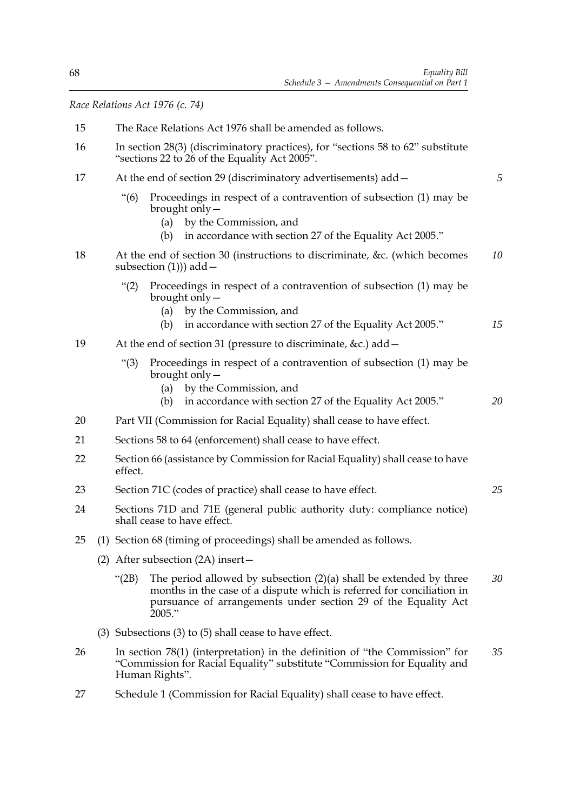*Race Relations Act 1976 (c. 74)*

| 15 | The Race Relations Act 1976 shall be amended as follows.                                                                                                                                                                           |    |  |  |
|----|------------------------------------------------------------------------------------------------------------------------------------------------------------------------------------------------------------------------------------|----|--|--|
| 16 | In section $28(3)$ (discriminatory practices), for "sections 58 to $62$ " substitute<br>"sections 22 to 26 of the Equality Act 2005".                                                                                              |    |  |  |
| 17 | At the end of section 29 (discriminatory advertisements) add –                                                                                                                                                                     |    |  |  |
|    | Proceedings in respect of a contravention of subsection (1) may be<br>$\cdot\cdot(6)$<br>$brought$ only $-$<br>by the Commission, and<br>(a)<br>in accordance with section 27 of the Equality Act 2005."<br>(b)                    |    |  |  |
| 18 | At the end of section 30 (instructions to discriminate, &c. (which becomes<br>subsection $(1)$ ) add –                                                                                                                             | 10 |  |  |
|    | Proceedings in respect of a contravention of subsection (1) may be<br>(2)<br>brought only $-$<br>by the Commission, and<br>(a)<br>in accordance with section 27 of the Equality Act 2005."<br>(b)                                  | 15 |  |  |
| 19 | At the end of section 31 (pressure to discriminate, &c.) add –                                                                                                                                                                     |    |  |  |
|    | Proceedings in respect of a contravention of subsection (1) may be<br>" $(3)$<br>$b$ rought only $-$<br>by the Commission, and<br>(a)<br>in accordance with section 27 of the Equality Act 2005."<br>(b)                           | 20 |  |  |
| 20 | Part VII (Commission for Racial Equality) shall cease to have effect.                                                                                                                                                              |    |  |  |
| 21 | Sections 58 to 64 (enforcement) shall cease to have effect.                                                                                                                                                                        |    |  |  |
| 22 | Section 66 (assistance by Commission for Racial Equality) shall cease to have<br>effect.                                                                                                                                           |    |  |  |
| 23 | Section 71C (codes of practice) shall cease to have effect.                                                                                                                                                                        | 25 |  |  |
| 24 | Sections 71D and 71E (general public authority duty: compliance notice)<br>shall cease to have effect.                                                                                                                             |    |  |  |
| 25 | (1) Section 68 (timing of proceedings) shall be amended as follows.                                                                                                                                                                |    |  |  |
|    | (2) After subsection (2A) insert-                                                                                                                                                                                                  |    |  |  |
|    | The period allowed by subsection $(2)(a)$ shall be extended by three<br>"(2B)<br>months in the case of a dispute which is referred for conciliation in<br>pursuance of arrangements under section 29 of the Equality Act<br>2005." | 30 |  |  |
|    | $(3)$ Subsections $(3)$ to $(5)$ shall cease to have effect.                                                                                                                                                                       |    |  |  |
| 26 | In section 78(1) (interpretation) in the definition of "the Commission" for<br>"Commission for Racial Equality" substitute "Commission for Equality and<br>Human Rights".                                                          | 35 |  |  |

27 Schedule 1 (Commission for Racial Equality) shall cease to have effect.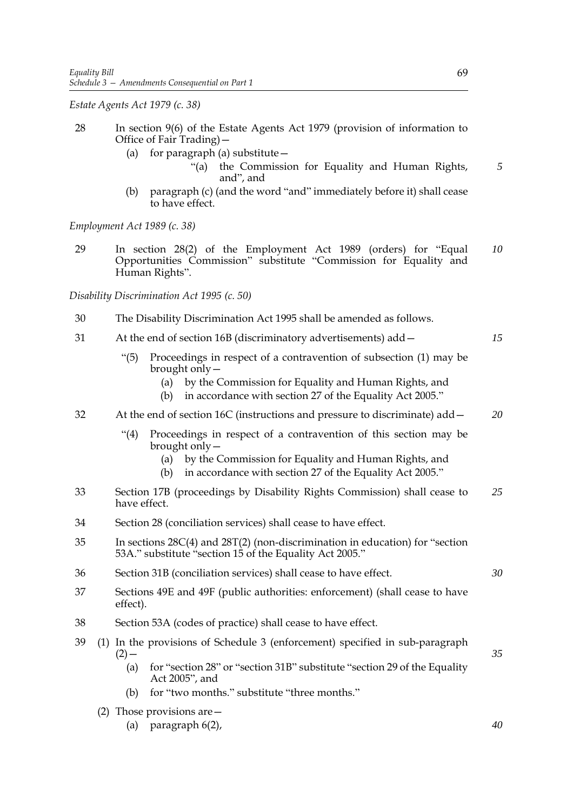*Estate Agents Act 1979 (c. 38)*

- 28 In section 9(6) of the Estate Agents Act 1979 (provision of information to Office of Fair Trading)—
	- (a) for paragraph (a) substitute  $-$ 
		- "(a) the Commission for Equality and Human Rights, and", and *5*
	- (b) paragraph (c) (and the word "and" immediately before it) shall cease to have effect.

*Employment Act 1989 (c. 38)*

29 In section 28(2) of the Employment Act 1989 (orders) for "Equal Opportunities Commission" substitute "Commission for Equality and Human Rights". *10*

*Disability Discrimination Act 1995 (c. 50)*

- 30 The Disability Discrimination Act 1995 shall be amended as follows.
- 31 At the end of section 16B (discriminatory advertisements) add—
	- "(5) Proceedings in respect of a contravention of subsection (1) may be brought only—
		- (a) by the Commission for Equality and Human Rights, and
		- (b) in accordance with section 27 of the Equality Act 2005."

## 32 At the end of section 16C (instructions and pressure to discriminate) add— *20*

- "(4) Proceedings in respect of a contravention of this section may be brought only—
	- (a) by the Commission for Equality and Human Rights, and
	- (b) in accordance with section 27 of the Equality Act 2005."
- 33 Section 17B (proceedings by Disability Rights Commission) shall cease to have effect. *25*
- 34 Section 28 (conciliation services) shall cease to have effect.
- 35 In sections 28C(4) and 28T(2) (non-discrimination in education) for "section 53A." substitute "section 15 of the Equality Act 2005."
- 36 Section 31B (conciliation services) shall cease to have effect.
- 37 Sections 49E and 49F (public authorities: enforcement) (shall cease to have effect).
- 38 Section 53A (codes of practice) shall cease to have effect.
- 39 (1) In the provisions of Schedule 3 (enforcement) specified in sub-paragraph
- *35*

*30*

*15*

- $(2)$  (a) for "section 28" or "section 31B" substitute "section 29 of the Equality Act 2005", and
	- (b) for "two months." substitute "three months."
- (2) Those provisions are—
	- (a) paragraph 6(2),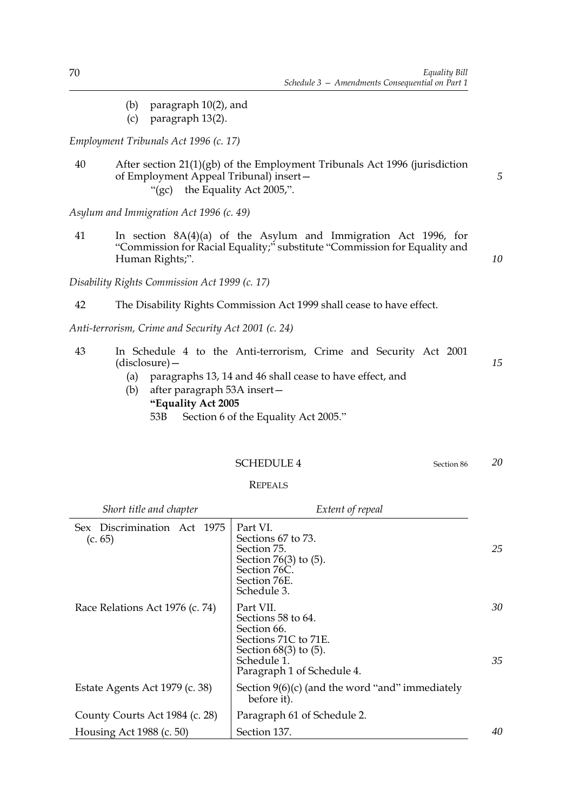- (b) paragraph 10(2), and
- (c) paragraph 13(2).

*Employment Tribunals Act 1996 (c. 17)*

## 40 After section 21(1)(gb) of the Employment Tribunals Act 1996 (jurisdiction of Employment Appeal Tribunal) insert— " $(gc)$  the Equality Act 2005,".

*Asylum and Immigration Act 1996 (c. 49)*

41 In section 8A(4)(a) of the Asylum and Immigration Act 1996, for "Commission for Racial Equality;" substitute "Commission for Equality and Human Rights;".

*Disability Rights Commission Act 1999 (c. 17)*

42 The Disability Rights Commission Act 1999 shall cease to have effect.

*Anti-terrorism, Crime and Security Act 2001 (c. 24)*

- 43 In Schedule 4 to the Anti-terrorism, Crime and Security Act 2001 (disclosure)—
	- (a) paragraphs 13, 14 and 46 shall cease to have effect, and
	- (b) after paragraph 53A insert— **"Equality Act 2005**

53B Section 6 of the Equality Act 2005."

## SCHEDULE 4 Section 86

REPEALS

| Short title and chapter                | Extent of repeal                                                                                                                                  |          |
|----------------------------------------|---------------------------------------------------------------------------------------------------------------------------------------------------|----------|
| Sex Discrimination Act 1975<br>(c. 65) | Part VI.<br>Sections 67 to 73.<br>Section 75.<br>Section $76(3)$ to $(5)$ .<br>Section 76C.<br>Section 76E.<br>Schedule 3.                        | 25       |
| Race Relations Act 1976 (c. 74)        | Part VII.<br>Sections 58 to 64.<br>Section 66.<br>Sections 71C to 71E.<br>Section $68(3)$ to $(5)$ .<br>Schedule 1.<br>Paragraph 1 of Schedule 4. | 30<br>35 |
| Estate Agents Act 1979 (c. 38)         | Section $9(6)(c)$ (and the word "and" immediately<br>before it).                                                                                  |          |
| County Courts Act 1984 (c. 28)         | Paragraph 61 of Schedule 2.                                                                                                                       |          |
| Housing Act 1988 (c. 50)               | Section 137.                                                                                                                                      | 40       |

*5*

*15*

*20*

*10*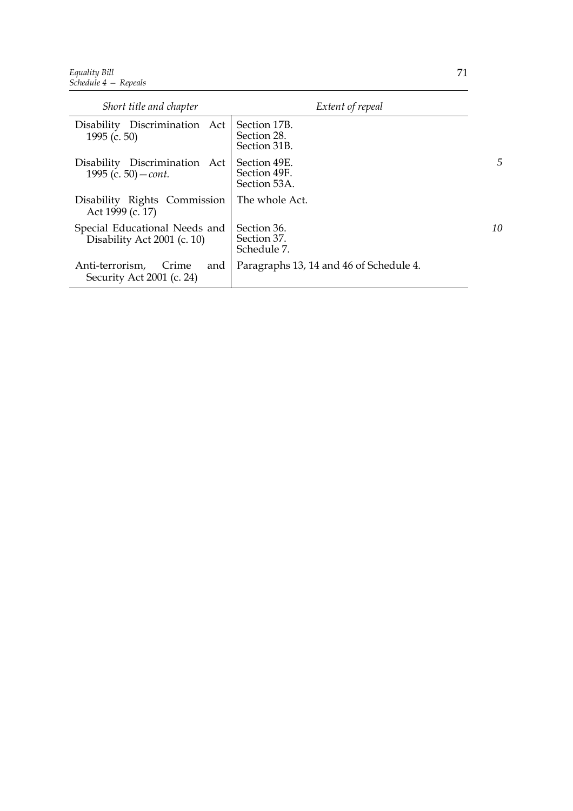| Short title and chapter                                         | Extent of repeal                             |    |
|-----------------------------------------------------------------|----------------------------------------------|----|
| Discrimination Act<br>Disability<br>1995 (c. 50)                | Section 17B.<br>Section 28.<br>Section 31B.  |    |
| Discrimination Act<br>Disability<br>1995 (c. 50) – <i>cont.</i> | Section 49E.<br>Section 49F.<br>Section 53A. | 5  |
| Disability Rights Commission<br>Act 1999 (c. 17)                | The whole Act.                               |    |
| Special Educational Needs and<br>Disability Act 2001 (c. 10)    | Section 36.<br>Section 37.<br>Schedule 7.    | 10 |
| Anti-terrorism,<br>Crime<br>and<br>Security Act 2001 (c. 24)    | Paragraphs 13, 14 and 46 of Schedule 4.      |    |